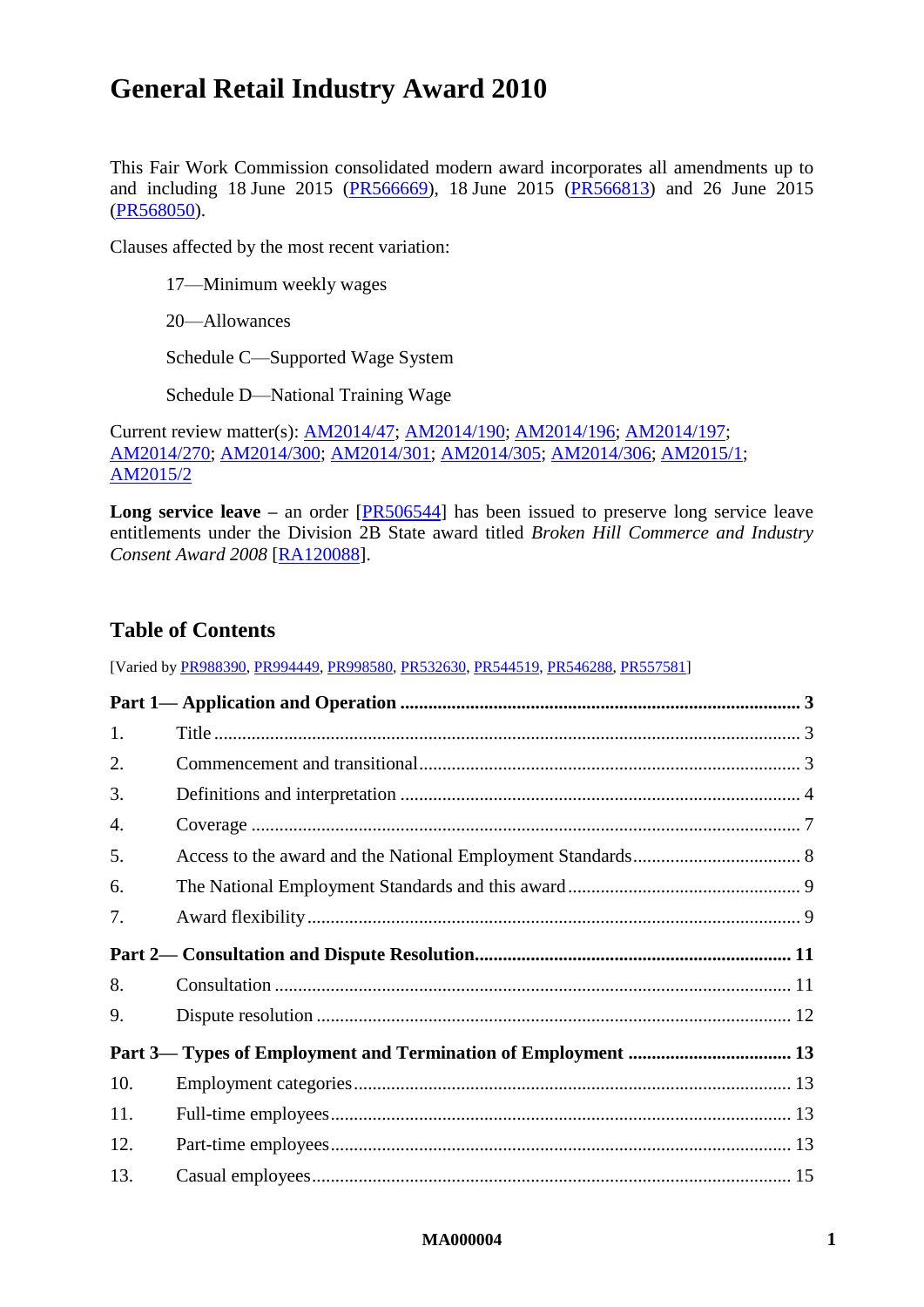# **General Retail Industry Award 2010**

This Fair Work Commission consolidated modern award incorporates all amendments up to and including 18 June 2015 [\(PR566669\)](https://www.fwc.gov.au/awardsandorders/html/PR566669.htm), 18 June 2015 [\(PR566813\)](http://www.fwc.gov.au/awardsandorders/html/PR566813.htm) and 26 June 2015 [\(PR568050\)](http://www.fwc.gov.au/awardsandorders/html/PR568050.htm).

Clauses affected by the most recent variation:

[17—Minimum weekly wages](#page-16-0)

[20—Allowances](#page-20-0)

[Schedule C—Supported Wage System](#page-51-0)

[Schedule D—National Training Wage](#page-54-0)

Current review matter(s): [AM2014/47;](https://www.fwc.gov.au/awards-and-agreements/modern-award-reviews/4-yearly-review/common-issues/am201447-annual-leave) [AM2014/190;](https://www.fwc.gov.au/awards-and-agreements/modern-award-reviews/4-yearly-review/common-issues/am2014190-transitional) [AM2014/196;](https://www.fwc.gov.au/awards-and-agreements/modern-award-reviews/4-yearly-review/common-issues/am2014196-part-time) [AM2014/197;](https://www.fwc.gov.au/awards-and-agreements/modern-award-reviews/4-yearly-review/common-issues/am2014197-casual-employment) [AM2014/270;](https://www.fwc.gov.au/awards-and-agreements/modern-award-reviews/4-yearly-review/award-stage/award-review-documents/MA000004?m=AM2014/270) [AM2014/300;](https://www.fwc.gov.au/awards-and-agreements/modern-award-reviews/4-yearly-review/common-issues/am2014300-award-flexibility) [AM2014/301;](https://www.fwc.gov.au/awards-and-agreements/modern-award-reviews/4-yearly-review/common-issues/am2014301-public-holidays) [AM2014/305;](https://www.fwc.gov.au/awards-and-agreements/modern-award-reviews/4-yearly-review/award-stage/am2014305-penalty-rates) [AM2014/306;](https://www.fwc.gov.au/awards-and-agreements/modern-award-reviews/4-yearly-review/common-issues/am2014306-micro-business) [AM2015/1;](https://www.fwc.gov.au/awards-and-agreements/modern-award-reviews/4-yearly-review/common-issues/am20151-family-domestic) [AM2015/2](https://www.fwc.gov.au/awards-and-agreements/modern-award-reviews/4-yearly-review/common-issues/am20152-family-friendly)

Long service leave – an order [\[PR506544\]](http://www.fwc.gov.au/awardsandorders/html/PR506544.htm) has been issued to preserve long service leave entitlements under the Division 2B State award titled *Broken Hill Commerce and Industry Consent Award 2008* [\[RA120088\]](http://www.fwc.gov.au/documents/referred_awards/NSW/1014.doc).

## **Table of Contents**

[Varied by [PR988390,](http://www.fwc.gov.au/awardsandorders/html/PR988390.htm) [PR994449,](http://www.fwc.gov.au/awardsandorders/html/PR994449.htm) [PR998580,](http://www.fwc.gov.au/awardsandorders/html/PR998580.htm) [PR532630,](http://www.fwc.gov.au/awardsandorders/html/pr532630.htm) [PR544519,](http://www.fwc.gov.au/awardsandorders/html/PR544519.htm) [PR546288,](http://www.fwc.gov.au/awardsandorders/html/PR546288.htm) [PR557581\]](http://www.fwc.gov.au/awardsandorders/html/PR557581.htm)

| 1.  |  |
|-----|--|
| 2.  |  |
| 3.  |  |
| 4.  |  |
| 5.  |  |
| 6.  |  |
| 7.  |  |
|     |  |
|     |  |
| 8.  |  |
| 9.  |  |
|     |  |
| 10. |  |
| 11. |  |
| 12. |  |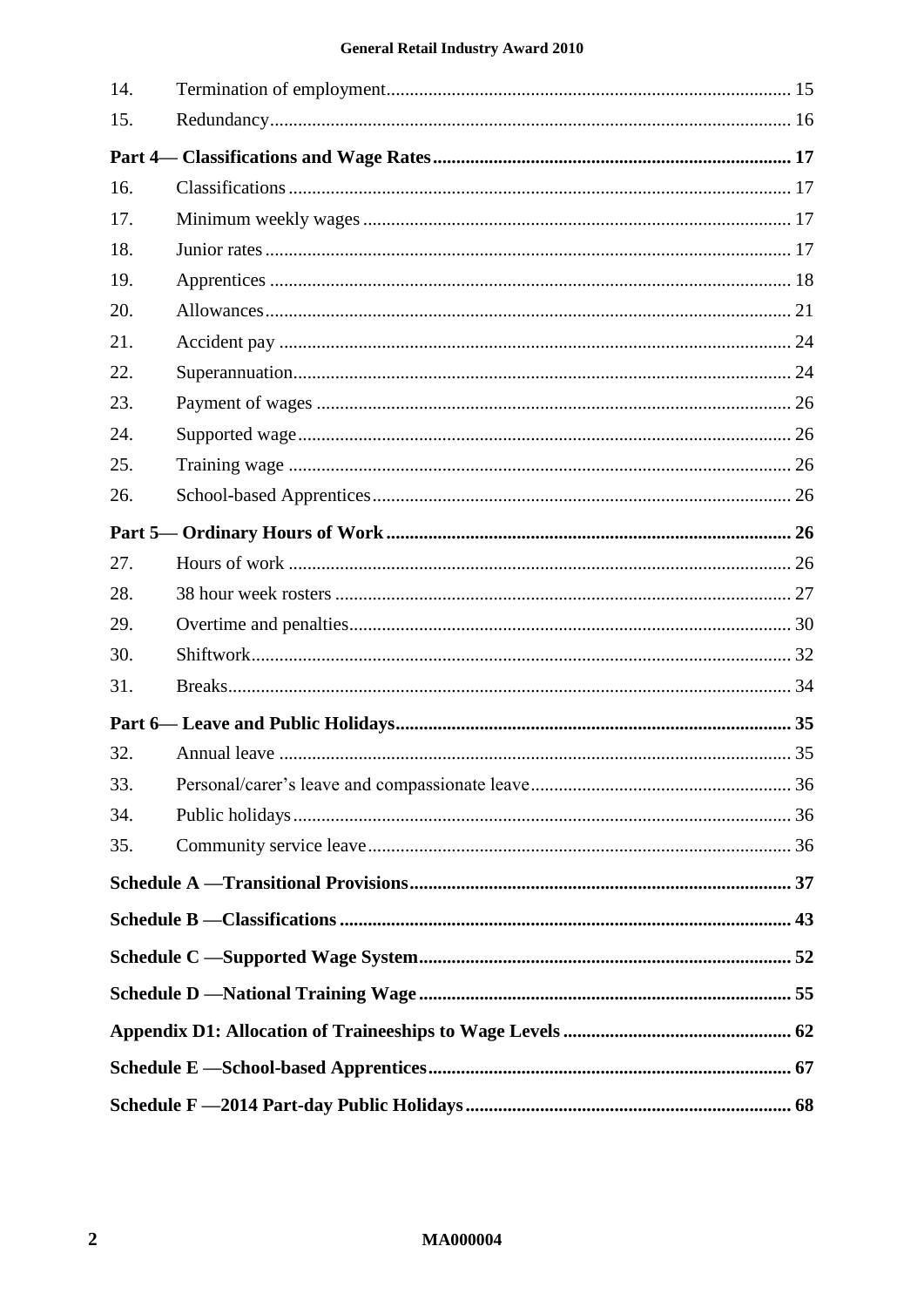### **General Retail Industry Award 2010**

| 14. |  |  |
|-----|--|--|
| 15. |  |  |
|     |  |  |
| 16. |  |  |
| 17. |  |  |
| 18. |  |  |
| 19. |  |  |
| 20. |  |  |
| 21. |  |  |
| 22. |  |  |
| 23. |  |  |
| 24. |  |  |
| 25. |  |  |
| 26. |  |  |
|     |  |  |
| 27. |  |  |
| 28. |  |  |
| 29. |  |  |
| 30. |  |  |
| 31. |  |  |
|     |  |  |
| 32. |  |  |
| 33. |  |  |
| 34. |  |  |
| 35. |  |  |
|     |  |  |
|     |  |  |
|     |  |  |
|     |  |  |
|     |  |  |
|     |  |  |
|     |  |  |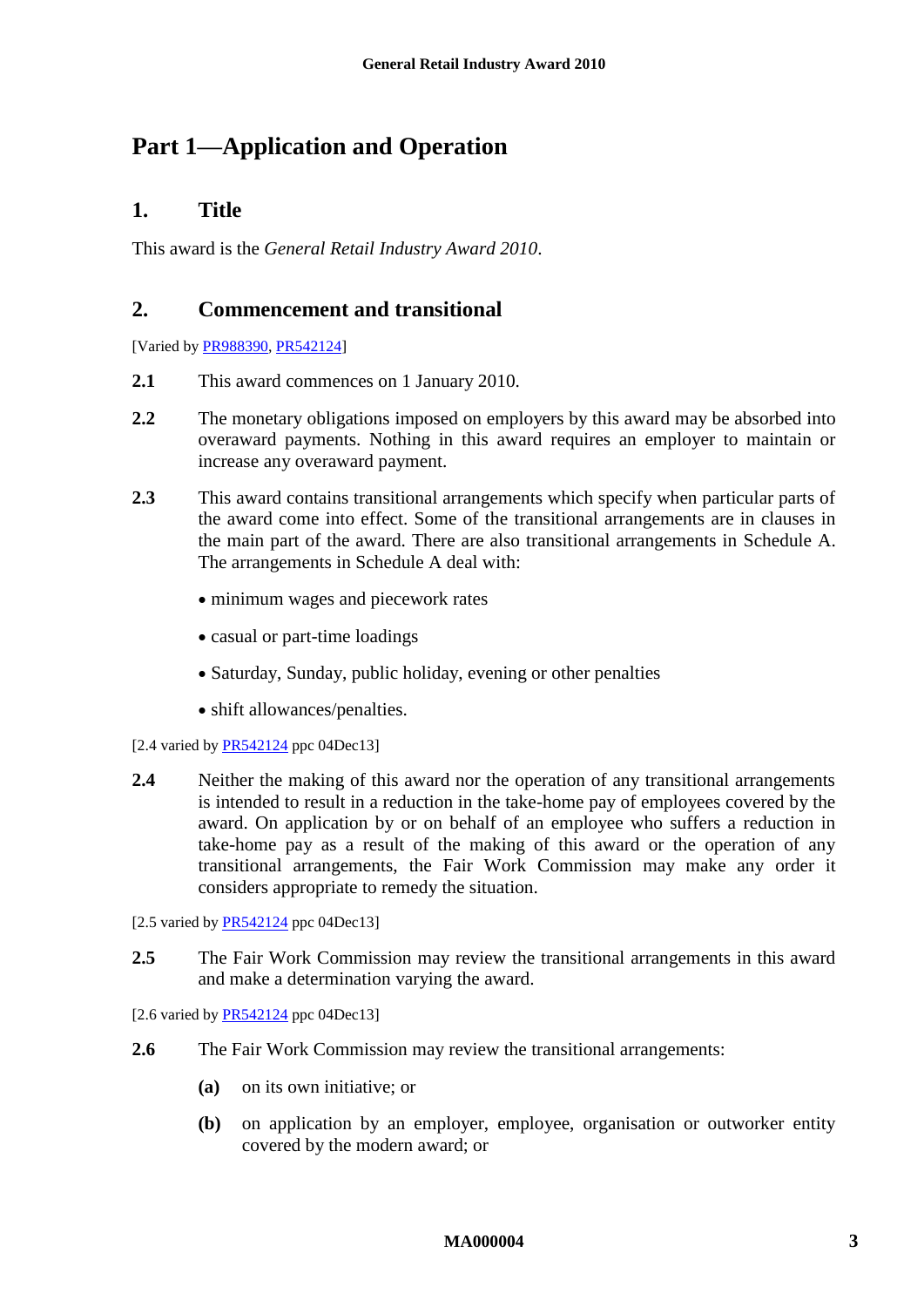# <span id="page-2-1"></span><span id="page-2-0"></span>**Part 1—Application and Operation**

### **1. Title**

<span id="page-2-2"></span>This award is the *General Retail Industry Award 2010*.

### **2. Commencement and transitional**

[Varied b[y PR988390,](http://www.fwc.gov.au/awardsandorders/html/PR988390.htm) [PR542124\]](http://www.fwc.gov.au/awardsandorders/html/PR542124.htm)

- **2.1** This award commences on 1 January 2010.
- **2.2** The monetary obligations imposed on employers by this award may be absorbed into overaward payments. Nothing in this award requires an employer to maintain or increase any overaward payment.
- **2.3** This award contains transitional arrangements which specify when particular parts of the award come into effect. Some of the transitional arrangements are in clauses in the main part of the award. There are also transitional arrangements in [Schedule A.](#page-36-1) The arrangements in [Schedule A](#page-36-1) deal with:
	- minimum wages and piecework rates
	- casual or part-time loadings
	- Saturday, Sunday, public holiday, evening or other penalties
	- shift allowances/penalties.
- [2.4 varied by  $PR542124$  ppc 04Dec13]
- **2.4** Neither the making of this award nor the operation of any transitional arrangements is intended to result in a reduction in the take-home pay of employees covered by the award. On application by or on behalf of an employee who suffers a reduction in take-home pay as a result of the making of this award or the operation of any transitional arrangements, the Fair Work Commission may make any order it considers appropriate to remedy the situation.
- [2.5 varied by [PR542124](http://www.fwc.gov.au/awardsandorders/html/PR542124.htm) ppc 04Dec13]
- **2.5** The Fair Work Commission may review the transitional arrangements in this award and make a determination varying the award.

[2.6 varied by [PR542124](http://www.fwc.gov.au/awardsandorders/html/PR542124.htm) ppc 04Dec13]

- **2.6** The Fair Work Commission may review the transitional arrangements:
	- **(a)** on its own initiative; or
	- **(b)** on application by an employer, employee, organisation or outworker entity covered by the modern award; or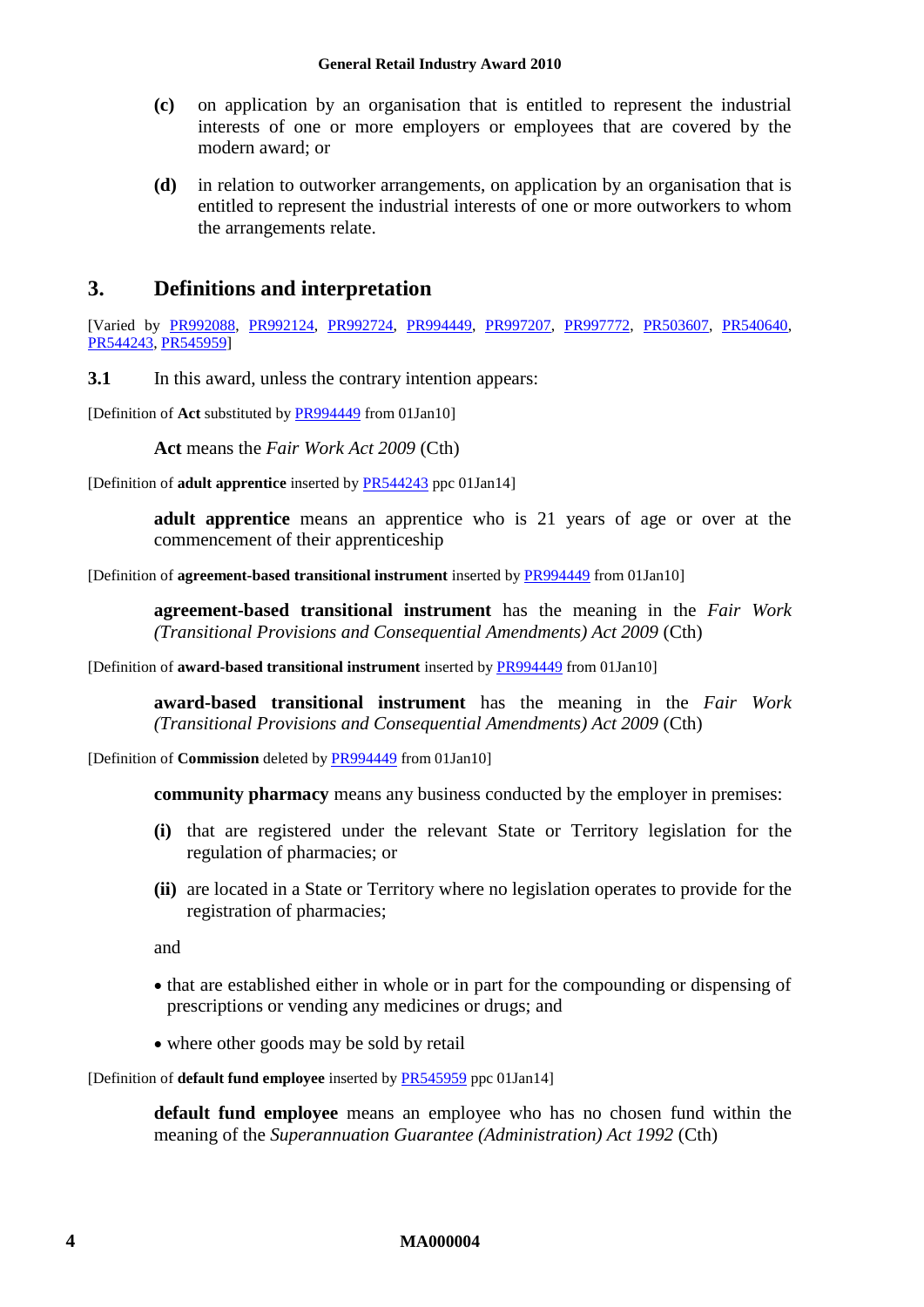- **(c)** on application by an organisation that is entitled to represent the industrial interests of one or more employers or employees that are covered by the modern award; or
- **(d)** in relation to outworker arrangements, on application by an organisation that is entitled to represent the industrial interests of one or more outworkers to whom the arrangements relate.

### <span id="page-3-0"></span>**3. Definitions and interpretation**

[Varied by [PR992088,](http://www.fwc.gov.au/alldocuments/PR992088.htm) [PR992124,](http://www.fwc.gov.au/alldocuments/PR992124.htm) [PR992724,](http://www.fwc.gov.au/awardsandorders/html/PR992724.htm) [PR994449,](http://www.fwc.gov.au/awardsandorders/html/PR994449.htm) [PR997207,](http://www.fwc.gov.au/awardsandorders/html/PR997207.htm) [PR997772,](http://www.fwc.gov.au/awardsandorders/html/PR997772.htm) [PR503607,](http://www.fwc.gov.au/awardsandorders/html/PR503607.htm) [PR540640,](http://www.fwc.gov.au/awardsandorders/html/PR540640.htm) [PR544243,](http://www.fwc.gov.au/awardsandorders/html/PR544243.htm) [PR545959\]](http://www.fwc.gov.au/awardsandorders/html/PR545959.htm)

**3.1** In this award, unless the contrary intention appears:

[Definition of **Act** substituted by [PR994449](http://www.fwc.gov.au/awardsandorders/html/PR994449.htm) from 01Jan10]

**Act** means the *Fair Work Act 2009* (Cth)

[Definition of **adult apprentice** inserted by [PR544243](http://www.fwc.gov.au/awardsandorders/html/PR544243.htm) ppc 01Jan14]

**adult apprentice** means an apprentice who is 21 years of age or over at the commencement of their apprenticeship

[Definition of **agreement-based transitional instrument** inserted by [PR994449](http://www.fwc.gov.au/awardsandorders/html/PR994449.htm) from 01Jan10]

**agreement-based transitional instrument** has the meaning in the *Fair Work (Transitional Provisions and Consequential Amendments) Act 2009* (Cth)

[Definition of **award-based transitional instrument** inserted by [PR994449](http://www.fwc.gov.au/awardsandorders/html/PR994449.htm) from 01Jan10]

**award-based transitional instrument** has the meaning in the *Fair Work (Transitional Provisions and Consequential Amendments) Act 2009* (Cth)

[Definition of **Commission** deleted b[y PR994449](http://www.fwc.gov.au/awardsandorders/html/PR994449.htm) from 01Jan10]

**community pharmacy** means any business conducted by the employer in premises:

- **(i)** that are registered under the relevant State or Territory legislation for the regulation of pharmacies; or
- **(ii)** are located in a State or Territory where no legislation operates to provide for the registration of pharmacies;

and

- that are established either in whole or in part for the compounding or dispensing of prescriptions or vending any medicines or drugs; and
- where other goods may be sold by retail

[Definition of **default fund employee** inserted b[y PR545959](http://www.fwc.gov.au/awardsandorders/html/PR545959.htm) ppc 01Jan14]

**default fund employee** means an employee who has no chosen fund within the meaning of the *Superannuation Guarantee (Administration) Act 1992* (Cth)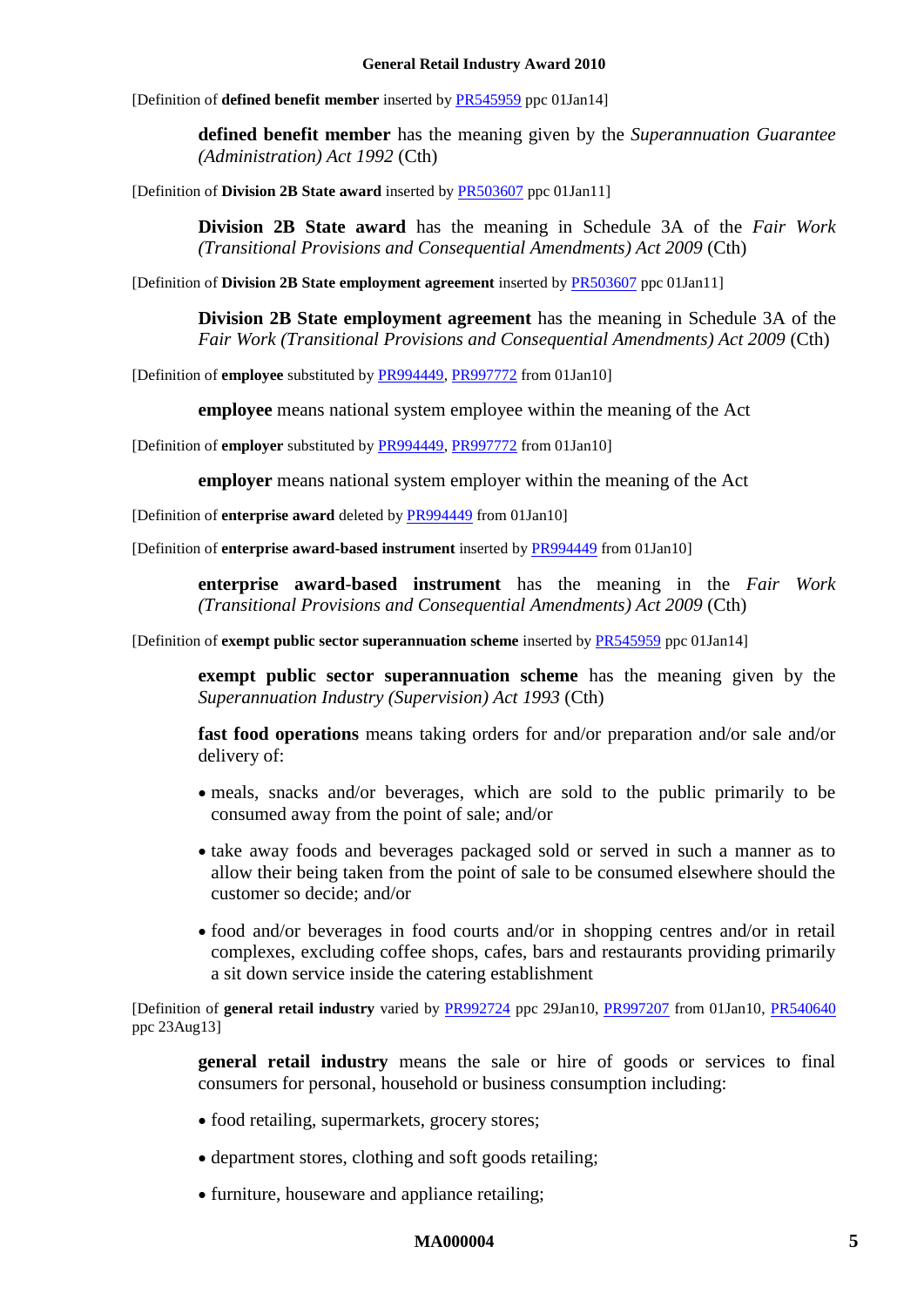#### **General Retail Industry Award 2010**

[Definition of **defined benefit member** inserted b[y PR545959](http://www.fwc.gov.au/awardsandorders/html/PR545959.htm) ppc 01Jan14]

**defined benefit member** has the meaning given by the *Superannuation Guarantee (Administration) Act 1992* (Cth)

[Definition of **Division 2B State award** inserted by [PR503607](http://www.fwa.gov.au/awardsandorders/html/PR503607.htm) ppc 01Jan11]

**Division 2B State award** has the meaning in Schedule 3A of the *Fair Work (Transitional Provisions and Consequential Amendments) Act 2009* (Cth)

[Definition of **Division 2B State employment agreement** inserted by [PR503607](http://www.fwc.gov.au/awardsandorders/html/PR503607.htm) ppc 01Jan11]

**Division 2B State employment agreement** has the meaning in Schedule 3A of the *Fair Work (Transitional Provisions and Consequential Amendments) Act 2009* (Cth)

[Definition of **employee** substituted b[y PR994449,](http://www.fwc.gov.au/awardsandorders/html/PR994449.htm) [PR997772](http://www.fwc.gov.au/awardsandorders/html/PR997772.htm) from 01Jan10]

**employee** means national system employee within the meaning of the Act

[Definition of **employer** substituted b[y PR994449,](http://www.fwc.gov.au/awardsandorders/html/PR994449.htm) [PR997772](http://www.fwc.gov.au/awardsandorders/html/PR997772.htm) from 01Jan10]

**employer** means national system employer within the meaning of the Act

[Definition of **enterprise award** deleted by [PR994449](http://www.fwc.gov.au/awardsandorders/html/PR994449.htm) from 01Jan10]

[Definition of **enterprise award-based instrument** inserted b[y PR994449](http://www.fwc.gov.au/awardsandorders/html/PR994449.htm) from 01Jan10]

**enterprise award**-**based instrument** has the meaning in the *Fair Work (Transitional Provisions and Consequential Amendments) Act 2009* (Cth)

[Definition of **exempt public sector superannuation scheme** inserted b[y PR545959](http://www.fwc.gov.au/awardsandorders/html/PR545959.htm) ppc 01Jan14]

**exempt public sector superannuation scheme** has the meaning given by the *Superannuation Industry (Supervision) Act 1993* (Cth)

**fast food operations** means taking orders for and/or preparation and/or sale and/or delivery of:

- meals, snacks and/or beverages, which are sold to the public primarily to be consumed away from the point of sale; and/or
- take away foods and beverages packaged sold or served in such a manner as to allow their being taken from the point of sale to be consumed elsewhere should the customer so decide; and/or
- food and/or beverages in food courts and/or in shopping centres and/or in retail complexes, excluding coffee shops, cafes, bars and restaurants providing primarily a sit down service inside the catering establishment

[Definition of **general retail industry** varied by [PR992724](http://www.fwc.gov.au/awardsandorders/html/PR992724.htm) ppc 29Jan10, [PR997207](http://www.fwc.gov.au/awardsandorders/html/PR997207.htm) from 01Jan10, [PR540640](http://www.fwc.gov.au/awardsandorders/html/PR540640.htm) ppc 23Aug13]

**general retail industry** means the sale or hire of goods or services to final consumers for personal, household or business consumption including:

- food retailing, supermarkets, grocery stores;
- department stores, clothing and soft goods retailing;
- furniture, houseware and appliance retailing;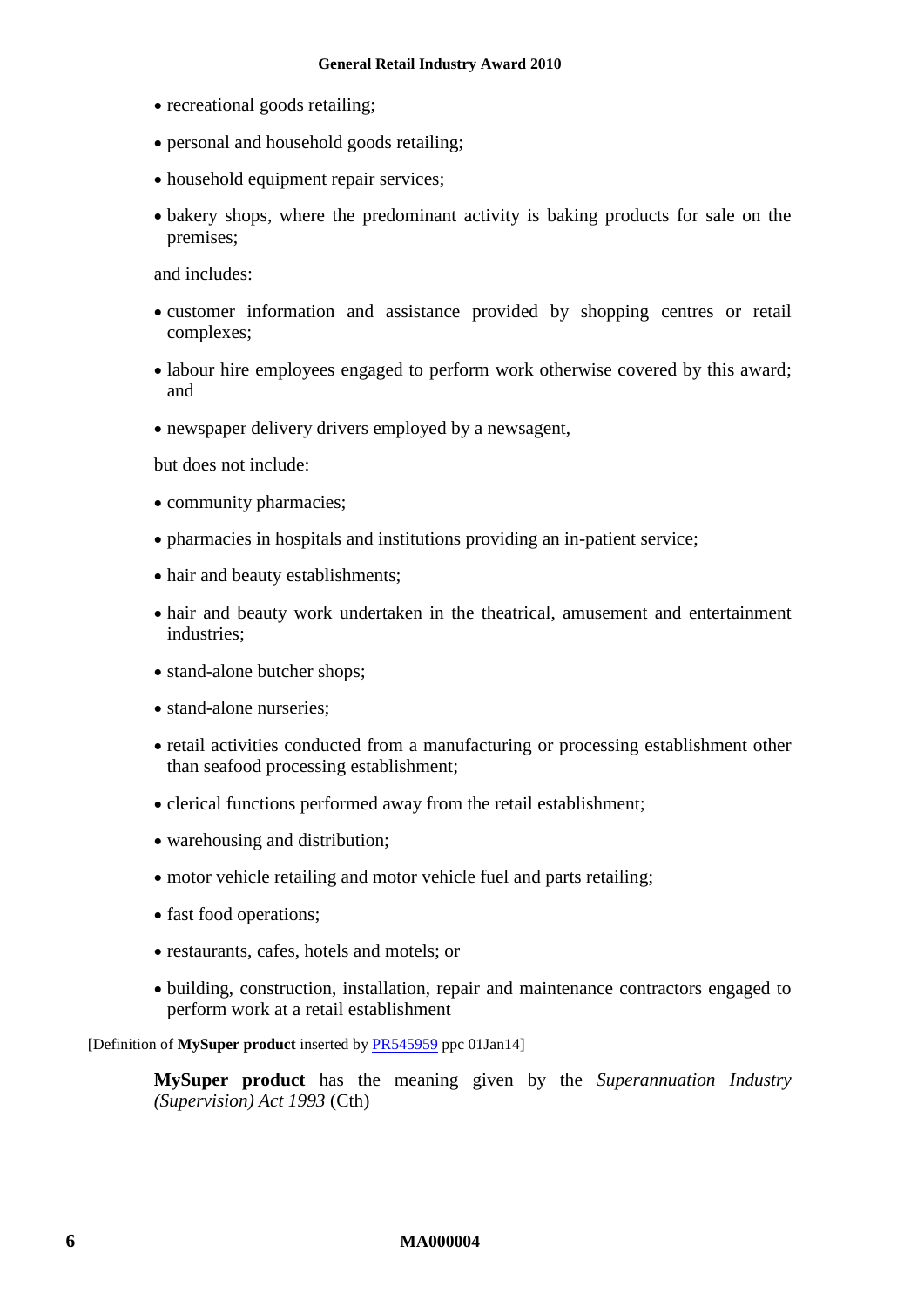- recreational goods retailing;
- personal and household goods retailing;
- household equipment repair services;
- bakery shops, where the predominant activity is baking products for sale on the premises;

and includes:

- customer information and assistance provided by shopping centres or retail complexes;
- labour hire employees engaged to perform work otherwise covered by this award; and
- newspaper delivery drivers employed by a newsagent,

but does not include:

- community pharmacies;
- pharmacies in hospitals and institutions providing an in-patient service;
- hair and beauty establishments;
- hair and beauty work undertaken in the theatrical, amusement and entertainment industries;
- stand-alone butcher shops;
- stand-alone nurseries:
- retail activities conducted from a manufacturing or processing establishment other than seafood processing establishment;
- clerical functions performed away from the retail establishment;
- warehousing and distribution;
- motor vehicle retailing and motor vehicle fuel and parts retailing;
- fast food operations;
- restaurants, cafes, hotels and motels; or
- building, construction, installation, repair and maintenance contractors engaged to perform work at a retail establishment

[Definition of **MySuper product** inserted by [PR545959](http://www.fwc.gov.au/awardsandorders/html/PR545959.htm) ppc 01Jan14]

**MySuper product** has the meaning given by the *Superannuation Industry (Supervision) Act 1993* (Cth)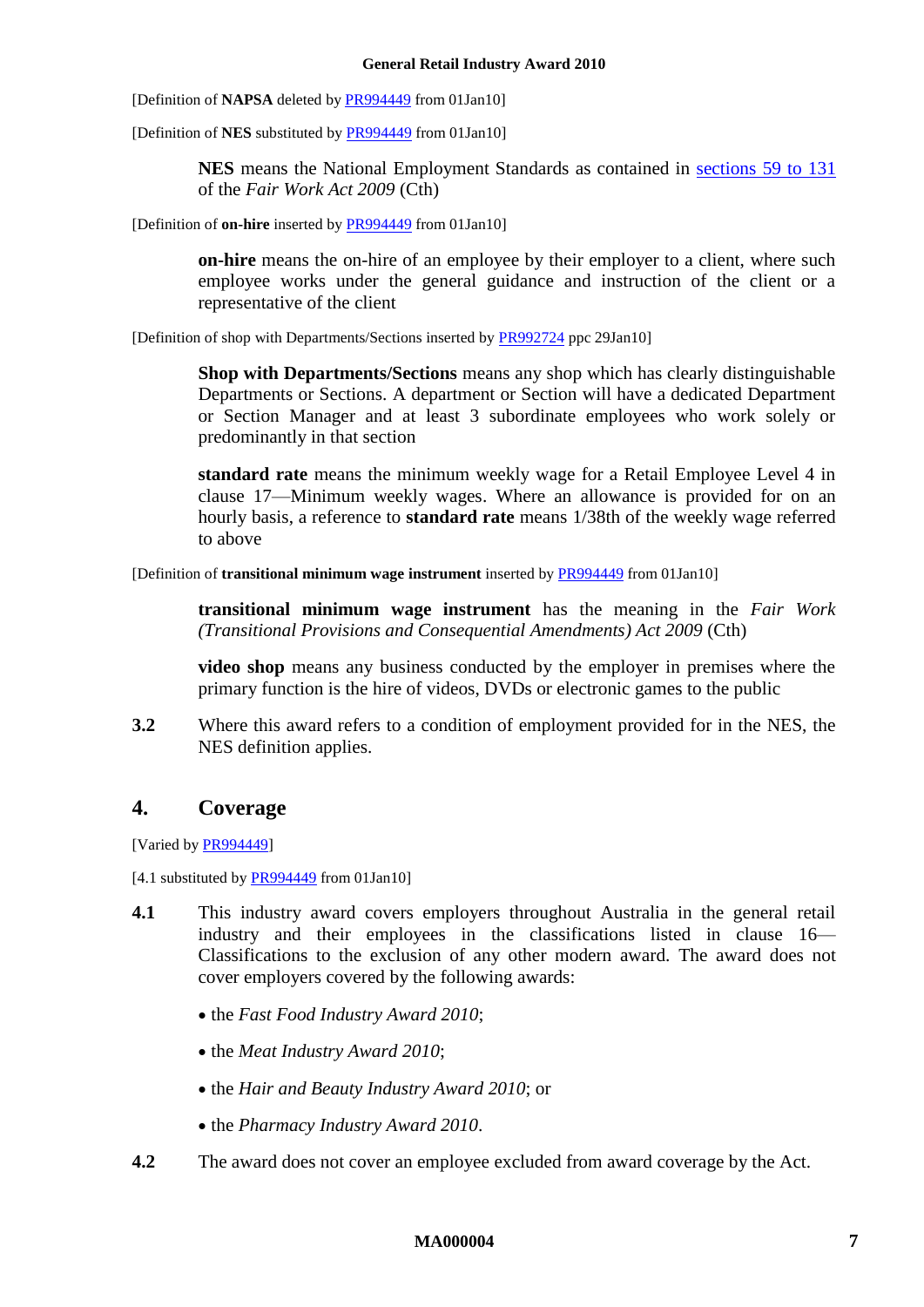[Definition of **NAPSA** deleted b[y PR994449](http://www.fwc.gov.au/awardsandorders/html/PR994449.htm) from 01Jan10]

[Definition of **NES** substituted by [PR994449](http://www.fwc.gov.au/awardsandorders/html/PR994449.htm) from 01Jan10]

**NES** means the National Employment Standards as contained in [sections 59 to 131](http://www.fwc.gov.au/awardmod/download/nes.pdf) of the *Fair Work Act 2009* (Cth)

[Definition of **on-hire** inserted by [PR994449](http://www.fwc.gov.au/awardsandorders/html/PR994449.htm) from 01Jan10]

**on-hire** means the on-hire of an employee by their employer to a client, where such employee works under the general guidance and instruction of the client or a representative of the client

[Definition of shop with Departments/Sections inserted by [PR992724](http://www.fwc.gov.au/awardsandorders/html/PR992724.htm) ppc 29Jan10]

**Shop with Departments/Sections** means any shop which has clearly distinguishable Departments or Sections. A department or Section will have a dedicated Department or Section Manager and at least 3 subordinate employees who work solely or predominantly in that section

<span id="page-6-2"></span>**standard rate** means the minimum weekly wage for a Retail Employee Level 4 in clause [17—Minimum weekly wages.](#page-16-4) Where an allowance is provided for on an hourly basis, a reference to **standard rate** means 1/38th of the weekly wage referred to above

[Definition of **transitional minimum wage instrument** inserted b[y PR994449](http://www.fwc.gov.au/awardsandorders/html/PR994449.htm) from 01Jan10]

**transitional minimum wage instrument** has the meaning in the *Fair Work (Transitional Provisions and Consequential Amendments) Act 2009* (Cth)

**video shop** means any business conducted by the employer in premises where the primary function is the hire of videos, DVDs or electronic games to the public

**3.2** Where this award refers to a condition of employment provided for in the NES, the NES definition applies.

### <span id="page-6-0"></span>**4. Coverage**

[Varied b[y PR994449\]](http://www.fwc.gov.au/awardsandorders/html/PR994449.htm)

[4.1 substituted by **PR994449** from 01Jan10]

- <span id="page-6-1"></span>**4.1** This industry award covers employers throughout Australia in the general retail industry and their employees in the classifications listed in clause [16—](#page-16-5) [Classifications](#page-16-5) to the exclusion of any other modern award. The award does not cover employers covered by the following awards:
	- the *Fast Food Industry Award 2010*;
	- the *Meat Industry Award 2010*;
	- the *Hair and Beauty Industry Award 2010*; or
	- the *Pharmacy Industry Award 2010*.
- **4.2** The award does not cover an employee excluded from award coverage by the Act.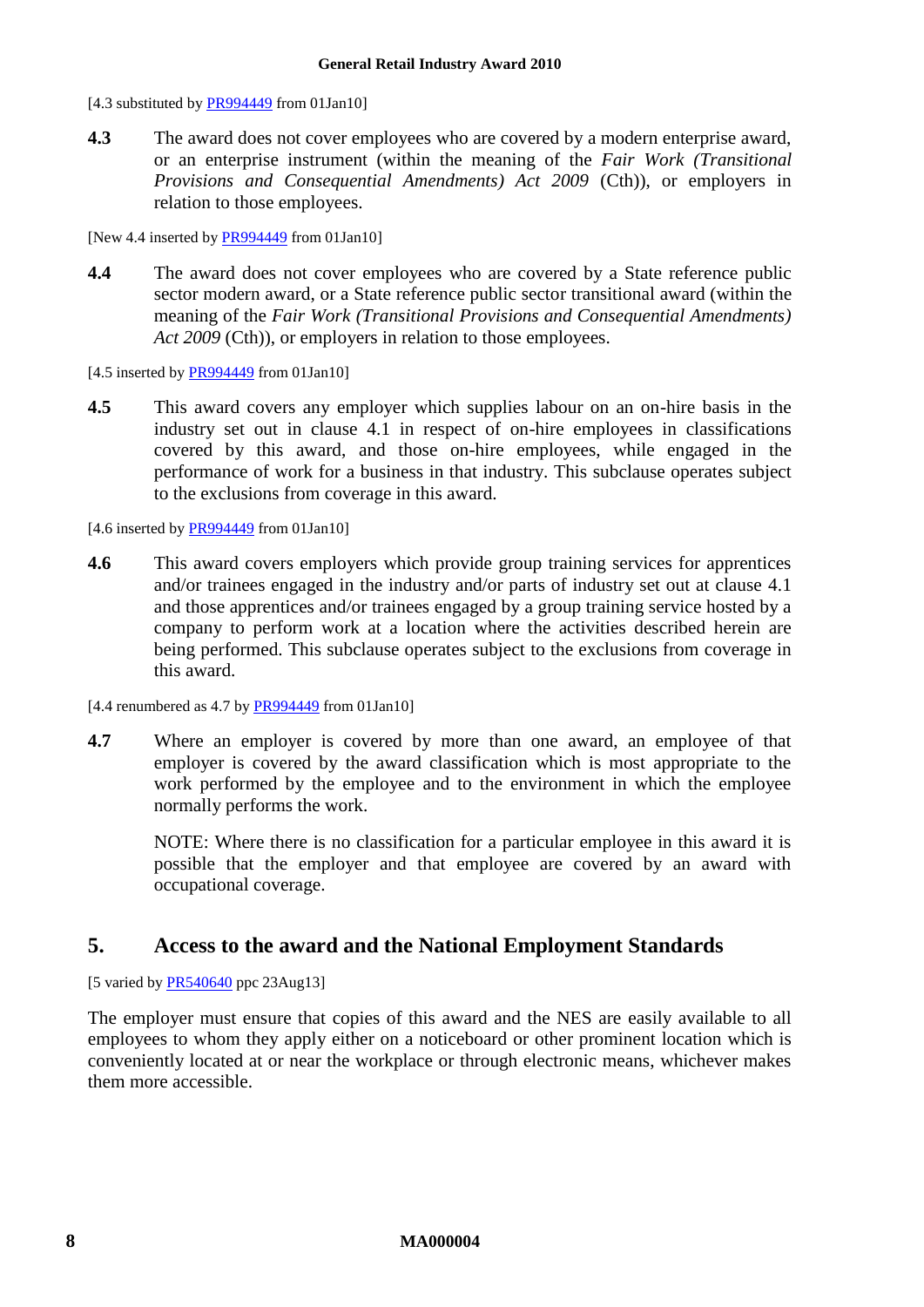[4.3 substituted by [PR994449](http://www.fwc.gov.au/awardsandorders/html/PR994449.htm) from 01Jan10]

**4.3** The award does not cover employees who are covered by a modern enterprise award, or an enterprise instrument (within the meaning of the *Fair Work (Transitional Provisions and Consequential Amendments) Act 2009* (Cth)), or employers in relation to those employees.

[New 4.4 inserted by [PR994449](http://www.fwc.gov.au/awardsandorders/html/PR994449.htm) from 01Jan10]

**4.4** The award does not cover employees who are covered by a State reference public sector modern award, or a State reference public sector transitional award (within the meaning of the *Fair Work (Transitional Provisions and Consequential Amendments)*  Act 2009 (Cth)), or employers in relation to those employees.

[4.5 inserted b[y PR994449](http://www.fwc.gov.au/awardsandorders/html/PR994449.htm) from 01Jan10]

**4.5** This award covers any employer which supplies labour on an on-hire basis in the industry set out in clause [4.1](#page-6-1) in respect of on-hire employees in classifications covered by this award, and those on-hire employees, while engaged in the performance of work for a business in that industry. This subclause operates subject to the exclusions from coverage in this award.

[4.6 inserted b[y PR994449](http://www.fwc.gov.au/awardsandorders/html/PR994449.htm) from 01Jan10]

- **4.6** This award covers employers which provide group training services for apprentices and/or trainees engaged in the industry and/or parts of industry set out at clause [4.1](#page-6-1) and those apprentices and/or trainees engaged by a group training service hosted by a company to perform work at a location where the activities described herein are being performed. This subclause operates subject to the exclusions from coverage in this award.
- [4.4 renumbered as  $4.7$  b[y PR994449](http://www.fwc.gov.au/awardsandorders/html/PR994449.htm) from 01Jan10]
- **4.7** Where an employer is covered by more than one award, an employee of that employer is covered by the award classification which is most appropriate to the work performed by the employee and to the environment in which the employee normally performs the work.

NOTE: Where there is no classification for a particular employee in this award it is possible that the employer and that employee are covered by an award with occupational coverage.

### <span id="page-7-0"></span>**5. Access to the award and the National Employment Standards**

[5 varied by [PR540640](http://www.fwc.gov.au/awardsandorders/html/PR540640.htm) ppc 23Aug13]

The employer must ensure that copies of this award and the NES are easily available to all employees to whom they apply either on a noticeboard or other prominent location which is conveniently located at or near the workplace or through electronic means, whichever makes them more accessible.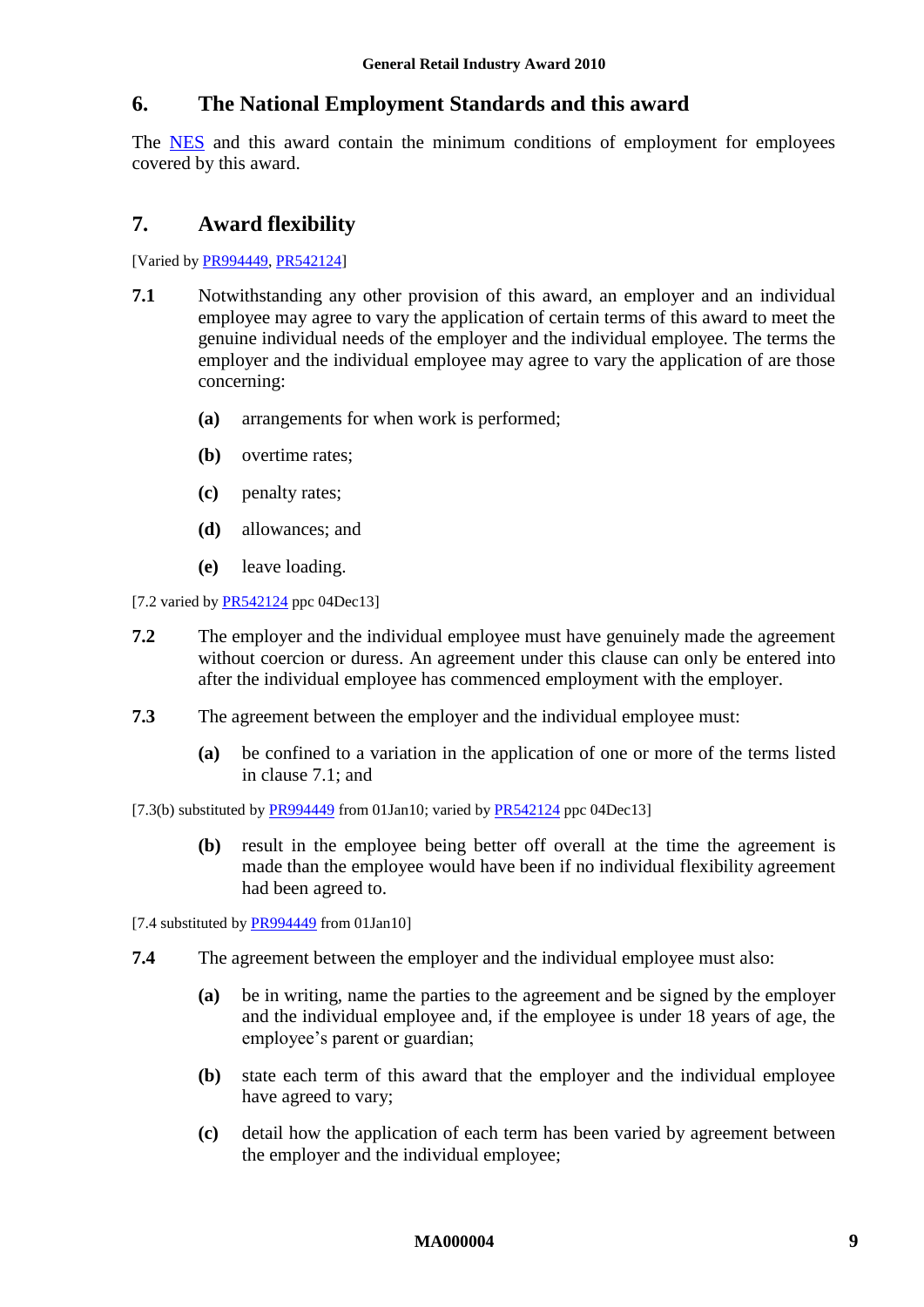### <span id="page-8-0"></span>**6. The National Employment Standards and this award**

The [NES](http://www.fwc.gov.au/awardmod/download/nes.pdf) and this award contain the minimum conditions of employment for employees covered by this award.

### <span id="page-8-1"></span>**7. Award flexibility**

<span id="page-8-2"></span>[Varied b[y PR994449,](http://www.fwc.gov.au/awardsandorders/html/PR994449.htm) [PR542124\]](http://www.fwc.gov.au/awardsandorders/html/PR542124.htm)

- **7.1** Notwithstanding any other provision of this award, an employer and an individual employee may agree to vary the application of certain terms of this award to meet the genuine individual needs of the employer and the individual employee. The terms the employer and the individual employee may agree to vary the application of are those concerning:
	- **(a)** arrangements for when work is performed;
	- **(b)** overtime rates;
	- **(c)** penalty rates;
	- **(d)** allowances; and
	- **(e)** leave loading.

[7.2 varied by [PR542124](http://www.fwc.gov.au/awardsandorders/html/PR542124.htm) ppc 04Dec13]

- **7.2** The employer and the individual employee must have genuinely made the agreement without coercion or duress. An agreement under this clause can only be entered into after the individual employee has commenced employment with the employer.
- **7.3** The agreement between the employer and the individual employee must:
	- **(a)** be confined to a variation in the application of one or more of the terms listed in clause [7.1;](#page-8-2) and
- [7.3(b) substituted by [PR994449](http://www.fwc.gov.au/awardsandorders/html/PR994449.htm) from 01Jan10; varied b[y PR542124](http://www.fwc.gov.au/awardsandorders/html/PR542124.htm) ppc 04Dec13]
	- **(b)** result in the employee being better off overall at the time the agreement is made than the employee would have been if no individual flexibility agreement had been agreed to.

[7.4 substituted b[y PR994449](http://www.fwc.gov.au/awardsandorders/html/PR994449.htm) from 01Jan10]

- <span id="page-8-3"></span>**7.4** The agreement between the employer and the individual employee must also:
	- **(a)** be in writing, name the parties to the agreement and be signed by the employer and the individual employee and, if the employee is under 18 years of age, the employee's parent or guardian;
	- **(b)** state each term of this award that the employer and the individual employee have agreed to vary;
	- **(c)** detail how the application of each term has been varied by agreement between the employer and the individual employee;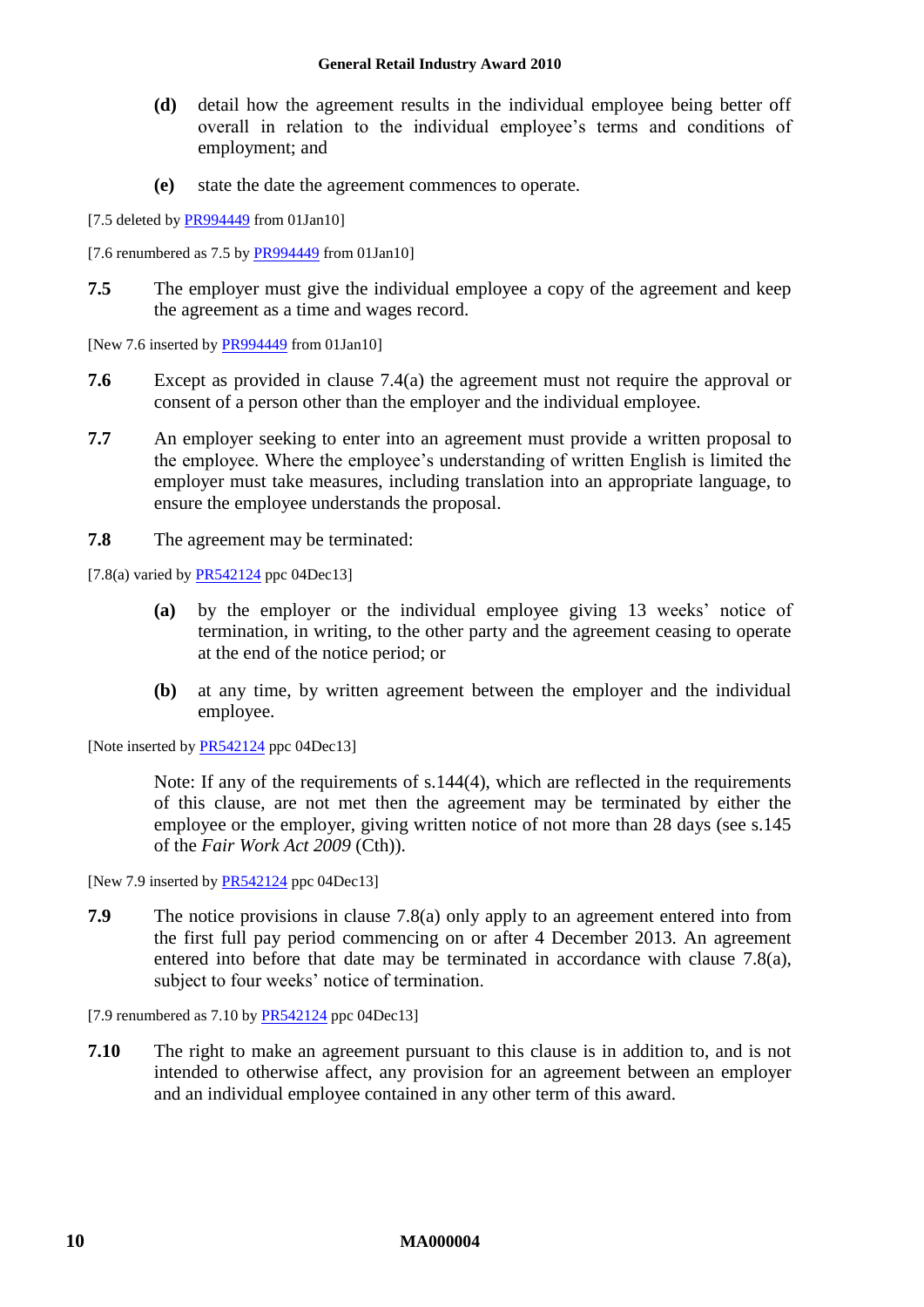- **(d)** detail how the agreement results in the individual employee being better off overall in relation to the individual employee's terms and conditions of employment; and
- **(e)** state the date the agreement commences to operate.
- [7.5 deleted by [PR994449](http://www.fwc.gov.au/awardsandorders/html/PR994449.htm) from 01Jan10]
- [7.6 renumbered as  $7.5$  b[y PR994449](http://www.fwc.gov.au/awardsandorders/html/PR994449.htm) from 01Jan10]
- **7.5** The employer must give the individual employee a copy of the agreement and keep the agreement as a time and wages record.

[New 7.6 inserted by  $PR994449$  from 01Jan10]

- **7.6** Except as provided in clause [7.4\(a\)](#page-8-3) the agreement must not require the approval or consent of a person other than the employer and the individual employee.
- **7.7** An employer seeking to enter into an agreement must provide a written proposal to the employee. Where the employee's understanding of written English is limited the employer must take measures, including translation into an appropriate language, to ensure the employee understands the proposal.
- **7.8** The agreement may be terminated:

<span id="page-9-0"></span> $[7.8(a)$  varied by [PR542124](http://www.fwc.gov.au/awardsandorders/html/PR542124.htm) ppc 04Dec13]

- **(a)** by the employer or the individual employee giving 13 weeks' notice of termination, in writing, to the other party and the agreement ceasing to operate at the end of the notice period; or
- **(b)** at any time, by written agreement between the employer and the individual employee.

[Note inserted b[y PR542124](http://www.fwc.gov.au/awardsandorders/html/PR542124.htm) ppc 04Dec13]

Note: If any of the requirements of s.144(4), which are reflected in the requirements of this clause, are not met then the agreement may be terminated by either the employee or the employer, giving written notice of not more than 28 days (see s.145 of the *Fair Work Act 2009* (Cth)).

[New 7.9 inserted by **PR542124** ppc 04Dec13]

**7.9** The notice provisions in clause [7.8\(a\)](#page-9-0) only apply to an agreement entered into from the first full pay period commencing on or after 4 December 2013. An agreement entered into before that date may be terminated in accordance with clause [7.8\(a\),](#page-9-0) subject to four weeks' notice of termination.

[7.9 renumbered as  $7.10$  by [PR542124](http://www.fwc.gov.au/awardsandorders/html/PR542124.htm) ppc 04Dec13]

**7.10** The right to make an agreement pursuant to this clause is in addition to, and is not intended to otherwise affect, any provision for an agreement between an employer and an individual employee contained in any other term of this award.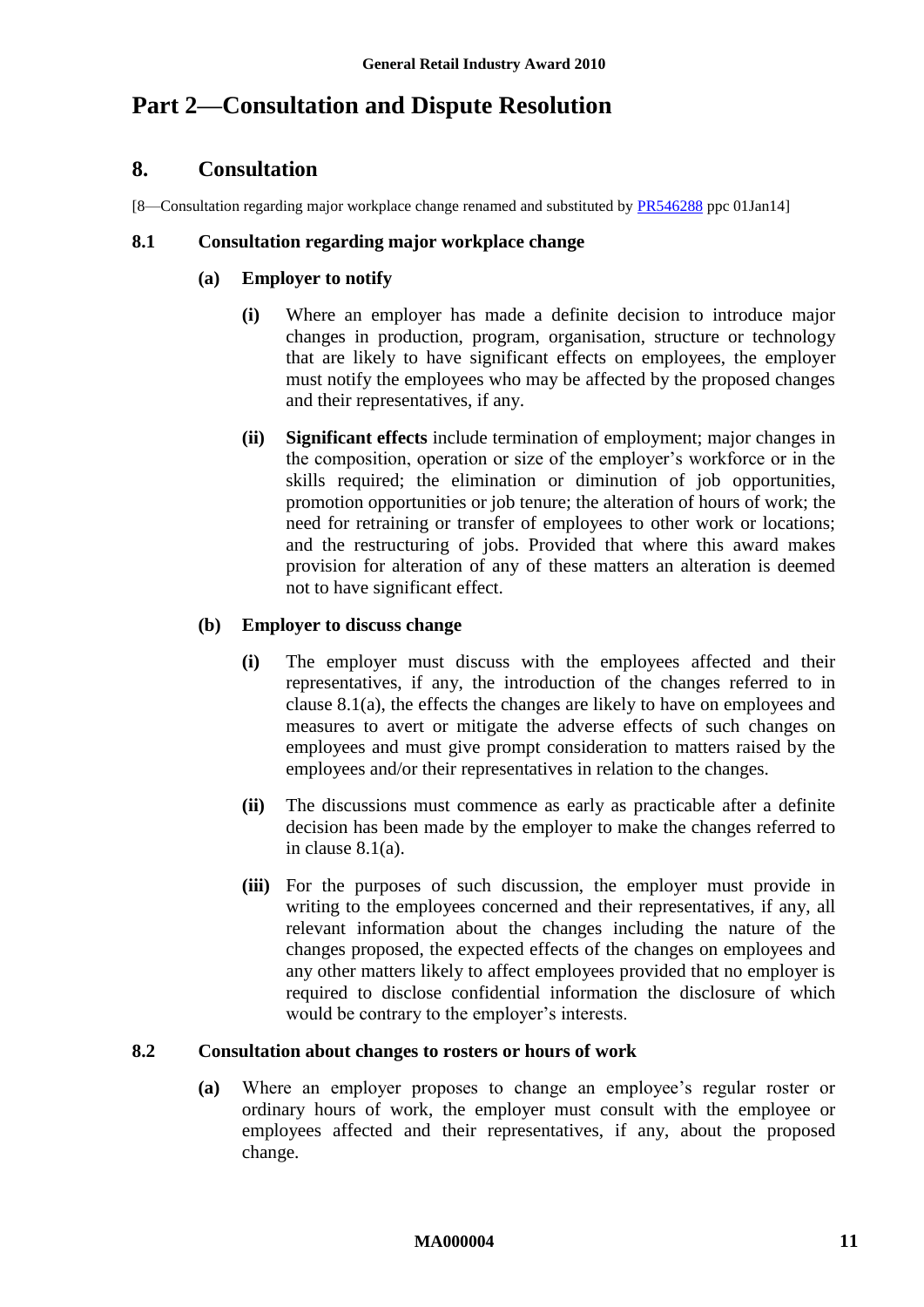# <span id="page-10-1"></span><span id="page-10-0"></span>**Part 2—Consultation and Dispute Resolution**

### **8. Consultation**

[8—Consultation regarding major workplace change renamed and substituted by [PR546288](http://www.fwc.gov.au/awardsandorders/html/pr546288.htm) ppc 01Jan14]

#### <span id="page-10-2"></span>**8.1 Consultation regarding major workplace change**

### **(a) Employer to notify**

- **(i)** Where an employer has made a definite decision to introduce major changes in production, program, organisation, structure or technology that are likely to have significant effects on employees, the employer must notify the employees who may be affected by the proposed changes and their representatives, if any.
- **(ii) Significant effects** include termination of employment; major changes in the composition, operation or size of the employer's workforce or in the skills required; the elimination or diminution of job opportunities, promotion opportunities or job tenure; the alteration of hours of work; the need for retraining or transfer of employees to other work or locations; and the restructuring of jobs. Provided that where this award makes provision for alteration of any of these matters an alteration is deemed not to have significant effect.

### **(b) Employer to discuss change**

- **(i)** The employer must discuss with the employees affected and their representatives, if any, the introduction of the changes referred to in clause [8.1\(a\),](#page-10-2) the effects the changes are likely to have on employees and measures to avert or mitigate the adverse effects of such changes on employees and must give prompt consideration to matters raised by the employees and/or their representatives in relation to the changes.
- **(ii)** The discussions must commence as early as practicable after a definite decision has been made by the employer to make the changes referred to in clause [8.1\(a\).](#page-10-2)
- **(iii)** For the purposes of such discussion, the employer must provide in writing to the employees concerned and their representatives, if any, all relevant information about the changes including the nature of the changes proposed, the expected effects of the changes on employees and any other matters likely to affect employees provided that no employer is required to disclose confidential information the disclosure of which would be contrary to the employer's interests.

### **8.2 Consultation about changes to rosters or hours of work**

**(a)** Where an employer proposes to change an employee's regular roster or ordinary hours of work, the employer must consult with the employee or employees affected and their representatives, if any, about the proposed change.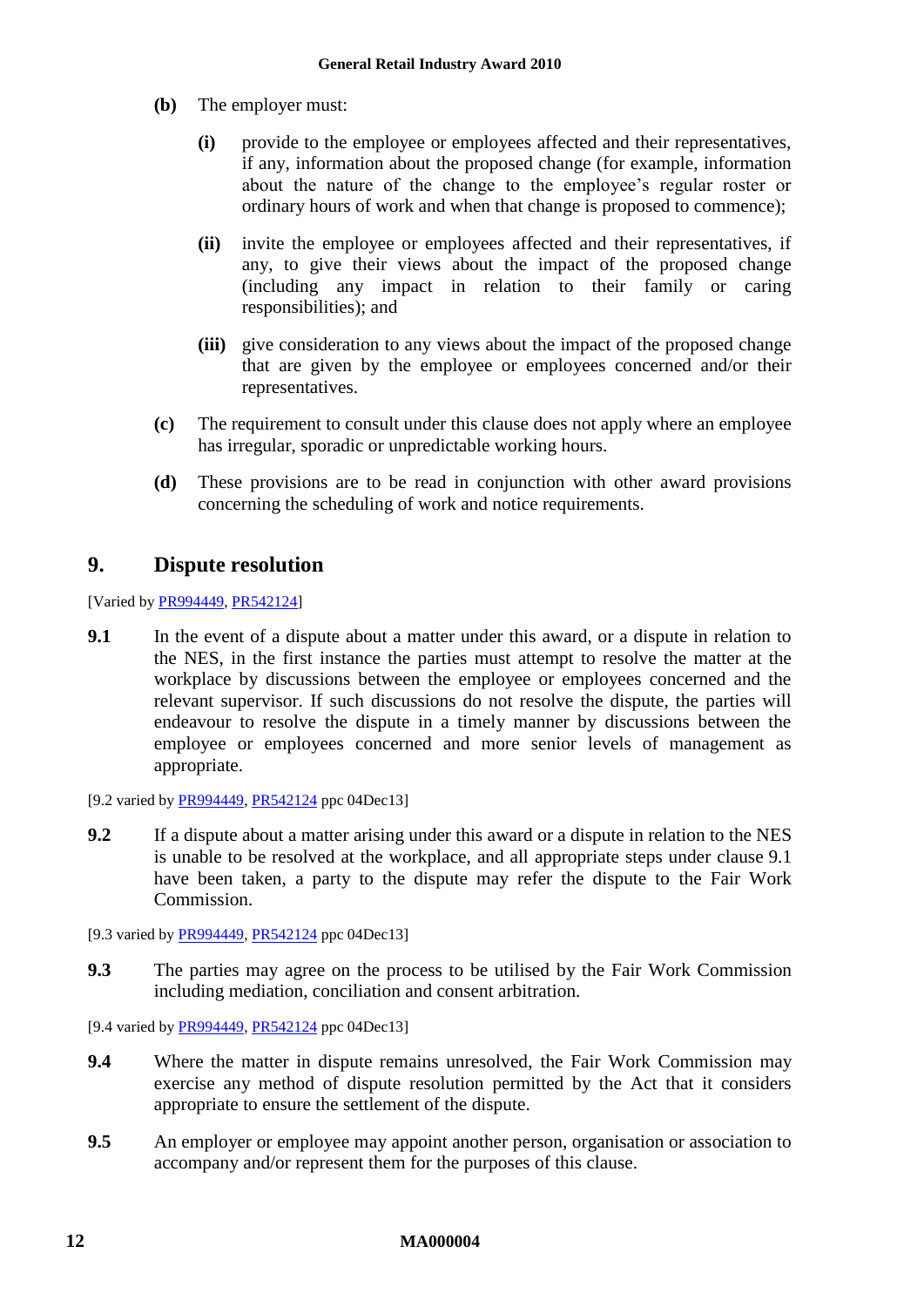- **(b)** The employer must:
	- **(i)** provide to the employee or employees affected and their representatives, if any, information about the proposed change (for example, information about the nature of the change to the employee's regular roster or ordinary hours of work and when that change is proposed to commence);
	- **(ii)** invite the employee or employees affected and their representatives, if any, to give their views about the impact of the proposed change (including any impact in relation to their family or caring responsibilities); and
	- **(iii)** give consideration to any views about the impact of the proposed change that are given by the employee or employees concerned and/or their representatives.
- **(c)** The requirement to consult under this clause does not apply where an employee has irregular, sporadic or unpredictable working hours.
- **(d)** These provisions are to be read in conjunction with other award provisions concerning the scheduling of work and notice requirements.

## <span id="page-11-2"></span><span id="page-11-0"></span>**9. Dispute resolution**

[Varied by [PR994449,](http://www.fwc.gov.au/awardsandorders/html/PR994449.htm) [PR542124\]](http://www.fwc.gov.au/awardsandorders/html/PR542124.htm)

- <span id="page-11-1"></span>**9.1** In the event of a dispute about a matter under this award, or a dispute in relation to the NES, in the first instance the parties must attempt to resolve the matter at the workplace by discussions between the employee or employees concerned and the relevant supervisor. If such discussions do not resolve the dispute, the parties will endeavour to resolve the dispute in a timely manner by discussions between the employee or employees concerned and more senior levels of management as appropriate.
- [9.2 varied by [PR994449,](http://www.fwc.gov.au/awardsandorders/html/PR994449.htm) [PR542124](http://www.fwc.gov.au/awardsandorders/html/PR542124.htm) ppc 04Dec13]
- **9.2** If a dispute about a matter arising under this award or a dispute in relation to the NES is unable to be resolved at the workplace, and all appropriate steps under clause [9.1](#page-11-1) have been taken, a party to the dispute may refer the dispute to the Fair Work Commission.
- [9.3 varied by [PR994449,](http://www.fwc.gov.au/awardsandorders/html/PR994449.htm) [PR542124](http://www.fwc.gov.au/awardsandorders/html/PR542124.htm) ppc 04Dec13]
- **9.3** The parties may agree on the process to be utilised by the Fair Work Commission including mediation, conciliation and consent arbitration.
- [9.4 varied by [PR994449,](http://www.fwc.gov.au/awardsandorders/html/PR994449.htm) [PR542124](http://www.fwc.gov.au/awardsandorders/html/PR542124.htm) ppc 04Dec13]
- **9.4** Where the matter in dispute remains unresolved, the Fair Work Commission may exercise any method of dispute resolution permitted by the Act that it considers appropriate to ensure the settlement of the dispute.
- **9.5** An employer or employee may appoint another person, organisation or association to accompany and/or represent them for the purposes of this clause.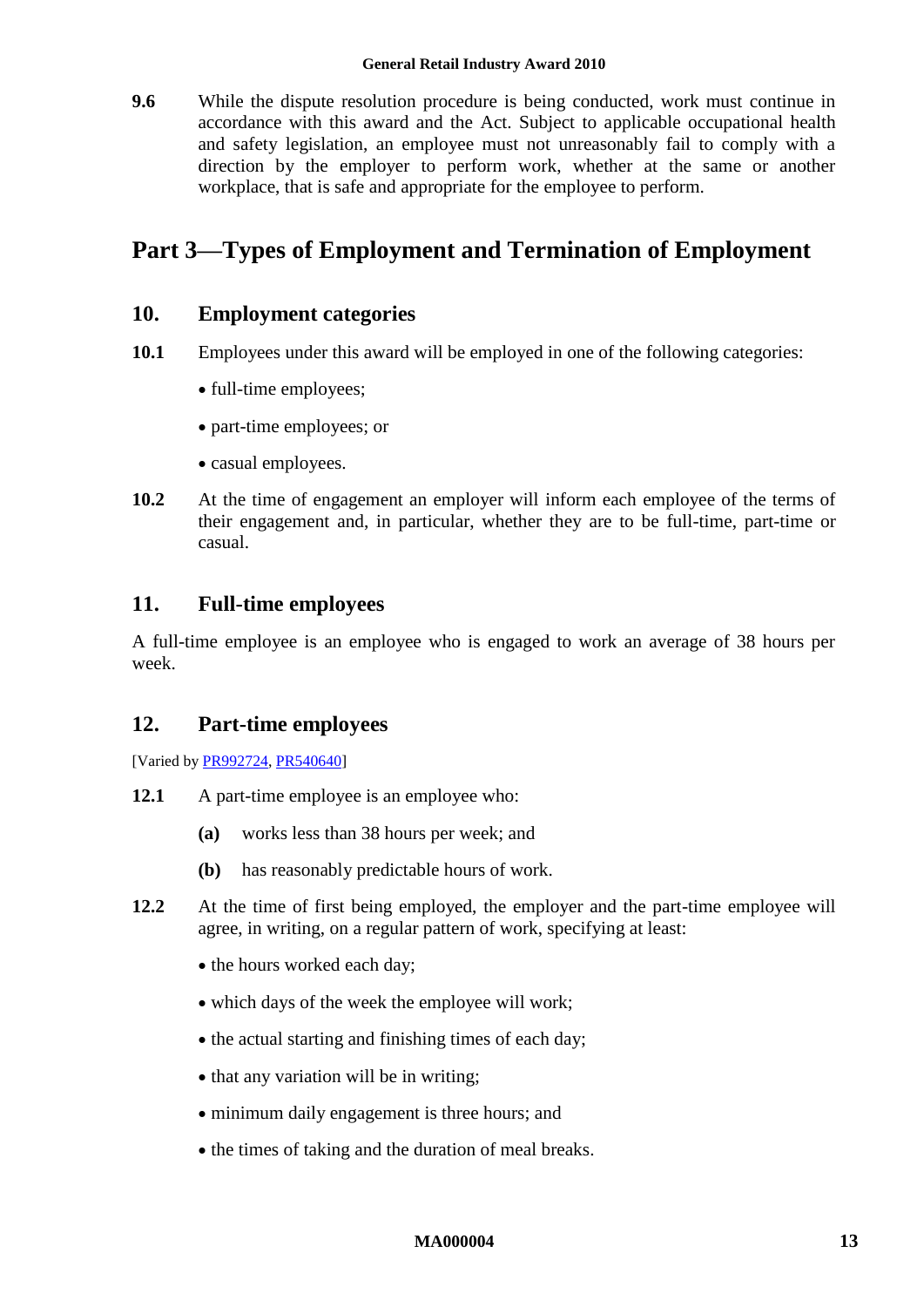#### **General Retail Industry Award 2010**

**9.6** While the dispute resolution procedure is being conducted, work must continue in accordance with this award and the Act. Subject to applicable occupational health and safety legislation, an employee must not unreasonably fail to comply with a direction by the employer to perform work, whether at the same or another workplace, that is safe and appropriate for the employee to perform.

# <span id="page-12-1"></span><span id="page-12-0"></span>**Part 3—Types of Employment and Termination of Employment**

### **10. Employment categories**

- **10.1** Employees under this award will be employed in one of the following categories:
	- full-time employees;
	- part-time employees; or
	- casual employees.
- **10.2** At the time of engagement an employer will inform each employee of the terms of their engagement and, in particular, whether they are to be full-time, part-time or casual.

### <span id="page-12-2"></span>**11. Full-time employees**

A full-time employee is an employee who is engaged to work an average of 38 hours per week.

### <span id="page-12-3"></span>**12. Part-time employees**

[Varied b[y PR992724,](http://www.fwc.gov.au/awardsandorders/html/PR992724.htm) [PR540640\]](http://www.fwc.gov.au/awardsandorders/html/PR540640.htm)

- **12.1** A part-time employee is an employee who:
	- **(a)** works less than 38 hours per week; and
	- **(b)** has reasonably predictable hours of work.
- <span id="page-12-4"></span>**12.2** At the time of first being employed, the employer and the part-time employee will agree, in writing, on a regular pattern of work, specifying at least:
	- the hours worked each day;
	- which days of the week the employee will work:
	- the actual starting and finishing times of each day;
	- that any variation will be in writing;
	- minimum daily engagement is three hours; and
	- the times of taking and the duration of meal breaks.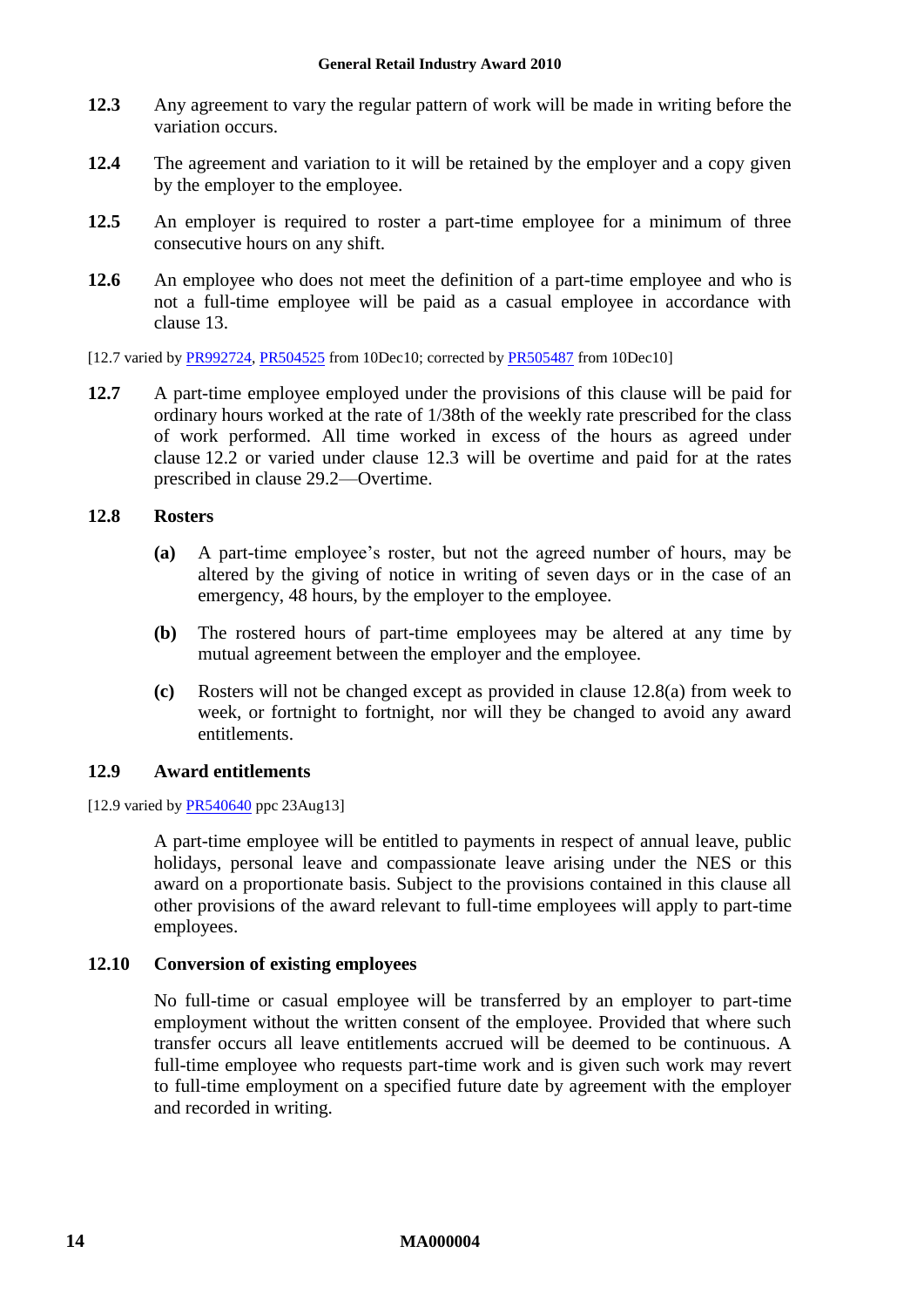- <span id="page-13-0"></span>**12.3** Any agreement to vary the regular pattern of work will be made in writing before the variation occurs.
- **12.4** The agreement and variation to it will be retained by the employer and a copy given by the employer to the employee.
- **12.5** An employer is required to roster a part-time employee for a minimum of three consecutive hours on any shift.
- **12.6** An employee who does not meet the definition of a part-time employee and who is not a full-time employee will be paid as a casual employee in accordance with clause [13.](#page-14-2)
- [12.7 varied by [PR992724,](http://www.fwc.gov.au/awardsandorders/html/PR992724.htm) [PR504525](http://www.fwc.gov.au/awardsandorders/html/PR504525.htm) from 10Dec10; corrected by [PR505487](http://www.fwc.gov.au/awardsandorders/html/PR505487.htm) from 10Dec10]
- **12.7** A part-time employee employed under the provisions of this clause will be paid for ordinary hours worked at the rate of 1/38th of the weekly rate prescribed for the class of work performed. All time worked in excess of the hours as agreed under clause [12.2](#page-12-4) or varied under clause [12.3](#page-13-0) will be overtime and paid for at the rates prescribed in clause [29.2—Overtime.](#page-29-1)

### <span id="page-13-1"></span>**12.8 Rosters**

- **(a)** A part-time employee's roster, but not the agreed number of hours, may be altered by the giving of notice in writing of seven days or in the case of an emergency, 48 hours, by the employer to the employee.
- **(b)** The rostered hours of part-time employees may be altered at any time by mutual agreement between the employer and the employee.
- **(c)** Rosters will not be changed except as provided in clause [12.8\(a\)](#page-13-1) from week to week, or fortnight to fortnight, nor will they be changed to avoid any award entitlements.

### **12.9 Award entitlements**

#### [12.9 varied by [PR540640](http://www.fwc.gov.au/awardsandorders/html/PR540640.htm) ppc 23Aug13]

A part-time employee will be entitled to payments in respect of annual leave, public holidays, personal leave and compassionate leave arising under the NES or this award on a proportionate basis. Subject to the provisions contained in this clause all other provisions of the award relevant to full-time employees will apply to part-time employees.

#### **12.10 Conversion of existing employees**

No full-time or casual employee will be transferred by an employer to part-time employment without the written consent of the employee. Provided that where such transfer occurs all leave entitlements accrued will be deemed to be continuous. A full-time employee who requests part-time work and is given such work may revert to full-time employment on a specified future date by agreement with the employer and recorded in writing.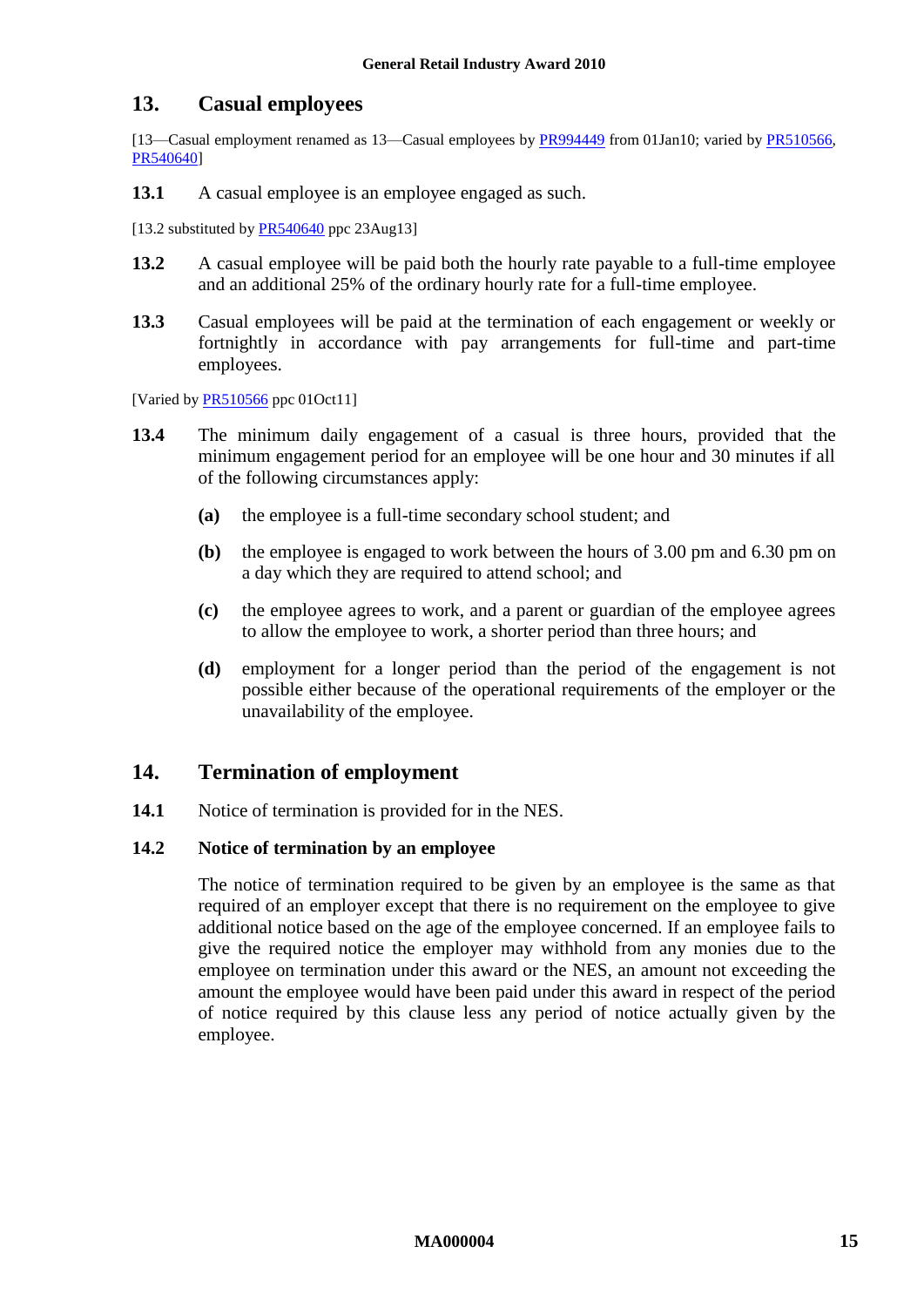### <span id="page-14-2"></span><span id="page-14-0"></span>**13. Casual employees**

[13—Casual employment renamed as 13—Casual employees by [PR994449](http://www.fwc.gov.au/awardsandorders/html/PR994449.htm) from 01Jan10; varied by [PR510566,](http://www.fwc.gov.au/awardsandorders/html/PR510566.htm) [PR540640\]](http://www.fwc.gov.au/awardsandorders/html/PR540640.htm)

**13.1** A casual employee is an employee engaged as such.

<span id="page-14-3"></span>[13.2 substituted by  $PR540640$  ppc 23Aug13]

- **13.2** A casual employee will be paid both the hourly rate payable to a full-time employee and an additional 25% of the ordinary hourly rate for a full-time employee.
- **13.3** Casual employees will be paid at the termination of each engagement or weekly or fortnightly in accordance with pay arrangements for full-time and part-time employees.

[Varied b[y PR510566](http://www.fwc.gov.au/awardsandorders/html/PR510566.htm) ppc 01Oct11]

- **13.4** The minimum daily engagement of a casual is three hours, provided that the minimum engagement period for an employee will be one hour and 30 minutes if all of the following circumstances apply:
	- **(a)** the employee is a full-time secondary school student; and
	- **(b)** the employee is engaged to work between the hours of 3.00 pm and 6.30 pm on a day which they are required to attend school; and
	- **(c)** the employee agrees to work, and a parent or guardian of the employee agrees to allow the employee to work, a shorter period than three hours; and
	- **(d)** employment for a longer period than the period of the engagement is not possible either because of the operational requirements of the employer or the unavailability of the employee.

### <span id="page-14-1"></span>**14. Termination of employment**

**14.1** Notice of termination is provided for in the NES.

#### **14.2 Notice of termination by an employee**

The notice of termination required to be given by an employee is the same as that required of an employer except that there is no requirement on the employee to give additional notice based on the age of the employee concerned. If an employee fails to give the required notice the employer may withhold from any monies due to the employee on termination under this award or the NES, an amount not exceeding the amount the employee would have been paid under this award in respect of the period of notice required by this clause less any period of notice actually given by the employee.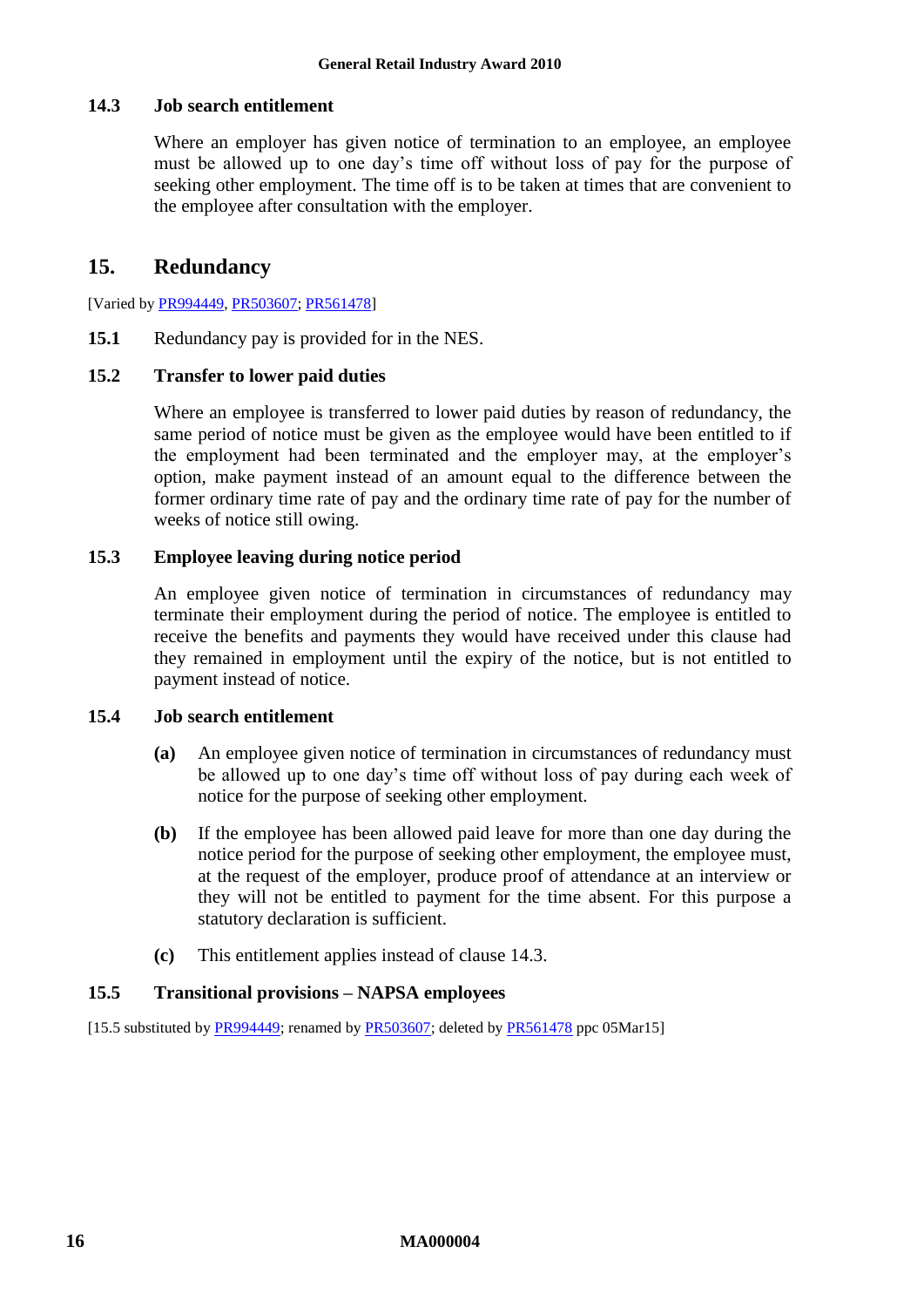#### <span id="page-15-1"></span>**14.3 Job search entitlement**

Where an employer has given notice of termination to an employee, an employee must be allowed up to one day's time off without loss of pay for the purpose of seeking other employment. The time off is to be taken at times that are convenient to the employee after consultation with the employer.

### <span id="page-15-0"></span>**15. Redundancy**

[Varied by [PR994449,](http://www.fwc.gov.au/awardsandorders/html/PR994449.htm) [PR503607;](http://www.fwc.gov.au/awardsandorders/html/PR503607.htm) [PR561478\]](http://www.fwc.gov.au/awardsandorders/html/PR561478.htm)

**15.1** Redundancy pay is provided for in the NES.

#### **15.2 Transfer to lower paid duties**

Where an employee is transferred to lower paid duties by reason of redundancy, the same period of notice must be given as the employee would have been entitled to if the employment had been terminated and the employer may, at the employer's option, make payment instead of an amount equal to the difference between the former ordinary time rate of pay and the ordinary time rate of pay for the number of weeks of notice still owing.

### **15.3 Employee leaving during notice period**

An employee given notice of termination in circumstances of redundancy may terminate their employment during the period of notice. The employee is entitled to receive the benefits and payments they would have received under this clause had they remained in employment until the expiry of the notice, but is not entitled to payment instead of notice.

#### **15.4 Job search entitlement**

- **(a)** An employee given notice of termination in circumstances of redundancy must be allowed up to one day's time off without loss of pay during each week of notice for the purpose of seeking other employment.
- **(b)** If the employee has been allowed paid leave for more than one day during the notice period for the purpose of seeking other employment, the employee must, at the request of the employer, produce proof of attendance at an interview or they will not be entitled to payment for the time absent. For this purpose a statutory declaration is sufficient.
- **(c)** This entitlement applies instead of clause [14.3.](#page-15-1)

#### **15.5 Transitional provisions – NAPSA employees**

[15.5 substituted by [PR994449;](http://www.fwc.gov.au/awardsandorders/html/PR994449.htm) renamed by [PR503607;](http://www.fwc.gov.au/awardsandorders/html/PR503607.htm) deleted b[y PR561478](http://www.fwc.gov.au/awardsandorders/html/PR561478.htm) ppc 05Mar15]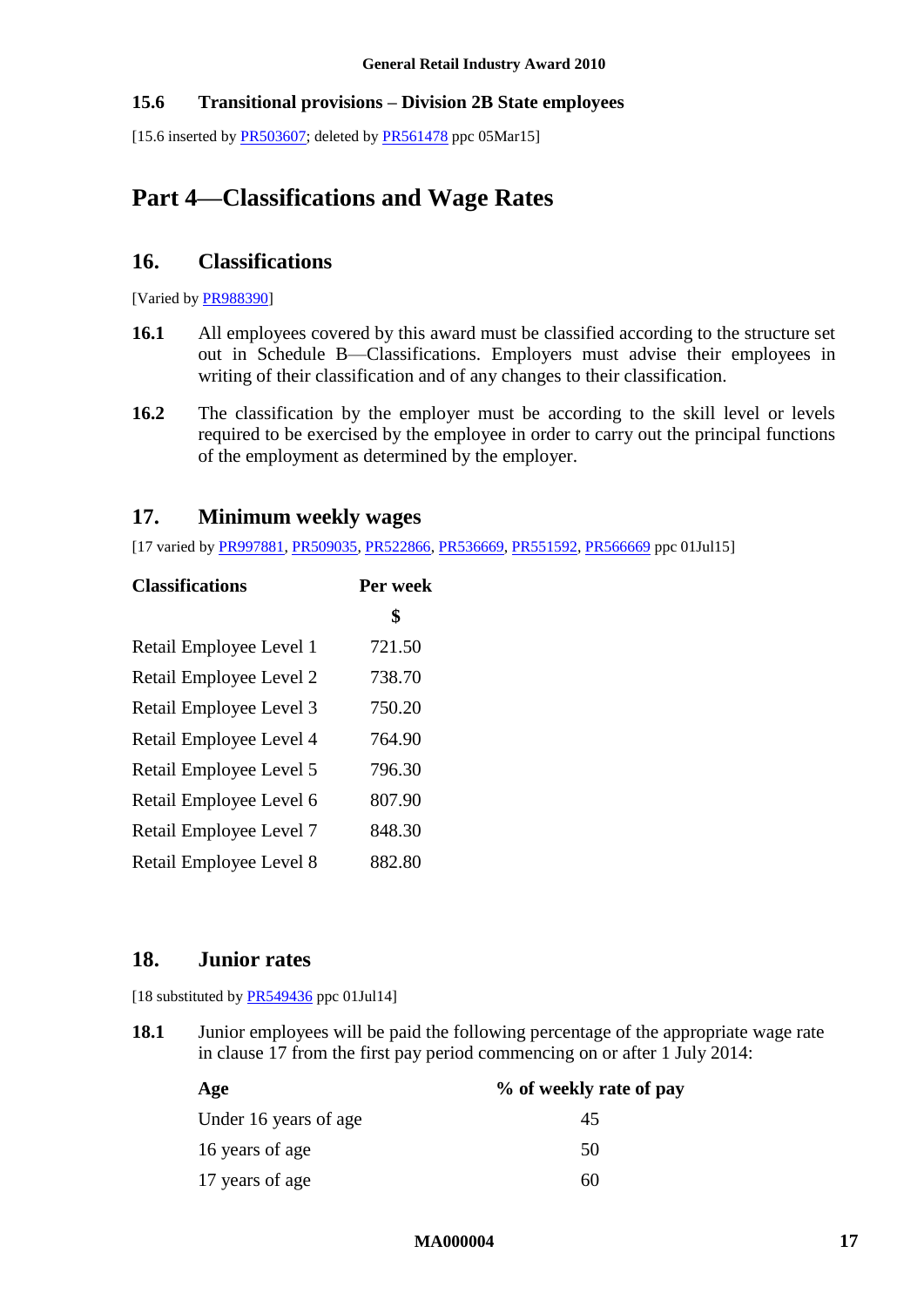### **15.6 Transitional provisions – Division 2B State employees**

<span id="page-16-1"></span>[15.6 inserted by  $PR503607$ ; deleted by  $PR561478$  ppc 05Mar15]

# <span id="page-16-5"></span><span id="page-16-2"></span>**Part 4—Classifications and Wage Rates**

### **16. Classifications**

[Varied b[y PR988390\]](http://www.fwc.gov.au/awardsandorders/html/PR988390.htm)

- **16.1** All employees covered by this award must be classified according to the structure set out in [Schedule B—Classifications.](#page-42-1) Employers must advise their employees in writing of their classification and of any changes to their classification.
- **16.2** The classification by the employer must be according to the skill level or levels required to be exercised by the employee in order to carry out the principal functions of the employment as determined by the employer.

### <span id="page-16-4"></span><span id="page-16-0"></span>**17. Minimum weekly wages**

[17 varied by [PR997881,](http://www.fwc.gov.au/awardsandorders/html/PR997881.htm) [PR509035,](http://www.fwc.gov.au/awardsandorders/html/PR509035.htm) [PR522866,](http://www.fwc.gov.au/awardsandorders/html/PR522866.htm) [PR536669,](http://www.fwc.gov.au/awardsandorders/html/PR536669.htm) [PR551592,](https://www.fwc.gov.au/awardsandorders/html/PR551592.htm) [PR566669](https://www.fwc.gov.au/awardsandorders/html/PR566669.htm) ppc 01Jul15]

| <b>Classifications</b>  | Per week |
|-------------------------|----------|
|                         | \$       |
| Retail Employee Level 1 | 721.50   |
| Retail Employee Level 2 | 738.70   |
| Retail Employee Level 3 | 750.20   |
| Retail Employee Level 4 | 764.90   |
| Retail Employee Level 5 | 796.30   |
| Retail Employee Level 6 | 807.90   |
| Retail Employee Level 7 | 848.30   |
| Retail Employee Level 8 | 882.80   |

### <span id="page-16-3"></span>**18. Junior rates**

[18 substituted by [PR549436](https://www.fwc.gov.au/awardsandorders/html/pr549436.htm) ppc 01Jul14]

**18.1** Junior employees will be paid the following percentage of the appropriate wage rate in clause [17](#page-16-4) from the first pay period commencing on or after 1 July 2014:

| Age                   | % of weekly rate of pay |
|-----------------------|-------------------------|
| Under 16 years of age | 45                      |
| 16 years of age       | 50                      |
| 17 years of age       | 60                      |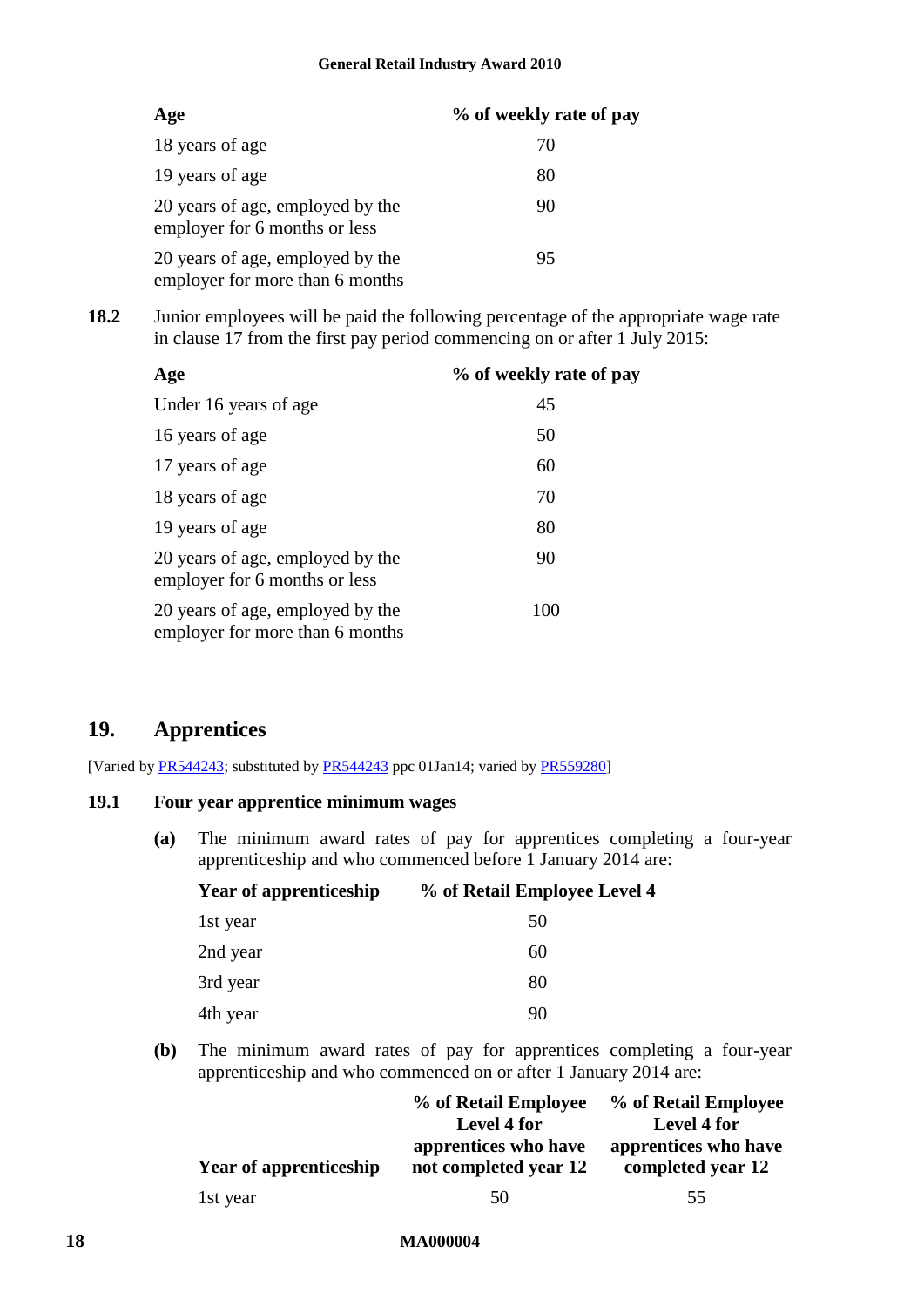| Age                                                                 | % of weekly rate of pay |
|---------------------------------------------------------------------|-------------------------|
| 18 years of age                                                     | 70                      |
| 19 years of age                                                     | 80                      |
| 20 years of age, employed by the<br>employer for 6 months or less   | 90                      |
| 20 years of age, employed by the<br>employer for more than 6 months | 95                      |

**18.2** Junior employees will be paid the following percentage of the appropriate wage rate in clause [17](#page-16-4) from the first pay period commencing on or after 1 July 2015:

| Age |                                                                     | % of weekly rate of pay |
|-----|---------------------------------------------------------------------|-------------------------|
|     | Under 16 years of age                                               | 45                      |
|     | 16 years of age                                                     | 50                      |
|     | 17 years of age                                                     | 60                      |
|     | 18 years of age                                                     | 70                      |
|     | 19 years of age                                                     | 80                      |
|     | 20 years of age, employed by the<br>employer for 6 months or less   | 90                      |
|     | 20 years of age, employed by the<br>employer for more than 6 months | 100                     |

### <span id="page-17-0"></span>**19. Apprentices**

[Varied by [PR544243;](http://www.fwc.gov.au/awardsandorders/html/PR544243.htm) substituted by [PR544243](http://www.fwc.gov.au/awardsandorders/html/PR544243.htm) ppc 01Jan14; varied by [PR559280\]](http://www.fwc.gov.au/awardsandorders/html/PR559280.htm)

#### <span id="page-17-1"></span>**19.1 Four year apprentice minimum wages**

**(a)** The minimum award rates of pay for apprentices completing a four-year apprenticeship and who commenced before 1 January 2014 are:

| % of Retail Employee Level 4 |
|------------------------------|
| 50                           |
| 60                           |
| 80                           |
| 90                           |
|                              |

**(b)** The minimum award rates of pay for apprentices completing a four-year apprenticeship and who commenced on or after 1 January 2014 are:

|                        | % of Retail Employee<br>Level 4 for           | % of Retail Employee<br><b>Level 4 for</b> |
|------------------------|-----------------------------------------------|--------------------------------------------|
| Year of apprenticeship | apprentices who have<br>not completed year 12 | apprentices who have<br>completed year 12  |
| 1st year               | 50                                            | 55                                         |

#### **18 MA000004**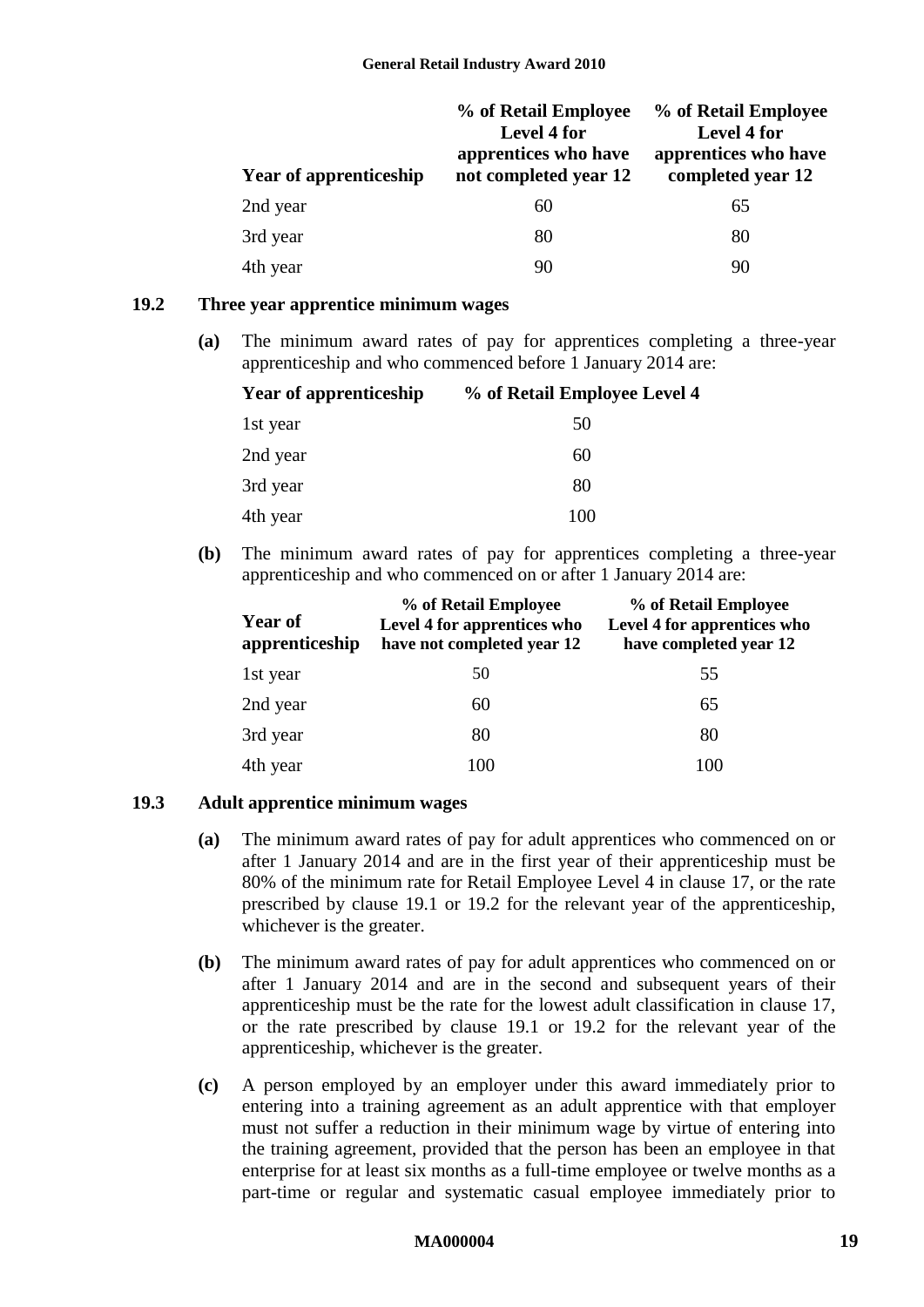| <b>Year of apprenticeship</b> | % of Retail Employee<br><b>Level 4 for</b><br>apprentices who have<br>not completed year 12 | % of Retail Employee<br>Level 4 for<br>apprentices who have<br>completed year 12 |
|-------------------------------|---------------------------------------------------------------------------------------------|----------------------------------------------------------------------------------|
| 2nd year                      | 60                                                                                          | 65                                                                               |
| 3rd year                      | 80                                                                                          | 80                                                                               |
| 4th year                      | 90                                                                                          | 90                                                                               |

#### <span id="page-18-0"></span>**19.2 Three year apprentice minimum wages**

**(a)** The minimum award rates of pay for apprentices completing a three-year apprenticeship and who commenced before 1 January 2014 are:

| <b>Year of apprenticeship</b> | % of Retail Employee Level 4 |
|-------------------------------|------------------------------|
| 1st year                      | 50                           |
| 2nd year                      | 60                           |
| 3rd year                      | 80                           |
| 4th year                      | 100                          |

**(b)** The minimum award rates of pay for apprentices completing a three-year apprenticeship and who commenced on or after 1 January 2014 are:

| <b>Year of</b><br>apprenticeship | % of Retail Employee<br>Level 4 for apprentices who<br>have not completed year 12 | % of Retail Employee<br>Level 4 for apprentices who<br>have completed year 12 |
|----------------------------------|-----------------------------------------------------------------------------------|-------------------------------------------------------------------------------|
| 1st year                         | 50                                                                                | 55                                                                            |
| 2nd year                         | 60                                                                                | 65                                                                            |
| 3rd year                         | 80                                                                                | 80                                                                            |
| 4th year                         | 100                                                                               | 100                                                                           |

#### **19.3 Adult apprentice minimum wages**

- **(a)** The minimum award rates of pay for adult apprentices who commenced on or after 1 January 2014 and are in the first year of their apprenticeship must be 80% of the minimum rate for Retail Employee Level 4 in clause [17,](#page-16-4) or the rate prescribed by clause [19.1](#page-17-1) or [19.2](#page-18-0) for the relevant year of the apprenticeship, whichever is the greater.
- **(b)** The minimum award rates of pay for adult apprentices who commenced on or after 1 January 2014 and are in the second and subsequent years of their apprenticeship must be the rate for the lowest adult classification in clause 17, or the rate prescribed by clause [19.1](#page-17-1) or [19.2](#page-18-0) for the relevant year of the apprenticeship, whichever is the greater.
- **(c)** A person employed by an employer under this award immediately prior to entering into a training agreement as an adult apprentice with that employer must not suffer a reduction in their minimum wage by virtue of entering into the training agreement, provided that the person has been an employee in that enterprise for at least six months as a full-time employee or twelve months as a part-time or regular and systematic casual employee immediately prior to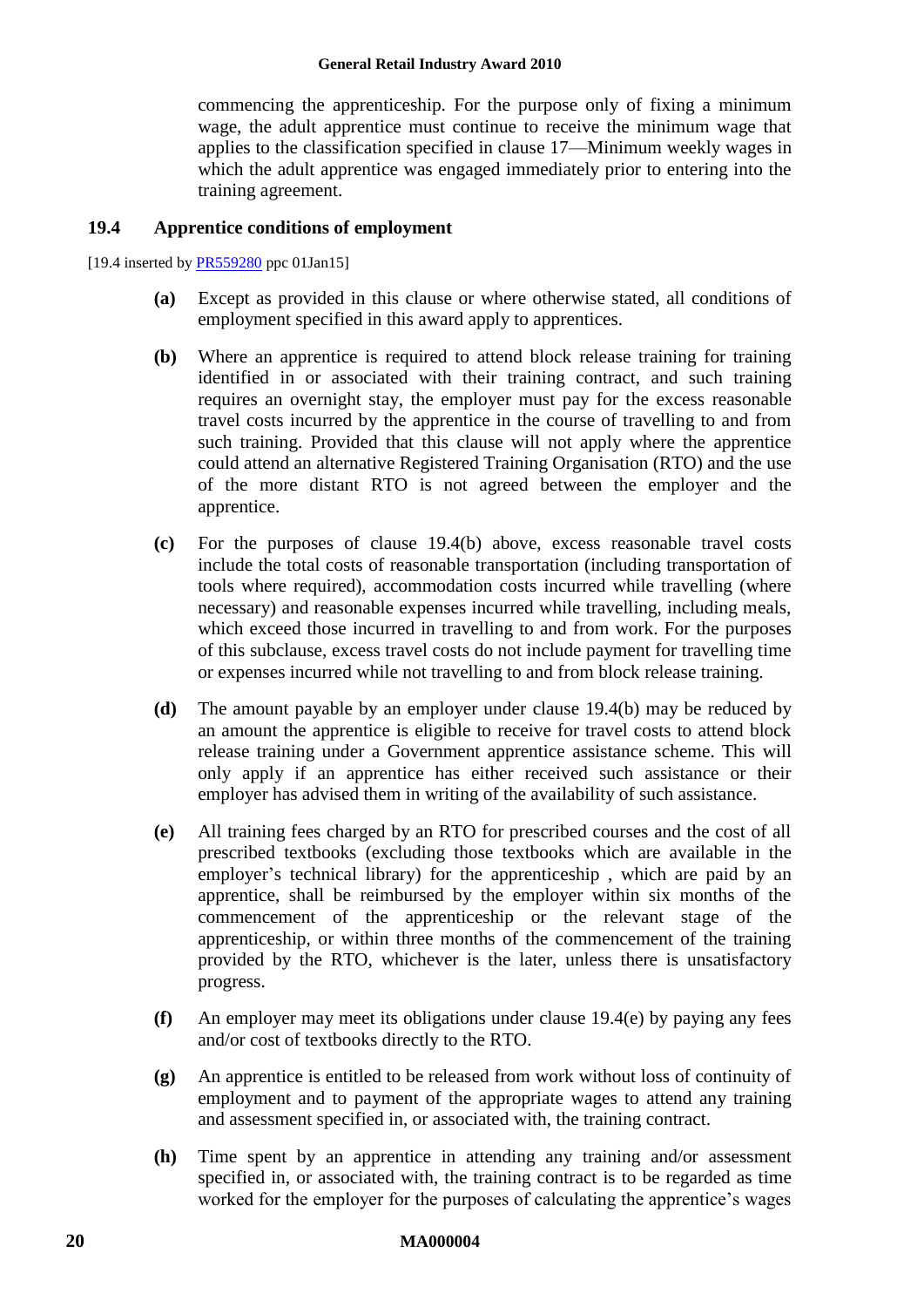#### **General Retail Industry Award 2010**

commencing the apprenticeship. For the purpose only of fixing a minimum wage, the adult apprentice must continue to receive the minimum wage that applies to the classification specified in clause [17—Minimum weekly wages](#page-16-4) in which the adult apprentice was engaged immediately prior to entering into the training agreement.

#### **19.4 Apprentice conditions of employment**

[19.4 inserted b[y PR559280](http://www.fwc.gov.au/awardsandorders/html/PR559280.htm) ppc 01Jan15]

- **(a)** Except as provided in this clause or where otherwise stated, all conditions of employment specified in this award apply to apprentices.
- <span id="page-19-0"></span>**(b)** Where an apprentice is required to attend block release training for training identified in or associated with their training contract, and such training requires an overnight stay, the employer must pay for the excess reasonable travel costs incurred by the apprentice in the course of travelling to and from such training. Provided that this clause will not apply where the apprentice could attend an alternative Registered Training Organisation (RTO) and the use of the more distant RTO is not agreed between the employer and the apprentice.
- **(c)** For the purposes of clause [19.4\(b\)](#page-19-0) above, excess reasonable travel costs include the total costs of reasonable transportation (including transportation of tools where required), accommodation costs incurred while travelling (where necessary) and reasonable expenses incurred while travelling, including meals, which exceed those incurred in travelling to and from work. For the purposes of this subclause, excess travel costs do not include payment for travelling time or expenses incurred while not travelling to and from block release training.
- **(d)** The amount payable by an employer under clause [19.4\(b\)](#page-19-0) may be reduced by an amount the apprentice is eligible to receive for travel costs to attend block release training under a Government apprentice assistance scheme. This will only apply if an apprentice has either received such assistance or their employer has advised them in writing of the availability of such assistance.
- <span id="page-19-1"></span>**(e)** All training fees charged by an RTO for prescribed courses and the cost of all prescribed textbooks (excluding those textbooks which are available in the employer's technical library) for the apprenticeship , which are paid by an apprentice, shall be reimbursed by the employer within six months of the commencement of the apprenticeship or the relevant stage of the apprenticeship, or within three months of the commencement of the training provided by the RTO, whichever is the later, unless there is unsatisfactory progress.
- **(f)** An employer may meet its obligations under clause [19.4\(e\)](#page-19-1) by paying any fees and/or cost of textbooks directly to the RTO.
- **(g)** An apprentice is entitled to be released from work without loss of continuity of employment and to payment of the appropriate wages to attend any training and assessment specified in, or associated with, the training contract.
- **(h)** Time spent by an apprentice in attending any training and/or assessment specified in, or associated with, the training contract is to be regarded as time worked for the employer for the purposes of calculating the apprentice's wages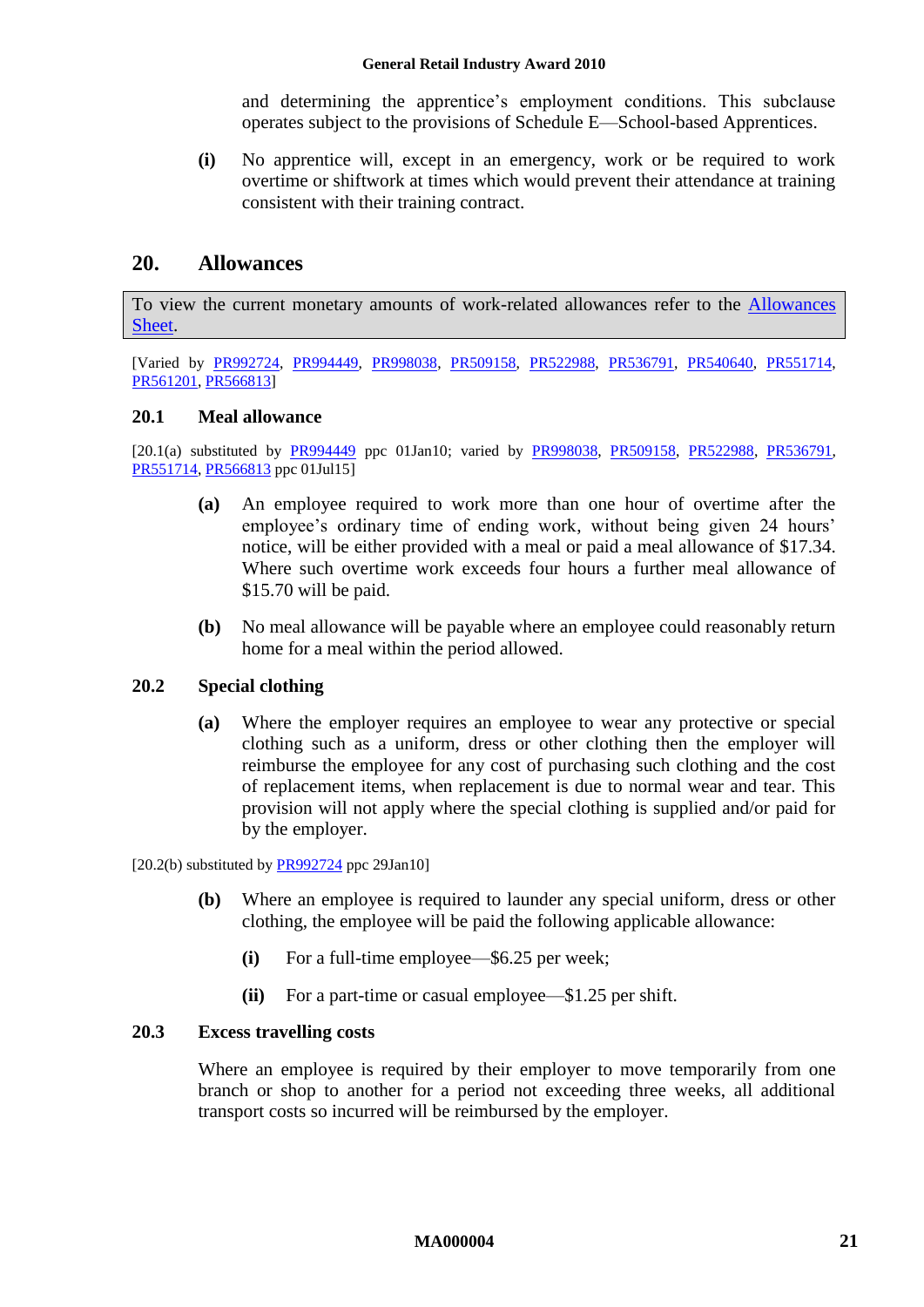and determining the apprentice's employment conditions. This subclause operates subject to the provisions of [Schedule E—School-based Apprentices.](#page-66-1)

**(i)** No apprentice will, except in an emergency, work or be required to work overtime or shiftwork at times which would prevent their attendance at training consistent with their training contract.

### <span id="page-20-0"></span>**20. Allowances**

To view the current monetary amounts of work-related allowances refer to the [Allowances](http://www.fwc.gov.au/documents/documents/modern_awards/allowances/MA000004-all.pdf)  [Sheet.](http://www.fwc.gov.au/documents/documents/modern_awards/allowances/MA000004-all.pdf)

[Varied by [PR992724,](http://www.fwc.gov.au/awardsandorders/html/PR992724.htm) [PR994449,](http://www.fwc.gov.au/awardsandorders/html/PR994449.htm) [PR998038,](http://www.fwc.gov.au/awardsandorders/html/PR998038.htm) [PR509158,](http://www.fwc.gov.au/awardsandorders/html/PR509158.htm) [PR522988,](http://www.fwc.gov.au/awardsandorders/html/PR522988.htm) [PR536791,](http://www.fwc.gov.au/awardsandorders/html/pr536791.htm) [PR540640,](http://www.fwc.gov.au/awardsandorders/html/PR540640.htm) [PR551714,](https://www.fwc.gov.au/awardsandorders/html/PR551714.htm) [PR561201,](http://www.fwc.gov.au/awardsandorders/html/PR561201.htm) [PR566813\]](http://www.fwc.gov.au/awardsandorders/html/PR566813.htm)

### **20.1 Meal allowance**

[20.1(a) substituted by [PR994449](http://www.fwc.gov.au/awardsandorders/html/PR994449.htm) ppc 01Jan10; varied by [PR998038,](http://www.fwc.gov.au/awardsandorders/html/PR998038.htm) [PR509158,](http://www.fwc.gov.au/awardsandorders/html/PR509158.htm) [PR522988,](http://www.fwc.gov.au/awardsandorders/html/PR522988.htm) [PR536791,](http://www.fwc.gov.au/awardsandorders/html/pr536791.htm) [PR551714,](https://www.fwc.gov.au/awardsandorders/html/PR551714.htm) [PR566813](http://www.fwc.gov.au/awardsandorders/html/PR566813.htm) ppc 01Jul15]

- **(a)** An employee required to work more than one hour of overtime after the employee's ordinary time of ending work, without being given 24 hours' notice, will be either provided with a meal or paid a meal allowance of \$17.34. Where such overtime work exceeds four hours a further meal allowance of \$15.70 will be paid.
- **(b)** No meal allowance will be payable where an employee could reasonably return home for a meal within the period allowed.

#### **20.2 Special clothing**

**(a)** Where the employer requires an employee to wear any protective or special clothing such as a uniform, dress or other clothing then the employer will reimburse the employee for any cost of purchasing such clothing and the cost of replacement items, when replacement is due to normal wear and tear. This provision will not apply where the special clothing is supplied and/or paid for by the employer.

 $[20.2(b)$  substituted by [PR992724](http://www.fwc.gov.au/awardsandorders/html/PR992724.htm) ppc 29Jan10]

- **(b)** Where an employee is required to launder any special uniform, dress or other clothing, the employee will be paid the following applicable allowance:
	- **(i)** For a full-time employee—\$6.25 per week;
	- **(ii)** For a part-time or casual employee—\$1.25 per shift.

#### **20.3 Excess travelling costs**

Where an employee is required by their employer to move temporarily from one branch or shop to another for a period not exceeding three weeks, all additional transport costs so incurred will be reimbursed by the employer.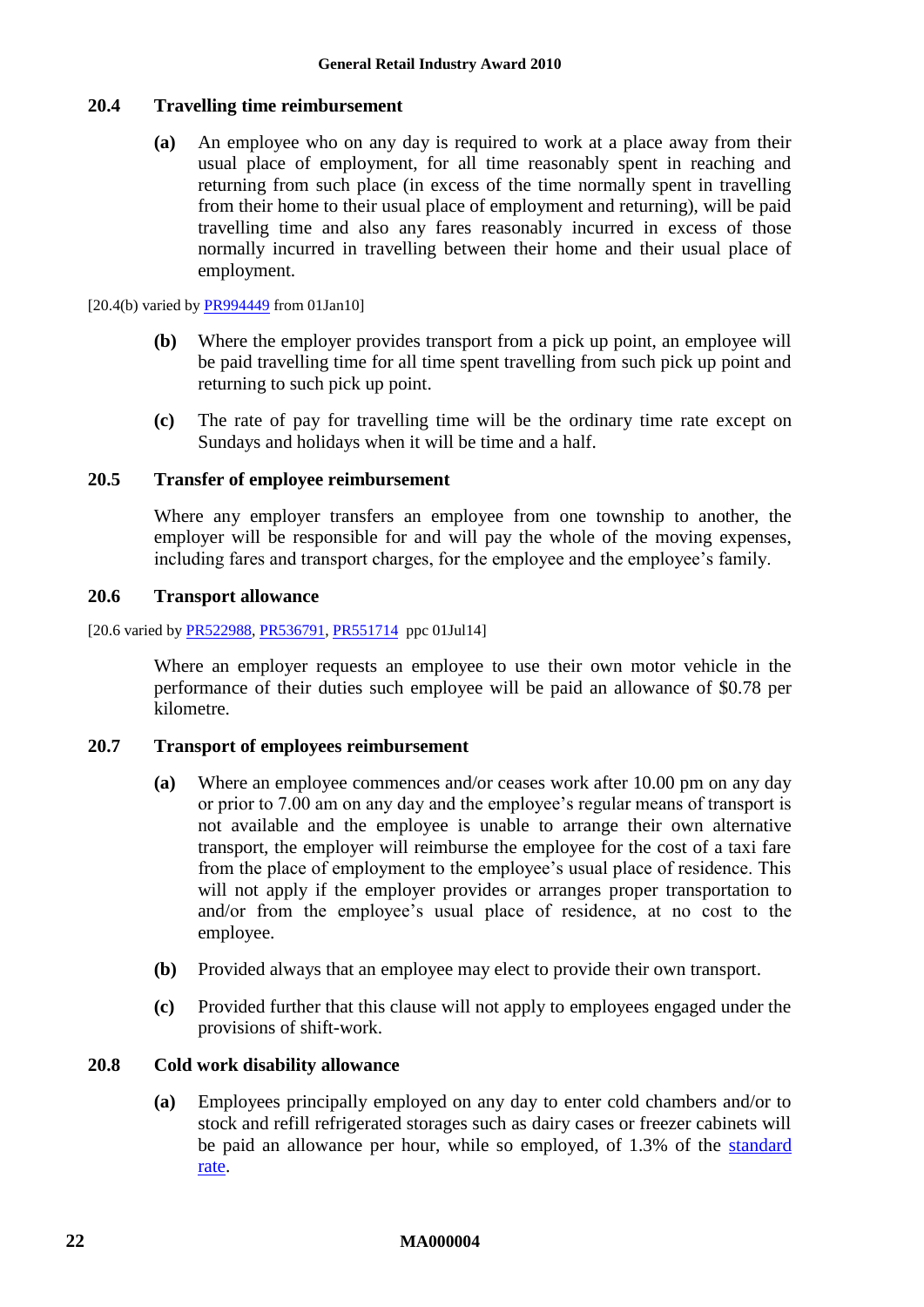#### **20.4 Travelling time reimbursement**

**(a)** An employee who on any day is required to work at a place away from their usual place of employment, for all time reasonably spent in reaching and returning from such place (in excess of the time normally spent in travelling from their home to their usual place of employment and returning), will be paid travelling time and also any fares reasonably incurred in excess of those normally incurred in travelling between their home and their usual place of employment.

[20.4(b) varied by  $\frac{PR994449}{PR997449}$  from 01Jan10]

- **(b)** Where the employer provides transport from a pick up point, an employee will be paid travelling time for all time spent travelling from such pick up point and returning to such pick up point.
- **(c)** The rate of pay for travelling time will be the ordinary time rate except on Sundays and holidays when it will be time and a half.

#### **20.5 Transfer of employee reimbursement**

Where any employer transfers an employee from one township to another, the employer will be responsible for and will pay the whole of the moving expenses, including fares and transport charges, for the employee and the employee's family.

#### **20.6 Transport allowance**

[20.6 varied by [PR522988,](http://www.fwc.gov.au/awardsandorders/html/PR522988.htm) [PR536791,](http://www.fwc.gov.au/awardsandorders/html/pr536791.htm) [PR551714](https://www.fwc.gov.au/awardsandorders/html/PR551714.htm) ppc 01Jul14]

Where an employer requests an employee to use their own motor vehicle in the performance of their duties such employee will be paid an allowance of \$0.78 per kilometre.

#### **20.7 Transport of employees reimbursement**

- **(a)** Where an employee commences and/or ceases work after 10.00 pm on any day or prior to 7.00 am on any day and the employee's regular means of transport is not available and the employee is unable to arrange their own alternative transport, the employer will reimburse the employee for the cost of a taxi fare from the place of employment to the employee's usual place of residence. This will not apply if the employer provides or arranges proper transportation to and/or from the employee's usual place of residence, at no cost to the employee.
- **(b)** Provided always that an employee may elect to provide their own transport.
- **(c)** Provided further that this clause will not apply to employees engaged under the provisions of shift-work.

#### <span id="page-21-0"></span>**20.8 Cold work disability allowance**

**(a)** Employees principally employed on any day to enter cold chambers and/or to stock and refill refrigerated storages such as dairy cases or freezer cabinets will be paid an allowance per hour, while so employed, of 1.3% of the [standard](#page-6-2)  [rate.](#page-6-2)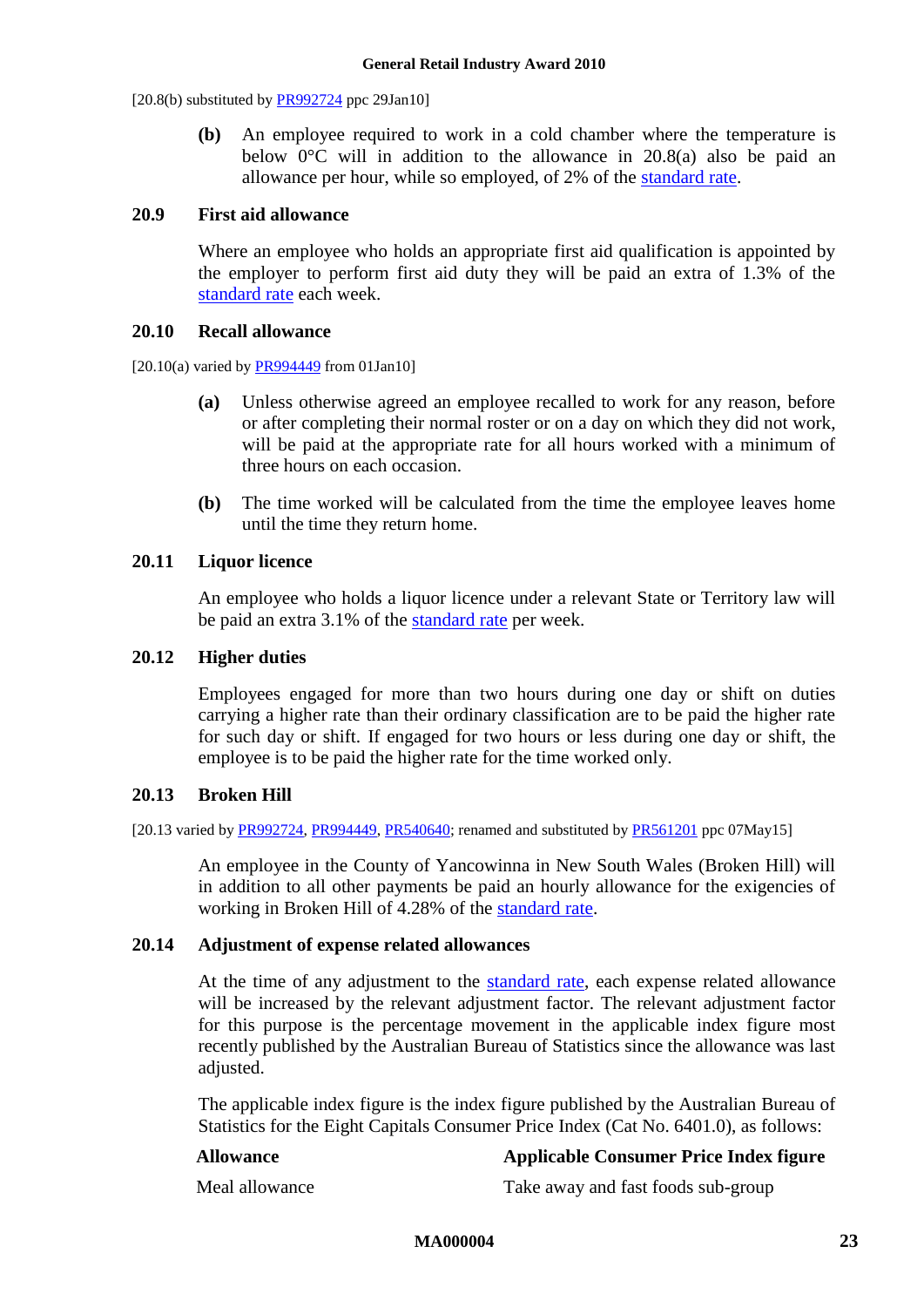$[20.8(b)$  substituted by [PR992724](http://www.fwc.gov.au/awardsandorders/html/PR992724.htm) ppc 29Jan10]

**(b)** An employee required to work in a cold chamber where the temperature is below  $0^{\circ}$ C will in addition to the allowance in [20.8\(a\)](#page-21-0) also be paid an allowance per hour, while so employed, of 2% of the [standard rate.](#page-6-2)

#### **20.9 First aid allowance**

Where an employee who holds an appropriate first aid qualification is appointed by the employer to perform first aid duty they will be paid an extra of 1.3% of the [standard rate](#page-6-2) each week.

#### **20.10 Recall allowance**

 $[20.10(a)$  varied by [PR994449](http://www.fwc.gov.au/awardsandorders/html/PR994449.htm) from 01Jan101

- **(a)** Unless otherwise agreed an employee recalled to work for any reason, before or after completing their normal roster or on a day on which they did not work, will be paid at the appropriate rate for all hours worked with a minimum of three hours on each occasion.
- **(b)** The time worked will be calculated from the time the employee leaves home until the time they return home.

#### **20.11 Liquor licence**

An employee who holds a liquor licence under a relevant State or Territory law will be paid an extra 3.1% of the [standard rate](#page-6-2) per week.

#### **20.12 Higher duties**

Employees engaged for more than two hours during one day or shift on duties carrying a higher rate than their ordinary classification are to be paid the higher rate for such day or shift. If engaged for two hours or less during one day or shift, the employee is to be paid the higher rate for the time worked only.

#### **20.13 Broken Hill**

[20.13 varied by [PR992724,](http://www.fwc.gov.au/awardsandorders/html/PR992724.htm) [PR994449,](http://www.fwc.gov.au/awardsandorders/html/PR994449.htm) [PR540640;](http://www.fwc.gov.au/awardsandorders/html/PR540640.htm) renamed and substituted b[y PR561201](http://www.fwc.gov.au/awardsandorders/html/PR561201.htm) ppc 07May15]

An employee in the County of Yancowinna in New South Wales (Broken Hill) will in addition to all other payments be paid an hourly allowance for the exigencies of working in Broken Hill of 4.28% of the [standard rate.](#page-6-2)

#### **20.14 Adjustment of expense related allowances**

At the time of any adjustment to the [standard rate,](#page-6-2) each expense related allowance will be increased by the relevant adjustment factor. The relevant adjustment factor for this purpose is the percentage movement in the applicable index figure most recently published by the Australian Bureau of Statistics since the allowance was last adjusted.

The applicable index figure is the index figure published by the Australian Bureau of Statistics for the Eight Capitals Consumer Price Index (Cat No. 6401.0), as follows:

#### **Allowance Applicable Consumer Price Index figure**

Meal allowance Take away and fast foods sub-group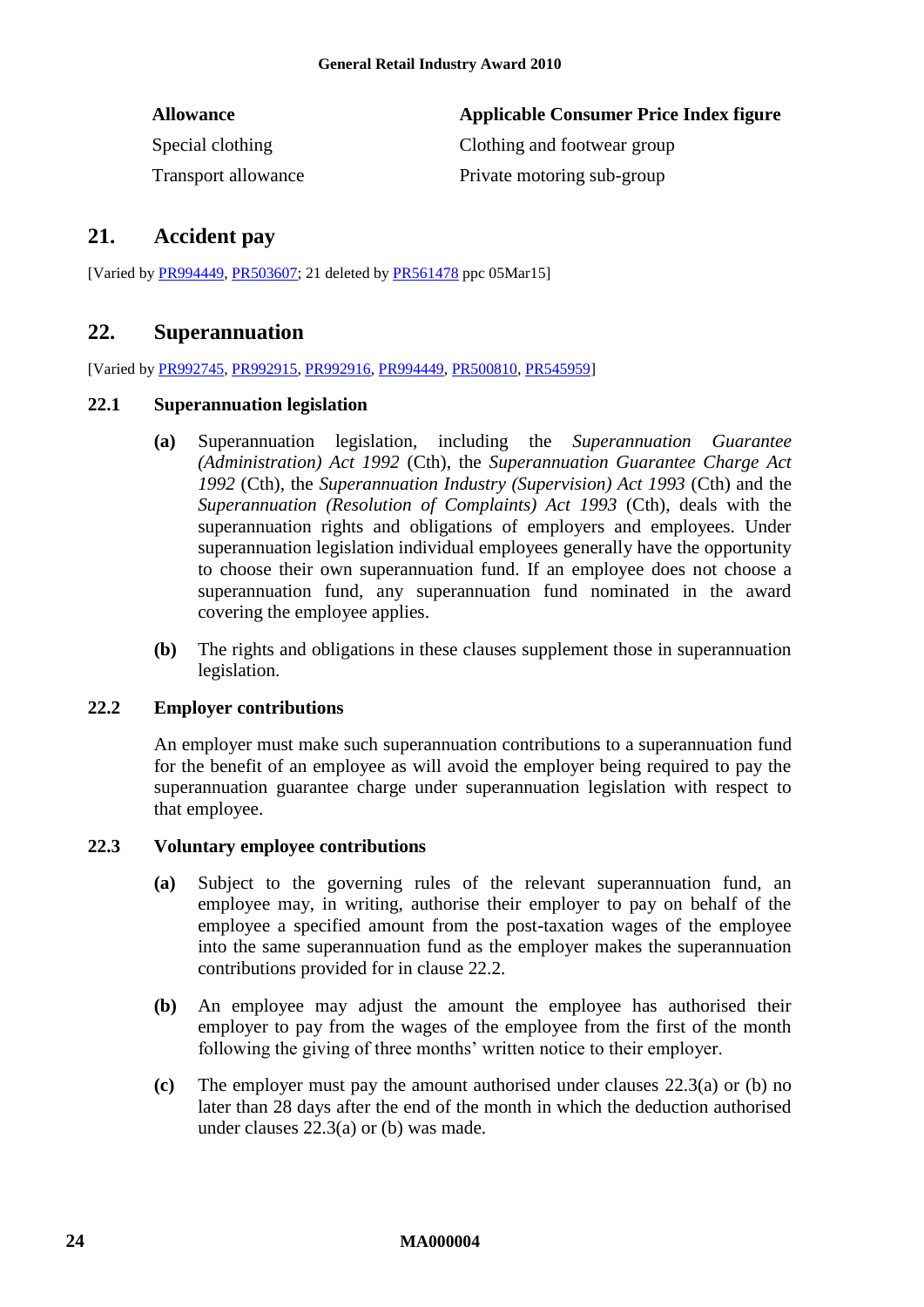| <b>Allowance</b>           | Applicable Consumer Price Index figure |
|----------------------------|----------------------------------------|
| Special clothing           | Clothing and footwear group            |
| <b>Transport allowance</b> | Private motoring sub-group             |

### <span id="page-23-0"></span>**21. Accident pay**

<span id="page-23-1"></span>[Varied by [PR994449,](http://www.fwc.gov.au/awardsandorders/html/PR994449.htm) [PR503607;](http://www.fwc.gov.au/awardsandorders/html/PR503607.htm) 21 deleted by [PR561478](http://www.fwc.gov.au/awardsandorders/html/PR561478.htm) ppc 05Mar15]

### **22. Superannuation**

[Varied by [PR992745,](http://www.fwc.gov.au/awardsandorders/html/PR992745.htm) [PR992915,](http://www.fwc.gov.au/awardsandorders/html/PR992915.htm) [PR992916,](http://www.fwc.gov.au/awardsandorders/html/PR992916.htm) [PR994449,](http://www.fwc.gov.au/awardsandorders/html/PR994449.htm) [PR500810,](http://www.fwc.gov.au/awardsandorders/html/PR500810.htm) [PR545959\]](http://www.fwc.gov.au/awardsandorders/html/PR545959.htm)

#### **22.1 Superannuation legislation**

- **(a)** Superannuation legislation, including the *Superannuation Guarantee (Administration) Act 1992* (Cth), the *Superannuation Guarantee Charge Act 1992* (Cth), the *Superannuation Industry (Supervision) Act 1993* (Cth) and the *Superannuation (Resolution of Complaints) Act 1993* (Cth), deals with the superannuation rights and obligations of employers and employees. Under superannuation legislation individual employees generally have the opportunity to choose their own superannuation fund. If an employee does not choose a superannuation fund, any superannuation fund nominated in the award covering the employee applies.
- **(b)** The rights and obligations in these clauses supplement those in superannuation legislation.

#### <span id="page-23-2"></span>**22.2 Employer contributions**

An employer must make such superannuation contributions to a superannuation fund for the benefit of an employee as will avoid the employer being required to pay the superannuation guarantee charge under superannuation legislation with respect to that employee.

#### <span id="page-23-3"></span>**22.3 Voluntary employee contributions**

- **(a)** Subject to the governing rules of the relevant superannuation fund, an employee may, in writing, authorise their employer to pay on behalf of the employee a specified amount from the post-taxation wages of the employee into the same superannuation fund as the employer makes the superannuation contributions provided for in clause [22.2.](#page-23-2)
- <span id="page-23-4"></span>**(b)** An employee may adjust the amount the employee has authorised their employer to pay from the wages of the employee from the first of the month following the giving of three months' written notice to their employer.
- **(c)** The employer must pay the amount authorised under clauses [22.3\(a\)](#page-23-3) or [\(b\)](#page-23-4) no later than 28 days after the end of the month in which the deduction authorised under clauses [22.3\(a\)](#page-23-3) or [\(b\)](#page-23-4) was made.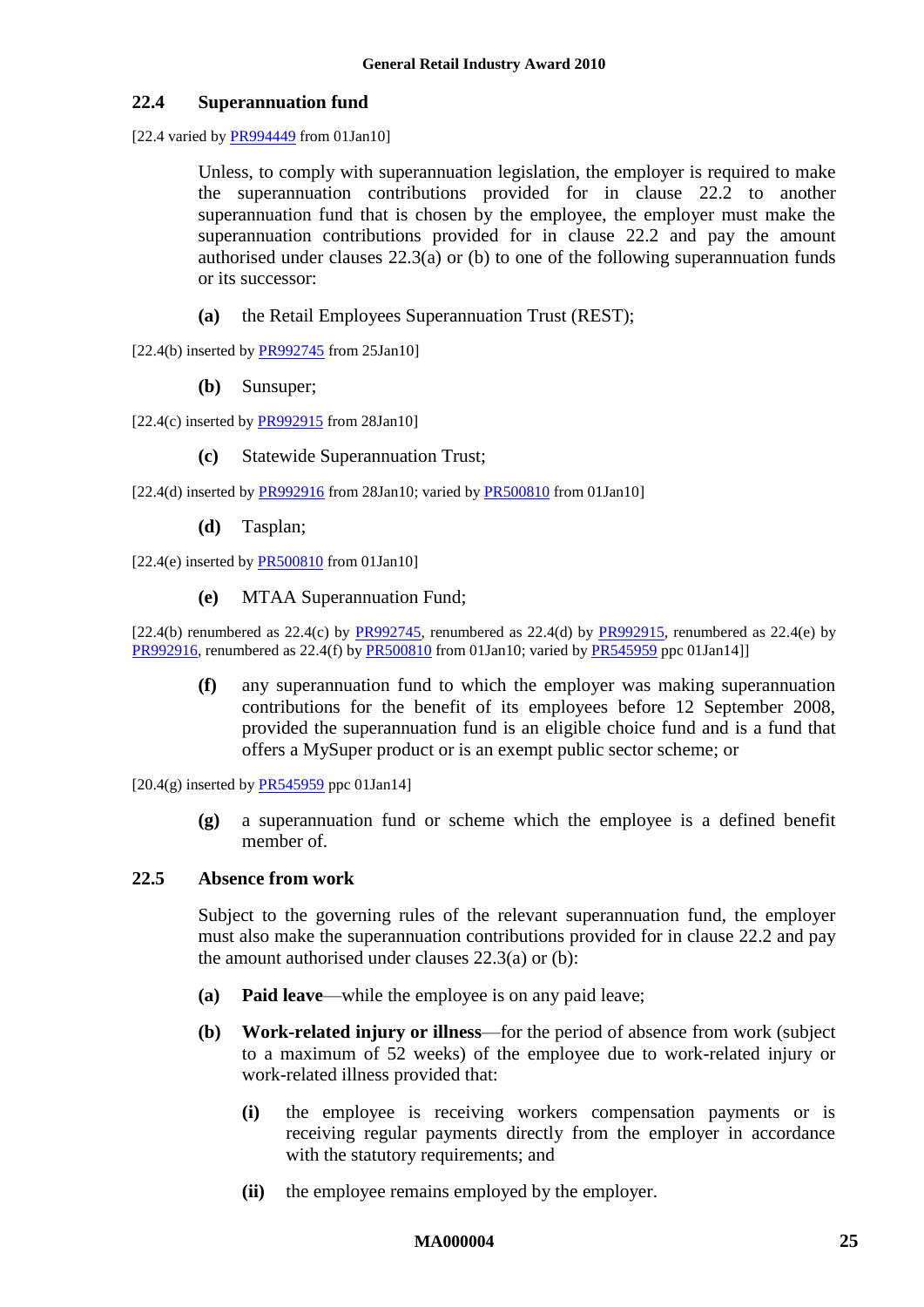#### **22.4 Superannuation fund**

[22.4 varied by [PR994449](http://www.fwc.gov.au/awardsandorders/html/PR994449.htm) from 01Jan10]

Unless, to comply with superannuation legislation, the employer is required to make the superannuation contributions provided for in clause [22.2](#page-23-2) to another superannuation fund that is chosen by the employee, the employer must make the superannuation contributions provided for in clause [22.2](#page-23-2) and pay the amount authorised under clauses [22.3\(a\)](#page-23-3) or [\(b\)](#page-23-4) to one of the following superannuation funds or its successor:

- **(a)** the Retail Employees Superannuation Trust (REST);
- $[22.4(b)$  inserted b[y PR992745](http://www.fwc.gov.au/awardsandorders/html/PR992745.htm) from 25Jan10]
	- **(b)** Sunsuper;
- [22.4(c) inserted by  $PR992915$  from 28Jan10]
	- **(c)** Statewide Superannuation Trust;

[22.4(d) inserted by  $PR992916$  from 28Jan10; varied by  $PR500810$  from 01Jan10]

**(d)** Tasplan;

 $[22.4(e)$  inserted by [PR500810](http://www.fwc.gov.au/awardsandorders/html/PR500810.htm) from 01Jan10]

**(e)** MTAA Superannuation Fund;

 $[22.4(b)$  renumbered as  $22.4(c)$  by [PR992745,](http://www.fwc.gov.au/awardsandorders/html/PR992745.htm) renumbered as  $22.4(d)$  by [PR992915,](http://www.fwc.gov.au/awardsandorders/html/PR992915.htm) renumbered as  $22.4(e)$  by [PR992916,](http://www.fwc.gov.au/awardsandorders/html/PR992916.htm) renumbered as 22.4(f) by [PR500810](http://www.fwc.gov.au/awardsandorders/html/PR500810.htm) from 01Jan10; varied by [PR545959](http://www.fwc.gov.au/awardsandorders/html/PR545959.htm) ppc 01Jan14]]

**(f)** any superannuation fund to which the employer was making superannuation contributions for the benefit of its employees before 12 September 2008, provided the superannuation fund is an eligible choice fund and is a fund that offers a MySuper product or is an exempt public sector scheme; or

 $[20.4(g)$  inserted by  $PR545959$  ppc 01Jan14]

**(g)** a superannuation fund or scheme which the employee is a defined benefit member of.

#### **22.5 Absence from work**

Subject to the governing rules of the relevant superannuation fund, the employer must also make the superannuation contributions provided for in clause [22.2](#page-23-2) and pay the amount authorised under clauses [22.3\(a\)](#page-23-3) or [\(b\):](#page-23-4)

- **(a) Paid leave**—while the employee is on any paid leave;
- **(b) Work-related injury or illness**—for the period of absence from work (subject to a maximum of 52 weeks) of the employee due to work-related injury or work-related illness provided that:
	- **(i)** the employee is receiving workers compensation payments or is receiving regular payments directly from the employer in accordance with the statutory requirements; and
	- **(ii)** the employee remains employed by the employer.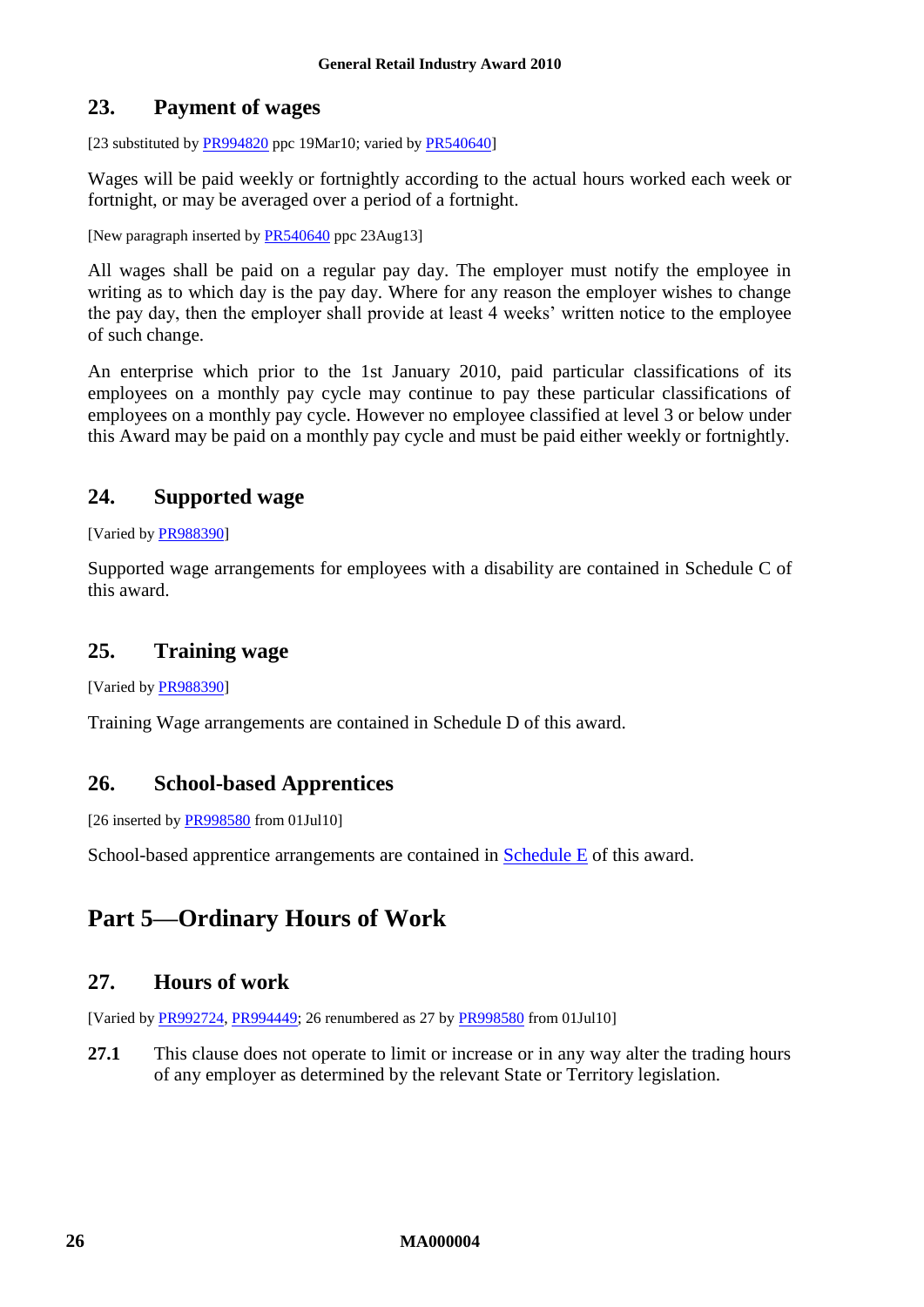### <span id="page-25-0"></span>**23. Payment of wages**

[23 substituted by  $\frac{PR994820}{PR994820}$  ppc 19Mar10; varied by  $\frac{PR540640}{PR540640}$ ]

Wages will be paid weekly or fortnightly according to the actual hours worked each week or fortnight, or may be averaged over a period of a fortnight.

[New paragraph inserted by [PR540640](http://www.fwc.gov.au/awardsandorders/html/PR540640.htm) ppc 23Aug13]

All wages shall be paid on a regular pay day. The employer must notify the employee in writing as to which day is the pay day. Where for any reason the employer wishes to change the pay day, then the employer shall provide at least 4 weeks' written notice to the employee of such change.

An enterprise which prior to the 1st January 2010, paid particular classifications of its employees on a monthly pay cycle may continue to pay these particular classifications of employees on a monthly pay cycle. However no employee classified at level 3 or below under this Award may be paid on a monthly pay cycle and must be paid either weekly or fortnightly.

### <span id="page-25-1"></span>**24. Supported wage**

[Varied by **PR988390**]

Supported wage arrangements for employees with a disability are contained in [Schedule C](#page-51-1) of this award.

### <span id="page-25-2"></span>**25. Training wage**

[Varied by [PR988390\]](http://www.fwc.gov.au/awardsandorders/html/PR988390.htm)

<span id="page-25-3"></span>Training Wage arrangements are contained in [Schedule D](#page-54-1) of this award.

### **26. School-based Apprentices**

[26 inserted by [PR998580](http://www.fwc.gov.au/awardsandorders/html/PR998580.htm) from 01Jul10]

<span id="page-25-4"></span>School-based apprentice arrangements are contained in [Schedule E](#page-66-2) of this award.

# <span id="page-25-6"></span><span id="page-25-5"></span>**Part 5—Ordinary Hours of Work**

### **27. Hours of work**

[Varied by [PR992724,](http://www.fwc.gov.au/awardsandorders/html/PR992724.htm) [PR994449;](http://www.fwc.gov.au/awardsandorders/html/PR994449.htm) 26 renumbered as 27 by [PR998580](http://www.fwc.gov.au/awardsandorders/html/PR998580.htm) from 01Jul10]

**27.1** This clause does not operate to limit or increase or in any way alter the trading hours of any employer as determined by the relevant State or Territory legislation.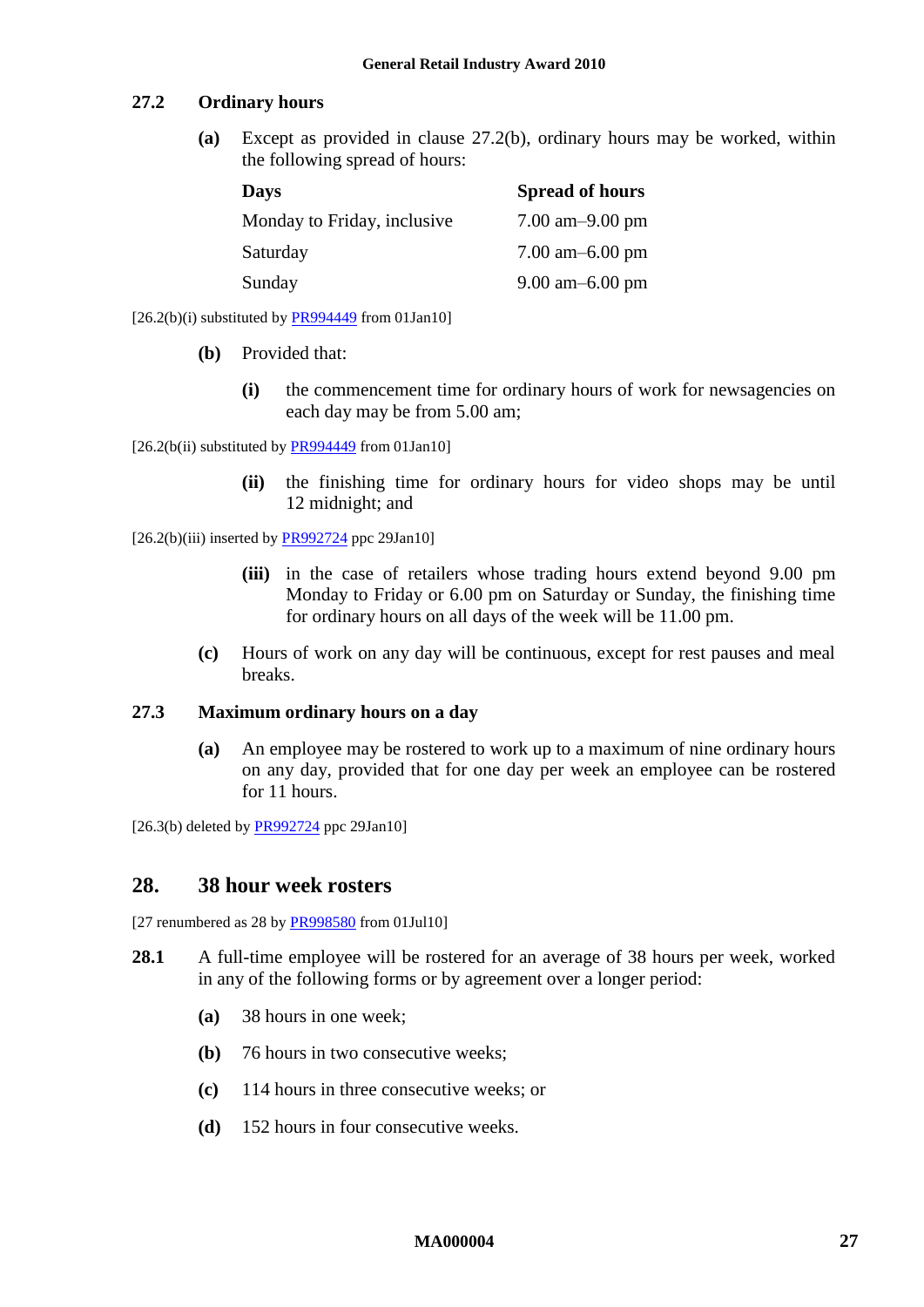#### **27.2 Ordinary hours**

**(a)** Except as provided in clause [27.2\(b\),](#page-26-1) ordinary hours may be worked, within the following spread of hours:

| <b>Days</b>                 | <b>Spread of hours</b>              |
|-----------------------------|-------------------------------------|
| Monday to Friday, inclusive | 7.00 am $-9.00$ pm                  |
| Saturday                    | $7.00 \text{ am} - 6.00 \text{ pm}$ |
| Sunday                      | $9.00 \text{ am} - 6.00 \text{ pm}$ |

<span id="page-26-1"></span> $[26.2(b)(i)$  substituted by [PR994449](http://www.fwc.gov.au/awardsandorders/html/PR994449.htm) from 01Jan10]

- **(b)** Provided that:
	- **(i)** the commencement time for ordinary hours of work for newsagencies on each day may be from 5.00 am;

 $[26.2(b(ii)$  substituted by  $\overline{PR994449}$  from 01Jan10]

**(ii)** the finishing time for ordinary hours for video shops may be until 12 midnight; and

 $[26.2(b)(iii)$  inserted b[y PR992724](http://www.fwc.gov.au/awardsandorders/html/PR992724.htm) ppc 29Jan10]

- **(iii)** in the case of retailers whose trading hours extend beyond 9.00 pm Monday to Friday or 6.00 pm on Saturday or Sunday, the finishing time for ordinary hours on all days of the week will be 11.00 pm.
- **(c)** Hours of work on any day will be continuous, except for rest pauses and meal breaks.

#### **27.3 Maximum ordinary hours on a day**

**(a)** An employee may be rostered to work up to a maximum of nine ordinary hours on any day, provided that for one day per week an employee can be rostered for 11 hours.

<span id="page-26-2"></span><span id="page-26-0"></span> $[26.3(b)$  deleted by [PR992724](http://www.fwc.gov.au/awardsandorders/html/PR992724.htm) ppc 29Jan10]

#### **28. 38 hour week rosters**

[27 renumbered as 28 by [PR998580](http://www.fwc.gov.au/awardsandorders/html/PR998580.htm) from 01Jul10]

- **28.1** A full-time employee will be rostered for an average of 38 hours per week, worked in any of the following forms or by agreement over a longer period:
	- **(a)** 38 hours in one week;
	- **(b)** 76 hours in two consecutive weeks;
	- **(c)** 114 hours in three consecutive weeks; or
	- **(d)** 152 hours in four consecutive weeks.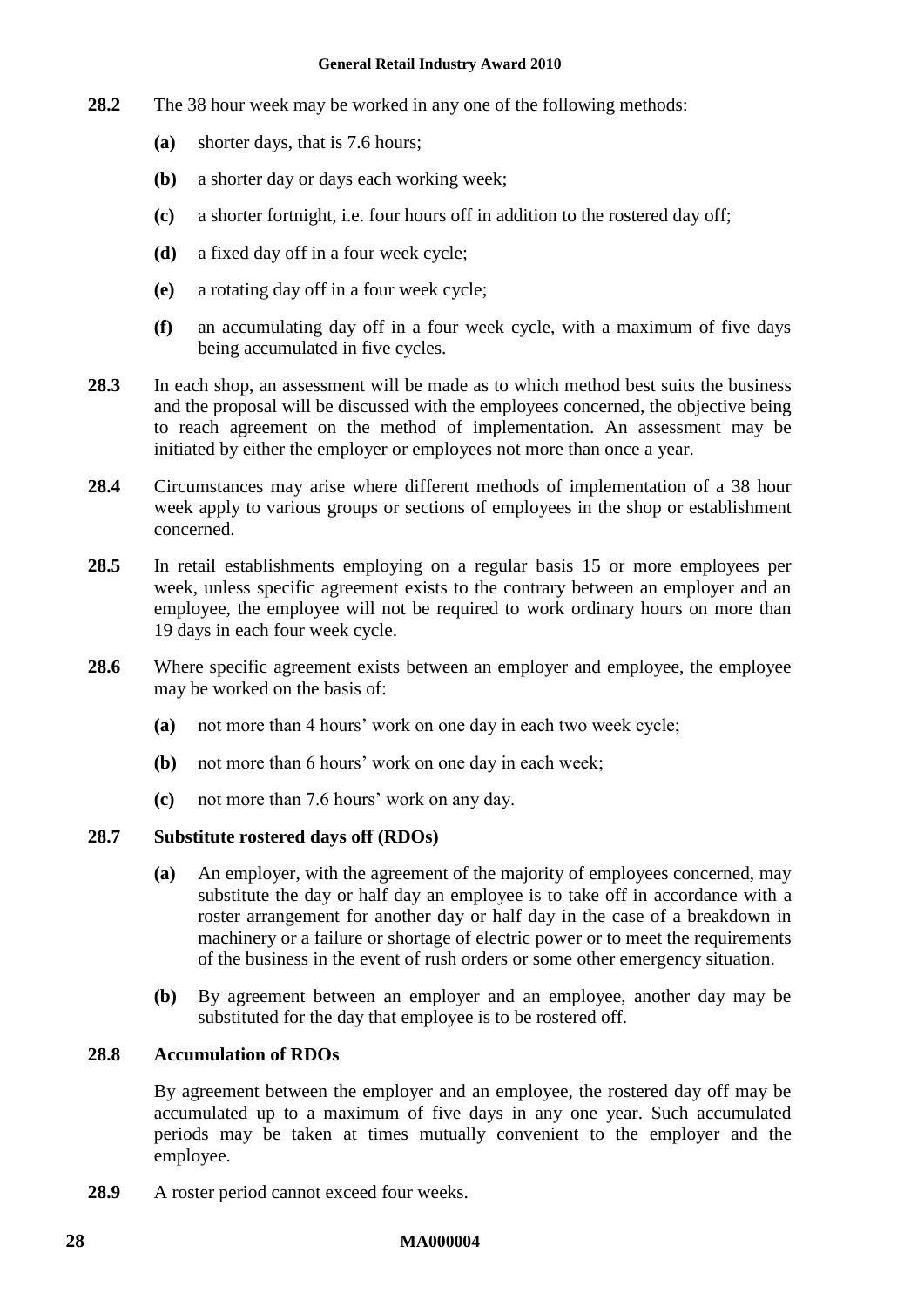- **28.2** The 38 hour week may be worked in any one of the following methods:
	- **(a)** shorter days, that is 7.6 hours;
	- **(b)** a shorter day or days each working week;
	- **(c)** a shorter fortnight, i.e. four hours off in addition to the rostered day off;
	- **(d)** a fixed day off in a four week cycle;
	- **(e)** a rotating day off in a four week cycle;
	- **(f)** an accumulating day off in a four week cycle, with a maximum of five days being accumulated in five cycles.
- **28.3** In each shop, an assessment will be made as to which method best suits the business and the proposal will be discussed with the employees concerned, the objective being to reach agreement on the method of implementation. An assessment may be initiated by either the employer or employees not more than once a year.
- **28.4** Circumstances may arise where different methods of implementation of a 38 hour week apply to various groups or sections of employees in the shop or establishment concerned.
- **28.5** In retail establishments employing on a regular basis 15 or more employees per week, unless specific agreement exists to the contrary between an employer and an employee, the employee will not be required to work ordinary hours on more than 19 days in each four week cycle.
- **28.6** Where specific agreement exists between an employer and employee, the employee may be worked on the basis of:
	- **(a)** not more than 4 hours' work on one day in each two week cycle;
	- **(b)** not more than 6 hours' work on one day in each week;
	- **(c)** not more than 7.6 hours' work on any day.

#### **28.7 Substitute rostered days off (RDOs)**

- **(a)** An employer, with the agreement of the majority of employees concerned, may substitute the day or half day an employee is to take off in accordance with a roster arrangement for another day or half day in the case of a breakdown in machinery or a failure or shortage of electric power or to meet the requirements of the business in the event of rush orders or some other emergency situation.
- **(b)** By agreement between an employer and an employee, another day may be substituted for the day that employee is to be rostered off.

#### **28.8 Accumulation of RDOs**

By agreement between the employer and an employee, the rostered day off may be accumulated up to a maximum of five days in any one year. Such accumulated periods may be taken at times mutually convenient to the employer and the employee.

**28.9** A roster period cannot exceed four weeks.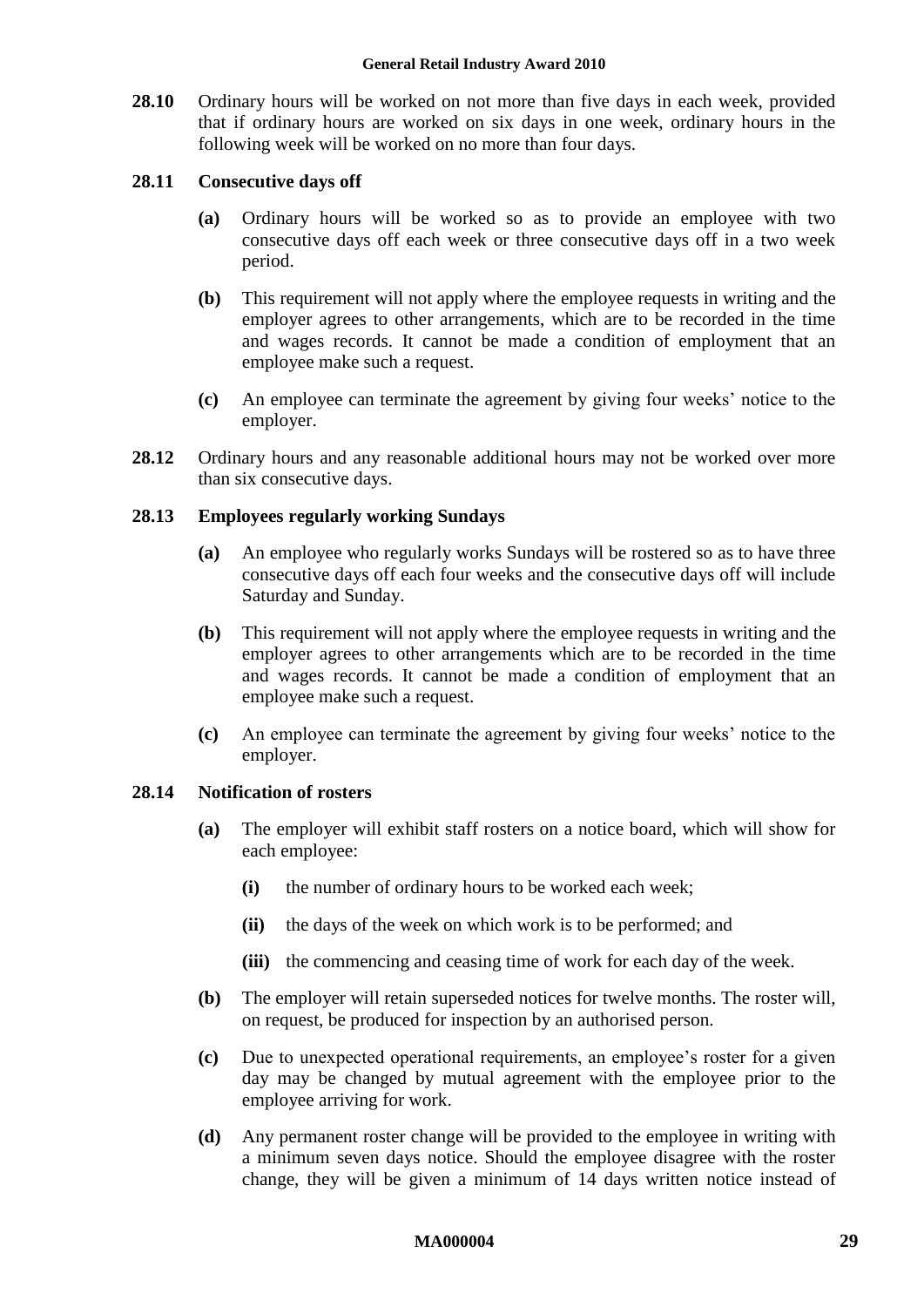**28.10** Ordinary hours will be worked on not more than five days in each week, provided that if ordinary hours are worked on six days in one week, ordinary hours in the following week will be worked on no more than four days.

#### **28.11 Consecutive days off**

- **(a)** Ordinary hours will be worked so as to provide an employee with two consecutive days off each week or three consecutive days off in a two week period.
- **(b)** This requirement will not apply where the employee requests in writing and the employer agrees to other arrangements, which are to be recorded in the time and wages records. It cannot be made a condition of employment that an employee make such a request.
- **(c)** An employee can terminate the agreement by giving four weeks' notice to the employer.
- **28.12** Ordinary hours and any reasonable additional hours may not be worked over more than six consecutive days.

### **28.13 Employees regularly working Sundays**

- **(a)** An employee who regularly works Sundays will be rostered so as to have three consecutive days off each four weeks and the consecutive days off will include Saturday and Sunday.
- **(b)** This requirement will not apply where the employee requests in writing and the employer agrees to other arrangements which are to be recorded in the time and wages records. It cannot be made a condition of employment that an employee make such a request.
- **(c)** An employee can terminate the agreement by giving four weeks' notice to the employer.

#### **28.14 Notification of rosters**

- **(a)** The employer will exhibit staff rosters on a notice board, which will show for each employee:
	- **(i)** the number of ordinary hours to be worked each week;
	- **(ii)** the days of the week on which work is to be performed; and
	- **(iii)** the commencing and ceasing time of work for each day of the week.
- **(b)** The employer will retain superseded notices for twelve months. The roster will, on request, be produced for inspection by an authorised person.
- **(c)** Due to unexpected operational requirements, an employee's roster for a given day may be changed by mutual agreement with the employee prior to the employee arriving for work.
- **(d)** Any permanent roster change will be provided to the employee in writing with a minimum seven days notice. Should the employee disagree with the roster change, they will be given a minimum of 14 days written notice instead of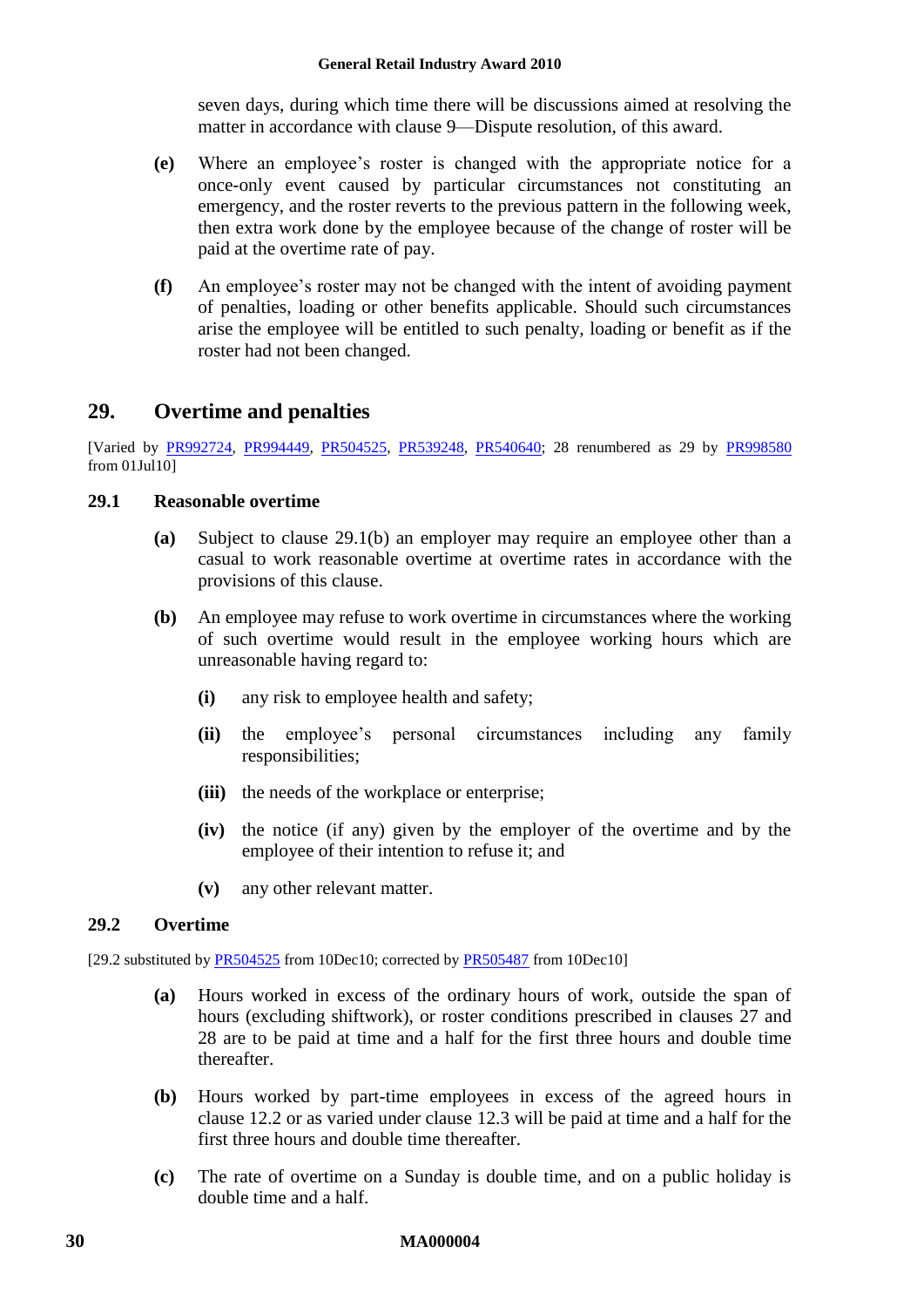seven days, during which time there will be discussions aimed at resolving the matter in accordance with clause [9—Dispute resolution,](#page-11-2) of this award.

- **(e)** Where an employee's roster is changed with the appropriate notice for a once-only event caused by particular circumstances not constituting an emergency, and the roster reverts to the previous pattern in the following week, then extra work done by the employee because of the change of roster will be paid at the overtime rate of pay.
- **(f)** An employee's roster may not be changed with the intent of avoiding payment of penalties, loading or other benefits applicable. Should such circumstances arise the employee will be entitled to such penalty, loading or benefit as if the roster had not been changed.

## <span id="page-29-0"></span>**29. Overtime and penalties**

[Varied by [PR992724,](http://www.fwc.gov.au/awardsandorders/html/PR992724.htm) [PR994449,](http://www.fwc.gov.au/awardsandorders/html/PR994449.htm) [PR504525,](http://www.fwc.gov.au/awardsandorders/html/PR504525.htm) [PR539248,](http://www.fwc.gov.au/awardsandorders/html/PR539248.htm) [PR540640;](http://www.fwc.gov.au/awardsandorders/html/PR540640.htm) 28 renumbered as 29 by [PR998580](http://www.fwc.gov.au/awardsandorders/html/PR998580.htm) from 01Jul10]

### **29.1 Reasonable overtime**

- **(a)** Subject to clause [29.1\(b\)](#page-29-2) an employer may require an employee other than a casual to work reasonable overtime at overtime rates in accordance with the provisions of this clause.
- <span id="page-29-2"></span>**(b)** An employee may refuse to work overtime in circumstances where the working of such overtime would result in the employee working hours which are unreasonable having regard to:
	- **(i)** any risk to employee health and safety;
	- **(ii)** the employee's personal circumstances including any family responsibilities;
	- **(iii)** the needs of the workplace or enterprise;
	- **(iv)** the notice (if any) given by the employer of the overtime and by the employee of their intention to refuse it; and
	- **(v)** any other relevant matter.

### <span id="page-29-1"></span>**29.2 Overtime**

[29.2 substituted by [PR504525](http://www.fwc.gov.au/awardsandorders/html/PR504525.htm) from 10Dec10; corrected b[y PR505487](http://www.fwc.gov.au/awardsandorders/html/PR505487.htm) from 10Dec10]

- **(a)** Hours worked in excess of the ordinary hours of work, outside the span of hours (excluding shiftwork), or roster conditions prescribed in clauses [27](#page-25-6) and [28](#page-26-2) are to be paid at time and a half for the first three hours and double time thereafter.
- **(b)** Hours worked by part-time employees in excess of the agreed hours in clause [12.2](#page-12-4) or as varied under clause [12.3](#page-13-0) will be paid at time and a half for the first three hours and double time thereafter.
- **(c)** The rate of overtime on a Sunday is double time, and on a public holiday is double time and a half.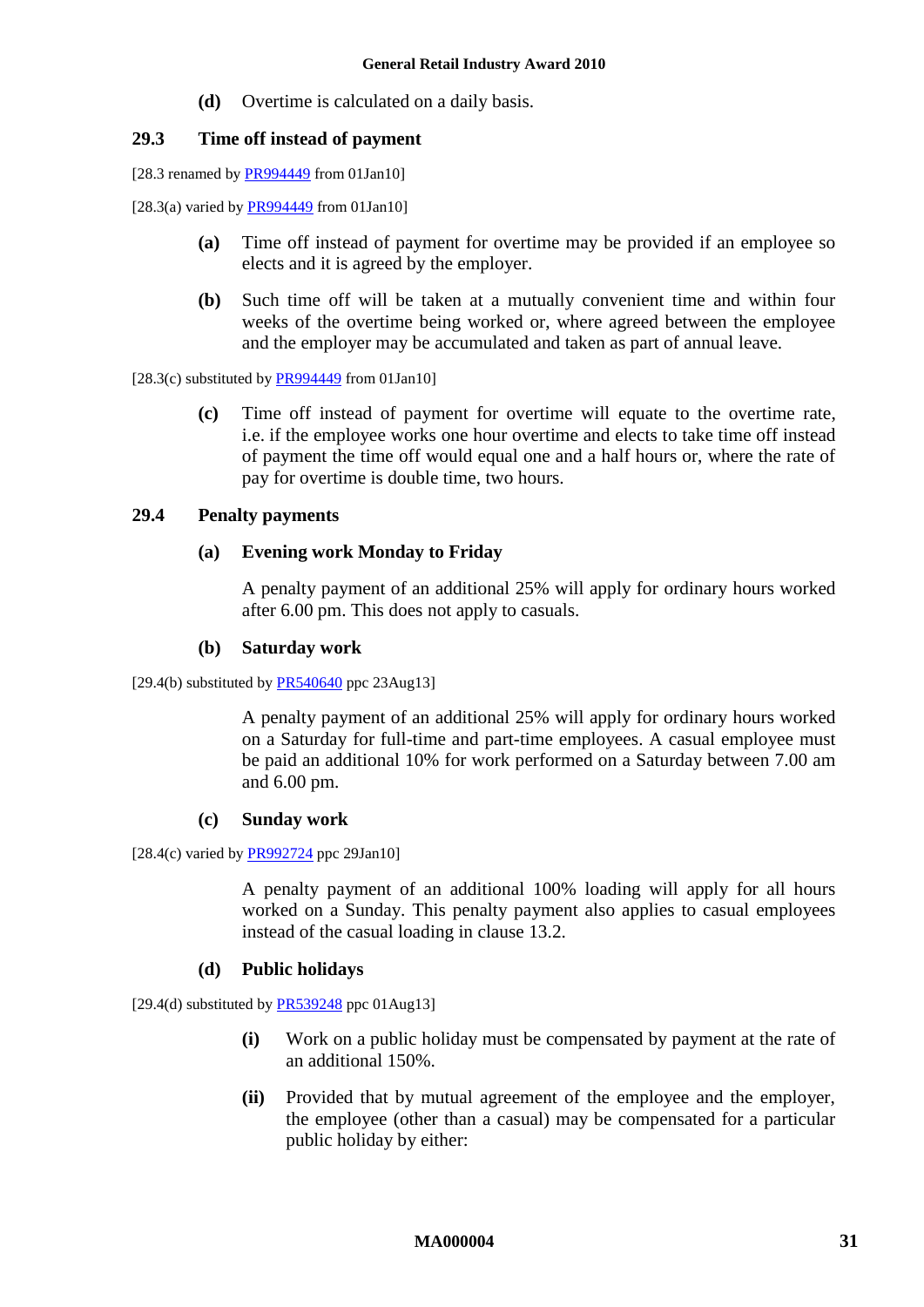**(d)** Overtime is calculated on a daily basis.

### **29.3 Time off instead of payment**

[28.3 renamed by [PR994449](http://www.fwc.gov.au/awardsandorders/html/PR994449.htm) from 01Jan10]

[28.3(a) varied b[y PR994449](http://www.fwc.gov.au/awardsandorders/html/PR994449.htm) from 01Jan10]

- **(a)** Time off instead of payment for overtime may be provided if an employee so elects and it is agreed by the employer.
- **(b)** Such time off will be taken at a mutually convenient time and within four weeks of the overtime being worked or, where agreed between the employee and the employer may be accumulated and taken as part of annual leave.

[28.3(c) substituted by  $PR994449$  from 01Jan10]

**(c)** Time off instead of payment for overtime will equate to the overtime rate, i.e. if the employee works one hour overtime and elects to take time off instead of payment the time off would equal one and a half hours or, where the rate of pay for overtime is double time, two hours.

### **29.4 Penalty payments**

### **(a) Evening work Monday to Friday**

A penalty payment of an additional 25% will apply for ordinary hours worked after 6.00 pm. This does not apply to casuals.

#### **(b) Saturday work**

[29.4(b) substituted by  $PR540640$  ppc 23Aug13]

A penalty payment of an additional 25% will apply for ordinary hours worked on a Saturday for full-time and part-time employees. A casual employee must be paid an additional 10% for work performed on a Saturday between 7.00 am and 6.00 pm.

#### **(c) Sunday work**

 $[28.4(c)$  varied b[y PR992724](http://www.fwc.gov.au/awardsandorders/html/PR992724.htm) ppc 29Jan10]

A penalty payment of an additional 100% loading will apply for all hours worked on a Sunday. This penalty payment also applies to casual employees instead of the casual loading in clause [13.2.](#page-14-3)

#### **(d) Public holidays**

<span id="page-30-1"></span><span id="page-30-0"></span>[29.4(d) substituted by [PR539248](http://www.fwc.gov.au/awardsandorders/html/PR539248.htm) ppc 01Aug13]

- **(i)** Work on a public holiday must be compensated by payment at the rate of an additional 150%.
- **(ii)** Provided that by mutual agreement of the employee and the employer, the employee (other than a casual) may be compensated for a particular public holiday by either: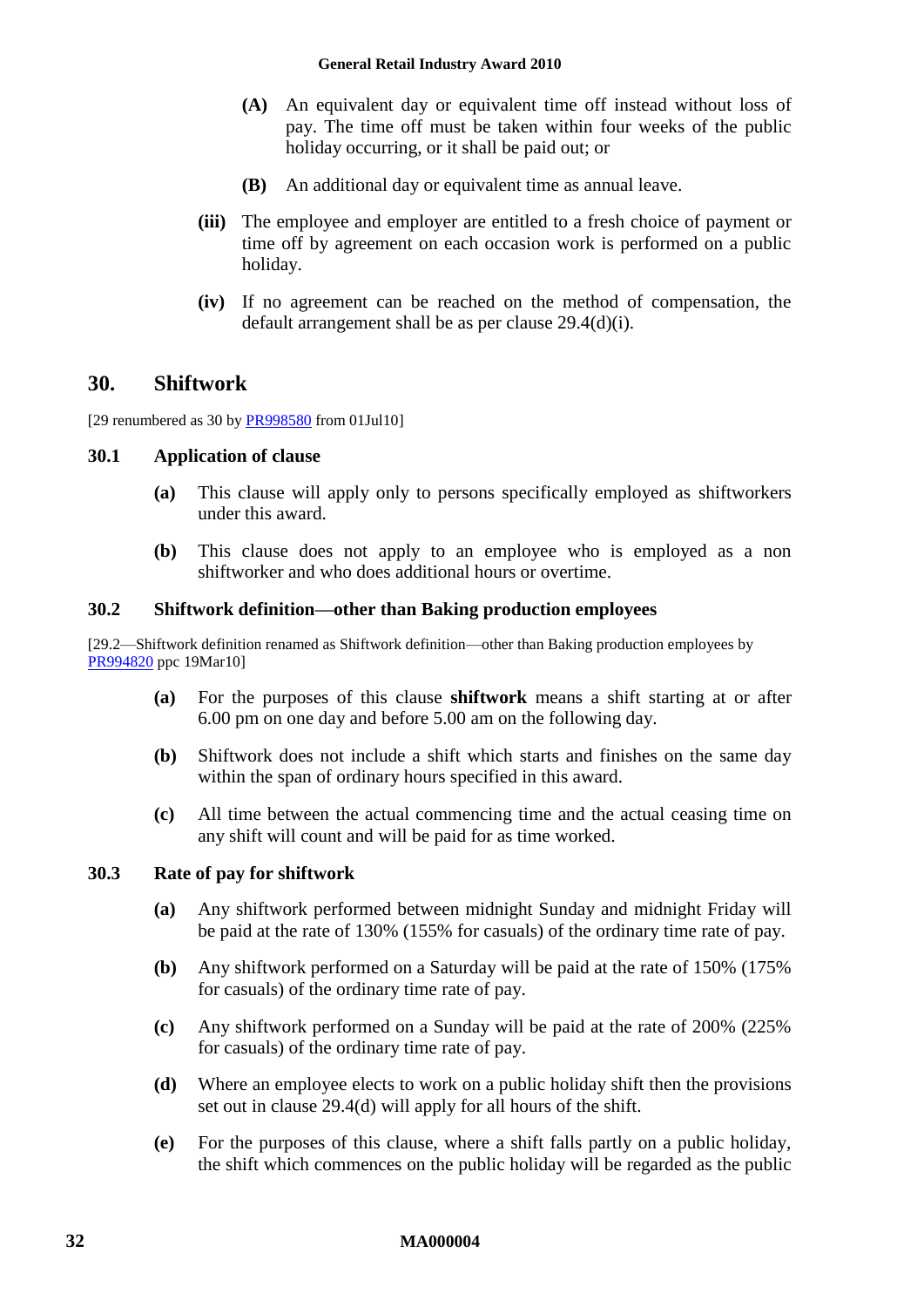- **(A)** An equivalent day or equivalent time off instead without loss of pay. The time off must be taken within four weeks of the public holiday occurring, or it shall be paid out; or
- **(B)** An additional day or equivalent time as annual leave.
- **(iii)** The employee and employer are entitled to a fresh choice of payment or time off by agreement on each occasion work is performed on a public holiday.
- **(iv)** If no agreement can be reached on the method of compensation, the default arrangement shall be as per clause [29.4\(d\)\(i\).](#page-30-0)

### <span id="page-31-0"></span>**30. Shiftwork**

[29 renumbered as 30 b[y PR998580](http://www.fwc.gov.au/awardsandorders/html/PR998580.htm) from 01Jul10]

#### **30.1 Application of clause**

- **(a)** This clause will apply only to persons specifically employed as shiftworkers under this award.
- **(b)** This clause does not apply to an employee who is employed as a non shiftworker and who does additional hours or overtime.

### **30.2 Shiftwork definition—other than Baking production employees**

[29.2—Shiftwork definition renamed as Shiftwork definition—other than Baking production employees by [PR994820](http://www.fwc.gov.au/awardsandorders/html/PR994820.htm) ppc 19Mar10]

- **(a)** For the purposes of this clause **shiftwork** means a shift starting at or after 6.00 pm on one day and before 5.00 am on the following day.
- **(b)** Shiftwork does not include a shift which starts and finishes on the same day within the span of ordinary hours specified in this award.
- **(c)** All time between the actual commencing time and the actual ceasing time on any shift will count and will be paid for as time worked.

#### **30.3 Rate of pay for shiftwork**

- **(a)** Any shiftwork performed between midnight Sunday and midnight Friday will be paid at the rate of 130% (155% for casuals) of the ordinary time rate of pay.
- **(b)** Any shiftwork performed on a Saturday will be paid at the rate of 150% (175% for casuals) of the ordinary time rate of pay.
- **(c)** Any shiftwork performed on a Sunday will be paid at the rate of 200% (225% for casuals) of the ordinary time rate of pay.
- **(d)** Where an employee elects to work on a public holiday shift then the provisions set out in clause [29.4\(d\)](#page-30-1) will apply for all hours of the shift.
- **(e)** For the purposes of this clause, where a shift falls partly on a public holiday, the shift which commences on the public holiday will be regarded as the public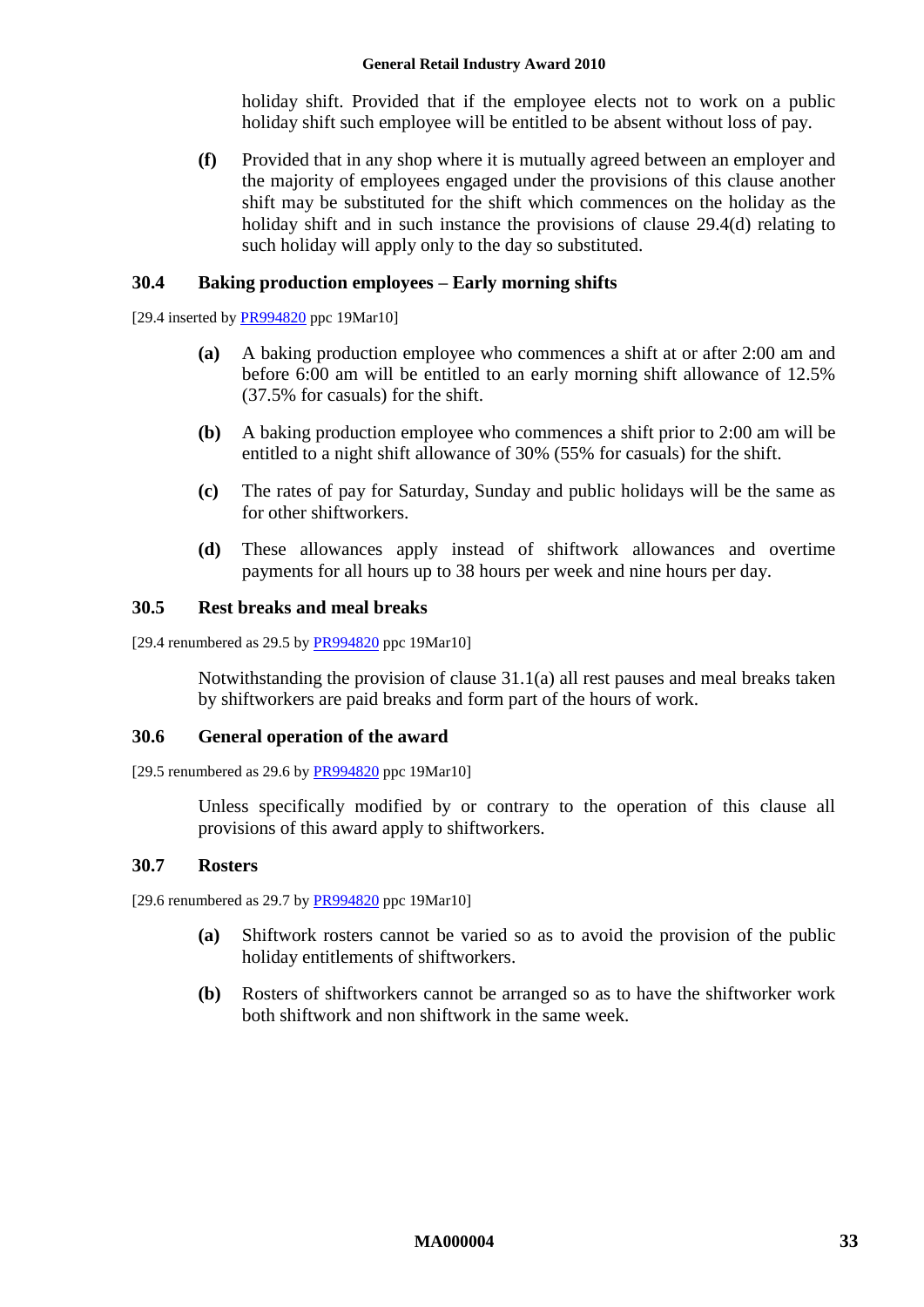holiday shift. Provided that if the employee elects not to work on a public holiday shift such employee will be entitled to be absent without loss of pay.

**(f)** Provided that in any shop where it is mutually agreed between an employer and the majority of employees engaged under the provisions of this clause another shift may be substituted for the shift which commences on the holiday as the holiday shift and in such instance the provisions of clause [29.4\(d\)](#page-30-1) relating to such holiday will apply only to the day so substituted.

#### **30.4 Baking production employees – Early morning shifts**

[29.4 inserted by [PR994820](http://www.fwc.gov.au/awardsandorders/html/PR994820.htm) ppc 19Mar10]

- **(a)** A baking production employee who commences a shift at or after 2:00 am and before 6:00 am will be entitled to an early morning shift allowance of 12.5% (37.5% for casuals) for the shift.
- **(b)** A baking production employee who commences a shift prior to 2:00 am will be entitled to a night shift allowance of 30% (55% for casuals) for the shift.
- **(c)** The rates of pay for Saturday, Sunday and public holidays will be the same as for other shiftworkers.
- **(d)** These allowances apply instead of shiftwork allowances and overtime payments for all hours up to 38 hours per week and nine hours per day.

#### **30.5 Rest breaks and meal breaks**

[29.4 renumbered as  $29.5$  by  $PR994820$  ppc 19Mar10]

Notwithstanding the provision of clause [31.1\(a\)](#page-33-1) all rest pauses and meal breaks taken by shiftworkers are paid breaks and form part of the hours of work.

#### **30.6 General operation of the award**

[29.5 renumbered as 29.6 by [PR994820](http://www.fwc.gov.au/awardsandorders/html/PR994820.htm) ppc 19Mar10]

Unless specifically modified by or contrary to the operation of this clause all provisions of this award apply to shiftworkers.

#### **30.7 Rosters**

[29.6 renumbered as 29.7 by [PR994820](http://www.fwc.gov.au/awardsandorders/html/PR994820.htm) ppc 19Mar10]

- **(a)** Shiftwork rosters cannot be varied so as to avoid the provision of the public holiday entitlements of shiftworkers.
- **(b)** Rosters of shiftworkers cannot be arranged so as to have the shiftworker work both shiftwork and non shiftwork in the same week.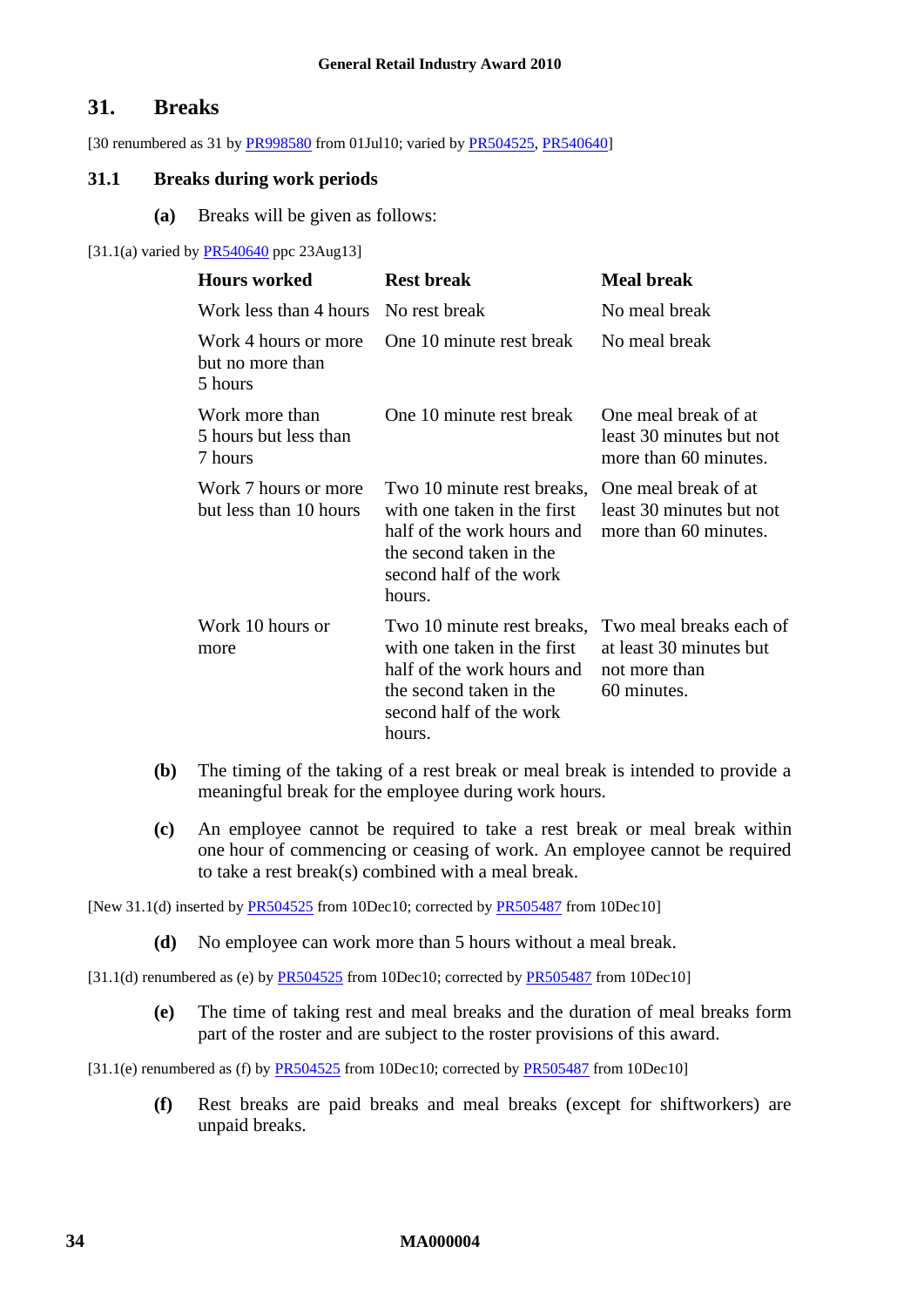### <span id="page-33-0"></span>**31. Breaks**

[30 renumbered as 31 b[y PR998580](http://www.fwc.gov.au/awardsandorders/html/PR998580.htm) from 01Jul10; varied by [PR504525,](http://www.fwc.gov.au/awardsandorders/html/PR504525.htm) [PR540640\]](http://www.fwc.gov.au/awardsandorders/html/PR540640.htm)

#### <span id="page-33-1"></span>**31.1 Breaks during work periods**

**(a)** Breaks will be given as follows:

#### [31.1(a) varied by [PR540640](http://www.fwc.gov.au/awardsandorders/html/PR540640.htm) ppc 23Aug13]

| <b>Hours</b> worked                                 | <b>Rest break</b>                                                                                                                                                            | <b>Meal break</b>                                                                  |
|-----------------------------------------------------|------------------------------------------------------------------------------------------------------------------------------------------------------------------------------|------------------------------------------------------------------------------------|
| Work less than 4 hours                              | No rest break                                                                                                                                                                | No meal break                                                                      |
| Work 4 hours or more<br>but no more than<br>5 hours | One 10 minute rest break                                                                                                                                                     | No meal break                                                                      |
| Work more than<br>5 hours but less than<br>7 hours  | One 10 minute rest break                                                                                                                                                     | One meal break of at<br>least 30 minutes but not<br>more than 60 minutes.          |
| Work 7 hours or more<br>but less than 10 hours      | Two 10 minute rest breaks, One meal break of at<br>with one taken in the first<br>half of the work hours and<br>the second taken in the<br>second half of the work<br>hours. | least 30 minutes but not<br>more than 60 minutes.                                  |
| Work 10 hours or<br>more                            | Two 10 minute rest breaks,<br>with one taken in the first<br>half of the work hours and<br>the second taken in the<br>second half of the work<br>hours.                      | Two meal breaks each of<br>at least 30 minutes but<br>not more than<br>60 minutes. |

- **(b)** The timing of the taking of a rest break or meal break is intended to provide a meaningful break for the employee during work hours.
- **(c)** An employee cannot be required to take a rest break or meal break within one hour of commencing or ceasing of work. An employee cannot be required to take a rest break(s) combined with a meal break.

[New 31.1(d) inserted by **PR504525** from 10Dec10; corrected by **PR505487** from 10Dec10]

**(d)** No employee can work more than 5 hours without a meal break.

[31.1(d) renumbered as (e) by [PR504525](http://www.fwc.gov.au/awardsandorders/html/PR504525.htm) from 10Dec10; corrected by [PR505487](http://www.fwc.gov.au/awardsandorders/html/PR505487.htm) from 10Dec10]

**(e)** The time of taking rest and meal breaks and the duration of meal breaks form part of the roster and are subject to the roster provisions of this award.

[31.1(e) renumbered as (f) by [PR504525](http://www.fwc.gov.au/awardsandorders/html/PR504525.htm) from 10Dec10; corrected by [PR505487](http://www.fwc.gov.au/awardsandorders/html/PR505487.htm) from 10Dec10]

**(f)** Rest breaks are paid breaks and meal breaks (except for shiftworkers) are unpaid breaks.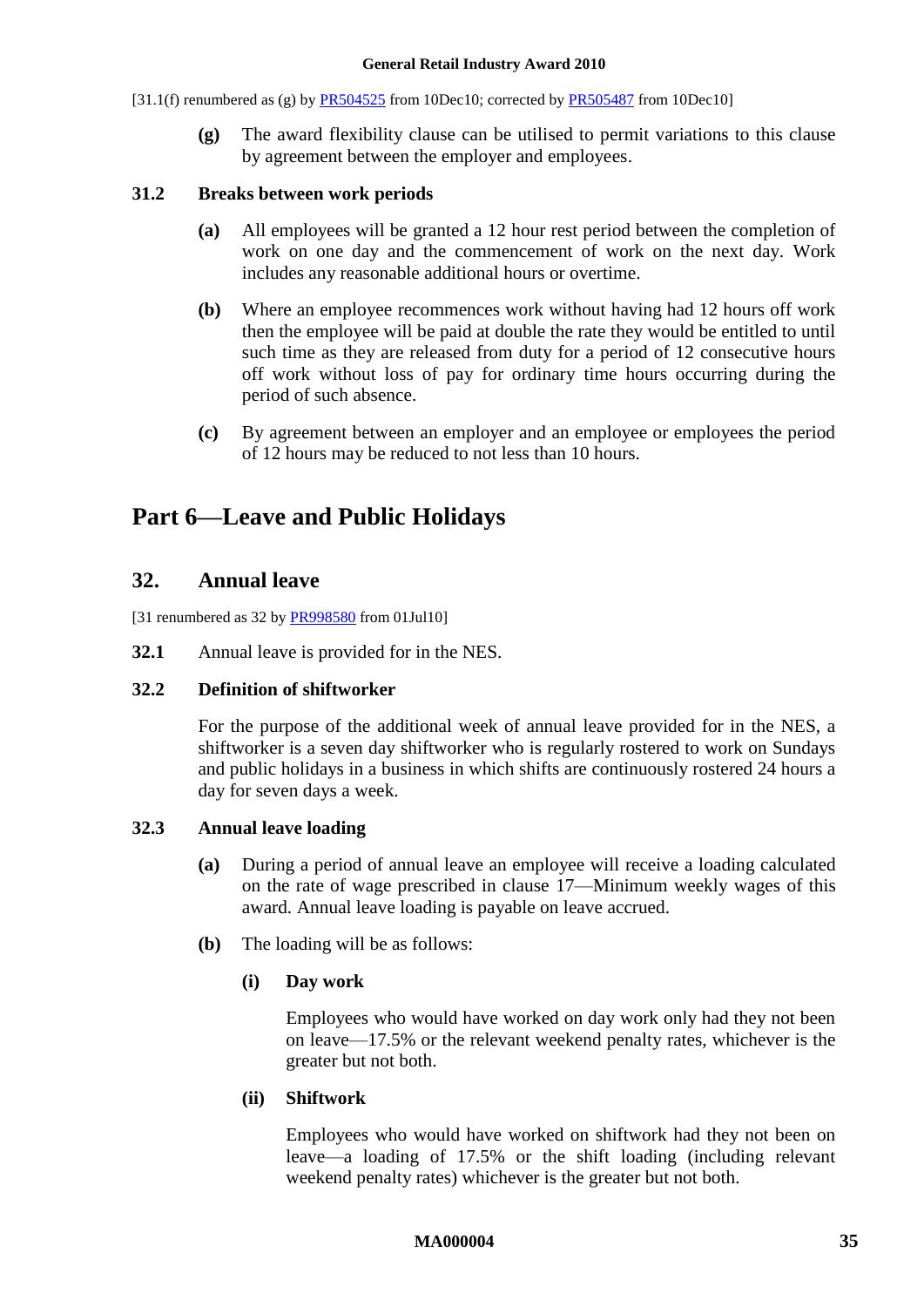- [31.1(f) renumbered as (g) by [PR504525](http://www.fwc.gov.au/awardsandorders/html/PR504525.htm) from 10Dec10; corrected by [PR505487](http://www.fwc.gov.au/awardsandorders/html/PR505487.htm) from 10Dec10]
	- **(g)** The award flexibility clause can be utilised to permit variations to this clause by agreement between the employer and employees.

#### **31.2 Breaks between work periods**

- **(a)** All employees will be granted a 12 hour rest period between the completion of work on one day and the commencement of work on the next day. Work includes any reasonable additional hours or overtime.
- **(b)** Where an employee recommences work without having had 12 hours off work then the employee will be paid at double the rate they would be entitled to until such time as they are released from duty for a period of 12 consecutive hours off work without loss of pay for ordinary time hours occurring during the period of such absence.
- **(c)** By agreement between an employer and an employee or employees the period of 12 hours may be reduced to not less than 10 hours.

# <span id="page-34-1"></span><span id="page-34-0"></span>**Part 6—Leave and Public Holidays**

### **32. Annual leave**

[31 renumbered as 32 by [PR998580](http://www.fwc.gov.au/awardsandorders/html/PR998580.htm) from 01Jul10]

**32.1** Annual leave is provided for in the NES.

#### **32.2 Definition of shiftworker**

For the purpose of the additional week of annual leave provided for in the NES, a shiftworker is a seven day shiftworker who is regularly rostered to work on Sundays and public holidays in a business in which shifts are continuously rostered 24 hours a day for seven days a week.

#### **32.3 Annual leave loading**

- **(a)** During a period of annual leave an employee will receive a loading calculated on the rate of wage prescribed in clause [17—Minimum weekly wages](#page-16-4) of this award. Annual leave loading is payable on leave accrued.
- **(b)** The loading will be as follows:

#### **(i) Day work**

Employees who would have worked on day work only had they not been on leave—17.5% or the relevant weekend penalty rates, whichever is the greater but not both.

#### **(ii) Shiftwork**

Employees who would have worked on shiftwork had they not been on leave—a loading of 17.5% or the shift loading (including relevant weekend penalty rates) whichever is the greater but not both.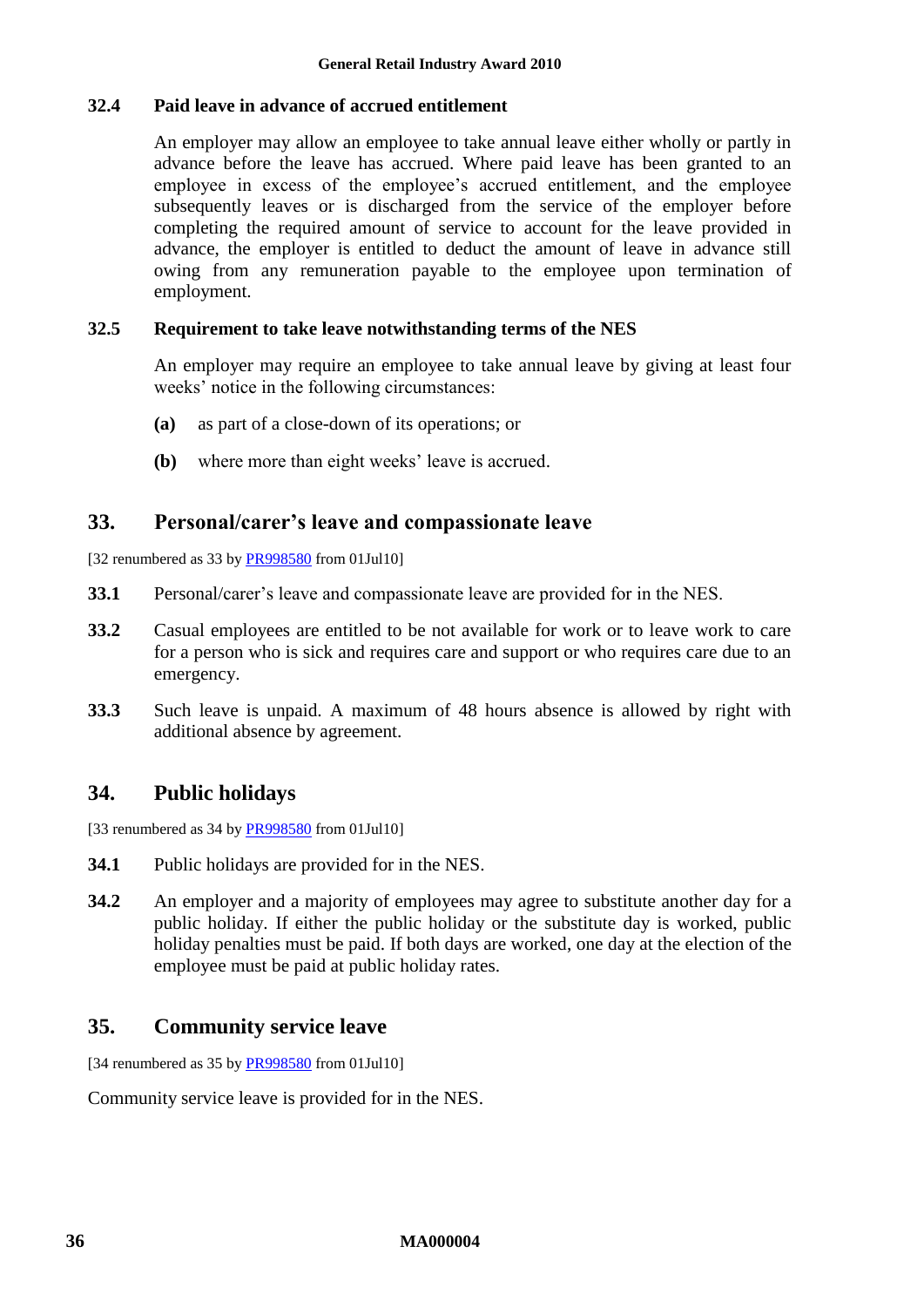#### **32.4 Paid leave in advance of accrued entitlement**

An employer may allow an employee to take annual leave either wholly or partly in advance before the leave has accrued. Where paid leave has been granted to an employee in excess of the employee's accrued entitlement, and the employee subsequently leaves or is discharged from the service of the employer before completing the required amount of service to account for the leave provided in advance, the employer is entitled to deduct the amount of leave in advance still owing from any remuneration payable to the employee upon termination of employment.

#### **32.5 Requirement to take leave notwithstanding terms of the NES**

An employer may require an employee to take annual leave by giving at least four weeks' notice in the following circumstances:

- **(a)** as part of a close-down of its operations; or
- **(b)** where more than eight weeks' leave is accrued.

### <span id="page-35-0"></span>**33. Personal/carer's leave and compassionate leave**

[32 renumbered as 33 b[y PR998580](http://www.fwc.gov.au/awardsandorders/html/PR998580.htm) from 01Jul10]

- **33.1** Personal/carer's leave and compassionate leave are provided for in the NES.
- **33.2** Casual employees are entitled to be not available for work or to leave work to care for a person who is sick and requires care and support or who requires care due to an emergency.
- **33.3** Such leave is unpaid. A maximum of 48 hours absence is allowed by right with additional absence by agreement.

### <span id="page-35-1"></span>**34. Public holidays**

[33 renumbered as 34 b[y PR998580](http://www.fwc.gov.au/awardsandorders/html/PR998580.htm) from 01Jul10]

- **34.1** Public holidays are provided for in the NES.
- **34.2** An employer and a majority of employees may agree to substitute another day for a public holiday. If either the public holiday or the substitute day is worked, public holiday penalties must be paid. If both days are worked, one day at the election of the employee must be paid at public holiday rates.

### <span id="page-35-2"></span>**35. Community service leave**

[34 renumbered as 35 b[y PR998580](http://www.fwc.gov.au/awardsandorders/html/PR998580.htm) from 01Jul10]

Community service leave is provided for in the NES.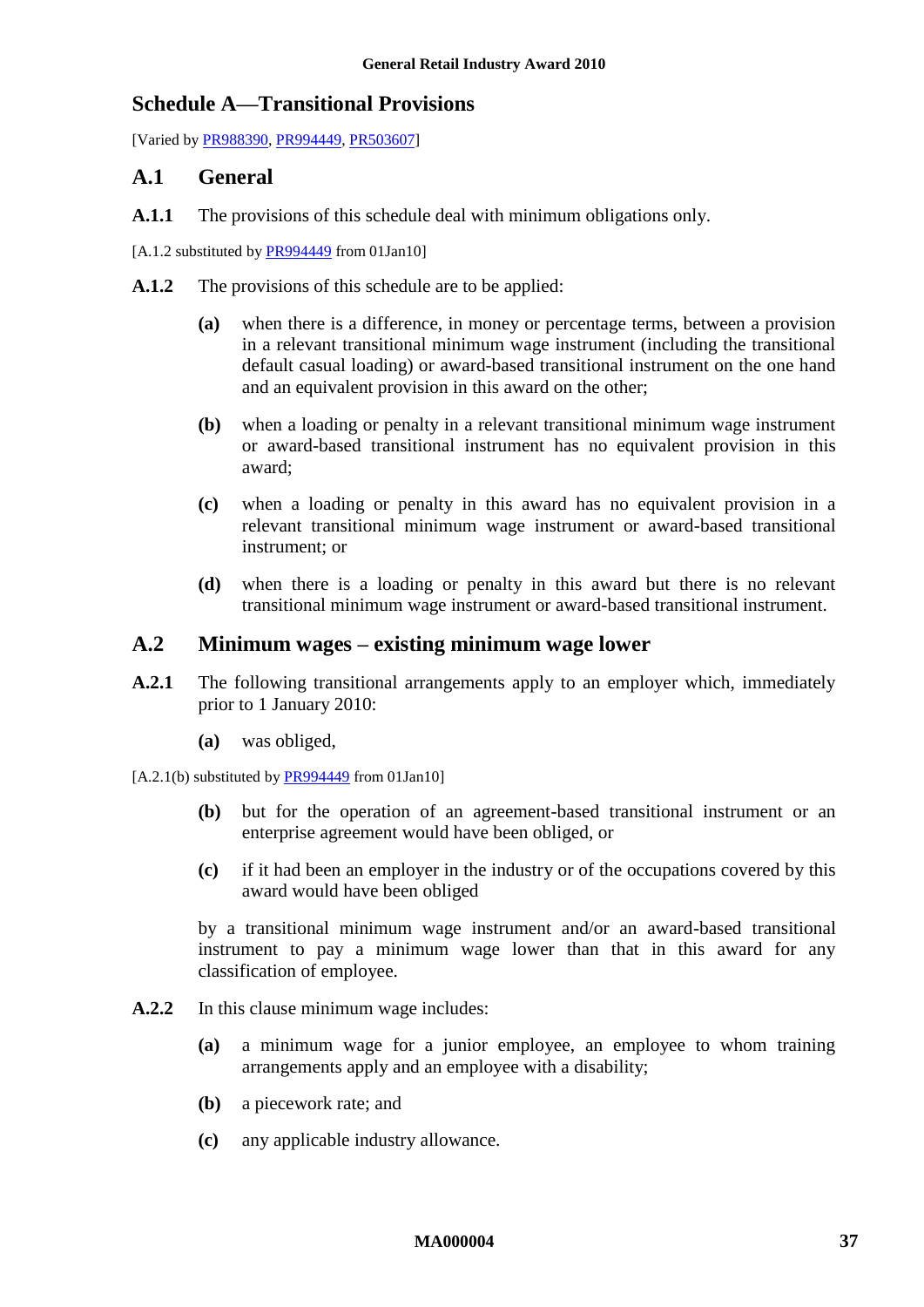### <span id="page-36-1"></span><span id="page-36-0"></span>**Schedule A—Transitional Provisions**

[Varied by [PR988390,](http://www.fwc.gov.au/awardsandorders/html/PR988390.htm) [PR994449,](http://www.fwc.gov.au/awardsandorders/html/PR994449.htm) [PR503607\]](http://www.fwc.gov.au/awardsandorders/html/PR503607.htm)

### **A.1 General**

**A.1.1** The provisions of this schedule deal with minimum obligations only.

[A.1.2 substituted b[y PR994449](http://www.fwc.gov.au/awardsandorders/html/PR994449.htm) from 01Jan10]

- **A.1.2** The provisions of this schedule are to be applied:
	- **(a)** when there is a difference, in money or percentage terms, between a provision in a relevant transitional minimum wage instrument (including the transitional default casual loading) or award-based transitional instrument on the one hand and an equivalent provision in this award on the other;
	- **(b)** when a loading or penalty in a relevant transitional minimum wage instrument or award-based transitional instrument has no equivalent provision in this award;
	- **(c)** when a loading or penalty in this award has no equivalent provision in a relevant transitional minimum wage instrument or award-based transitional instrument; or
	- **(d)** when there is a loading or penalty in this award but there is no relevant transitional minimum wage instrument or award-based transitional instrument.

### **A.2 Minimum wages – existing minimum wage lower**

- **A.2.1** The following transitional arrangements apply to an employer which, immediately prior to 1 January 2010:
	- **(a)** was obliged,
- $[A.2.1(b)$  substituted by [PR994449](http://www.fwc.gov.au/awardsandorders/html/PR994449.htm) from 01Jan10]
	- **(b)** but for the operation of an agreement-based transitional instrument or an enterprise agreement would have been obliged, or
	- **(c)** if it had been an employer in the industry or of the occupations covered by this award would have been obliged

by a transitional minimum wage instrument and/or an award-based transitional instrument to pay a minimum wage lower than that in this award for any classification of employee.

- **A.2.2** In this clause minimum wage includes:
	- **(a)** a minimum wage for a junior employee, an employee to whom training arrangements apply and an employee with a disability;
	- **(b)** a piecework rate; and
	- **(c)** any applicable industry allowance.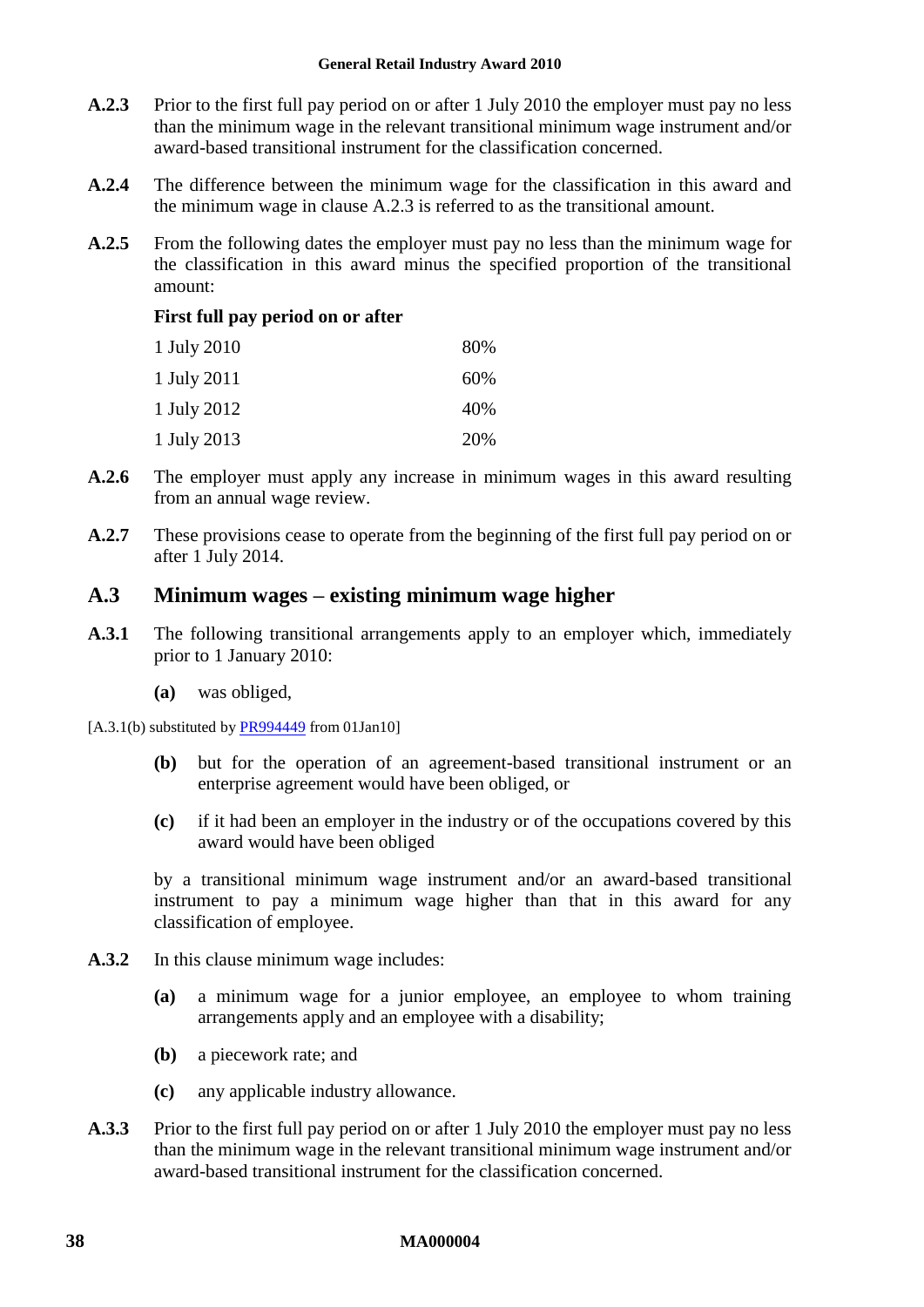#### **General Retail Industry Award 2010**

- <span id="page-37-0"></span>**A.2.3** Prior to the first full pay period on or after 1 July 2010 the employer must pay no less than the minimum wage in the relevant transitional minimum wage instrument and/or award-based transitional instrument for the classification concerned.
- **A.2.4** The difference between the minimum wage for the classification in this award and the minimum wage in clause [A.2.3](#page-37-0) is referred to as the transitional amount.
- **A.2.5** From the following dates the employer must pay no less than the minimum wage for the classification in this award minus the specified proportion of the transitional amount:

#### **First full pay period on or after**

| 1 July 2010 | 80% |
|-------------|-----|
| 1 July 2011 | 60% |
| 1 July 2012 | 40% |
| 1 July 2013 | 20% |

- **A.2.6** The employer must apply any increase in minimum wages in this award resulting from an annual wage review.
- **A.2.7** These provisions cease to operate from the beginning of the first full pay period on or after 1 July 2014.

### **A.3 Minimum wages – existing minimum wage higher**

- **A.3.1** The following transitional arrangements apply to an employer which, immediately prior to 1 January 2010:
	- **(a)** was obliged,
- [A.3.1(b) substituted b[y PR994449](http://www.fwc.gov.au/awardsandorders/html/PR994449.htm) from 01Jan10]
	- **(b)** but for the operation of an agreement-based transitional instrument or an enterprise agreement would have been obliged, or
	- **(c)** if it had been an employer in the industry or of the occupations covered by this award would have been obliged

by a transitional minimum wage instrument and/or an award-based transitional instrument to pay a minimum wage higher than that in this award for any classification of employee.

- **A.3.2** In this clause minimum wage includes:
	- **(a)** a minimum wage for a junior employee, an employee to whom training arrangements apply and an employee with a disability;
	- **(b)** a piecework rate; and
	- **(c)** any applicable industry allowance.
- <span id="page-37-1"></span>**A.3.3** Prior to the first full pay period on or after 1 July 2010 the employer must pay no less than the minimum wage in the relevant transitional minimum wage instrument and/or award-based transitional instrument for the classification concerned.

#### **38 MA000004**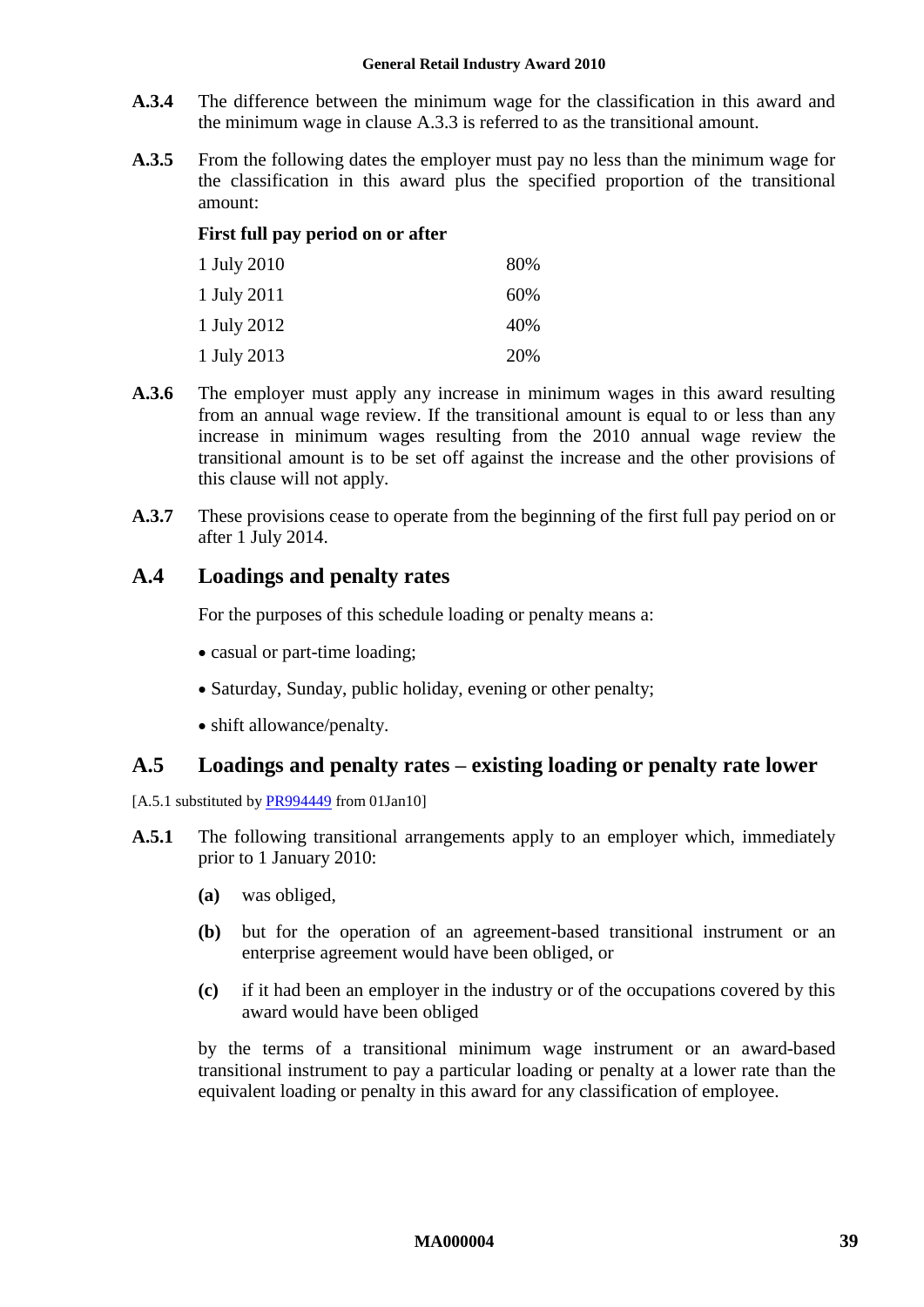#### **General Retail Industry Award 2010**

- **A.3.4** The difference between the minimum wage for the classification in this award and the minimum wage in clause [A.3.3](#page-37-1) is referred to as the transitional amount.
- **A.3.5** From the following dates the employer must pay no less than the minimum wage for the classification in this award plus the specified proportion of the transitional amount:

#### **First full pay period on or after**

| 1 July 2010 | 80% |
|-------------|-----|
| 1 July 2011 | 60% |
| 1 July 2012 | 40% |
| 1 July 2013 | 20% |

- **A.3.6** The employer must apply any increase in minimum wages in this award resulting from an annual wage review. If the transitional amount is equal to or less than any increase in minimum wages resulting from the 2010 annual wage review the transitional amount is to be set off against the increase and the other provisions of this clause will not apply.
- **A.3.7** These provisions cease to operate from the beginning of the first full pay period on or after 1 July 2014.

### **A.4 Loadings and penalty rates**

For the purposes of this schedule loading or penalty means a:

- casual or part-time loading;
- Saturday, Sunday, public holiday, evening or other penalty;
- shift allowance/penalty.

### <span id="page-38-0"></span>**A.5 Loadings and penalty rates – existing loading or penalty rate lower**

[A.5.1 substituted b[y PR994449](http://www.fwc.gov.au/awardsandorders/html/PR994449.htm) from 01Jan10]

- **A.5.1** The following transitional arrangements apply to an employer which, immediately prior to 1 January 2010:
	- **(a)** was obliged,
	- **(b)** but for the operation of an agreement-based transitional instrument or an enterprise agreement would have been obliged, or
	- **(c)** if it had been an employer in the industry or of the occupations covered by this award would have been obliged

by the terms of a transitional minimum wage instrument or an award-based transitional instrument to pay a particular loading or penalty at a lower rate than the equivalent loading or penalty in this award for any classification of employee.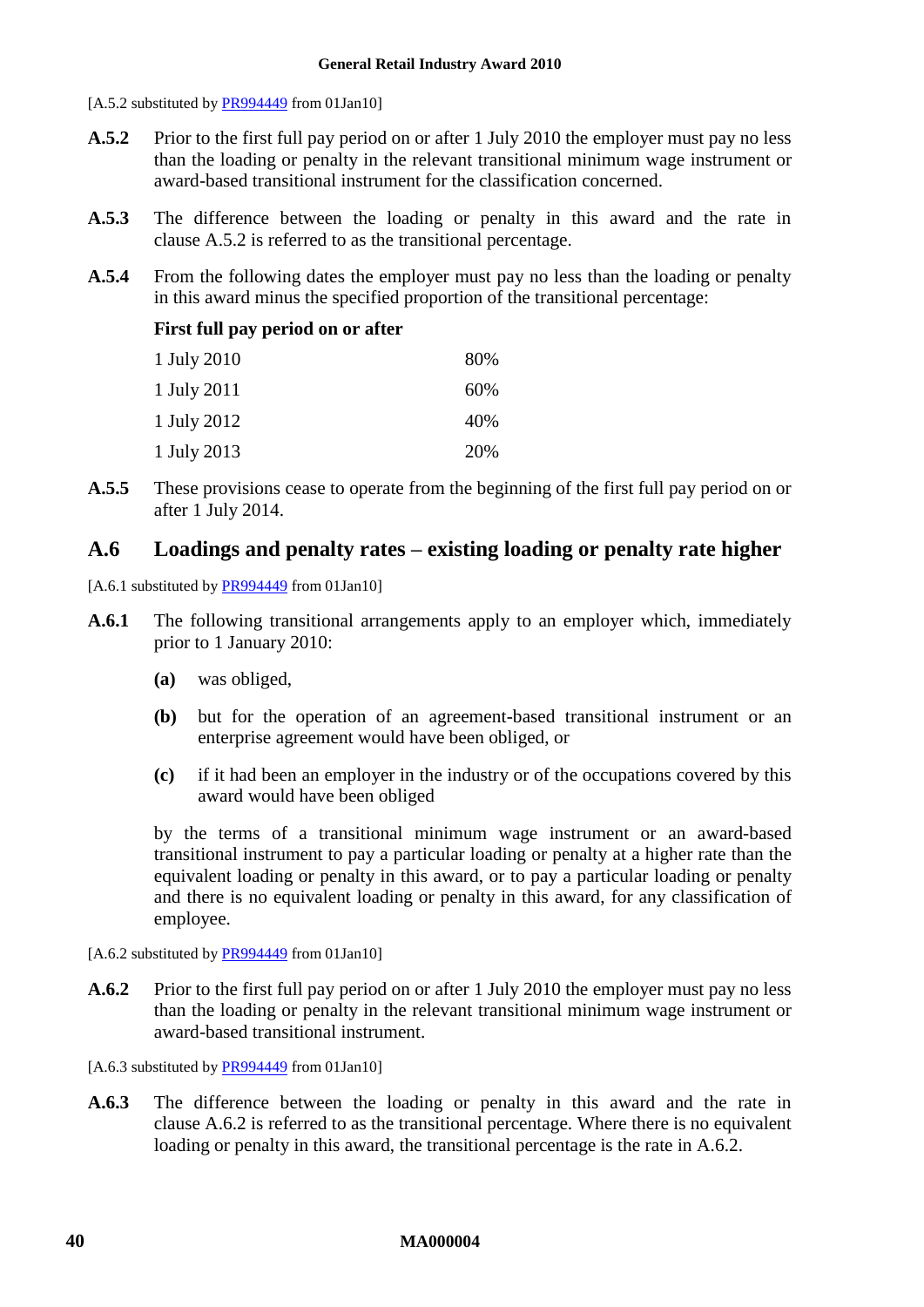[A.5.2 substituted by [PR994449](http://www.fwc.gov.au/awardsandorders/html/PR994449.htm) from 01Jan10]

- <span id="page-39-0"></span>**A.5.2** Prior to the first full pay period on or after 1 July 2010 the employer must pay no less than the loading or penalty in the relevant transitional minimum wage instrument or award-based transitional instrument for the classification concerned.
- **A.5.3** The difference between the loading or penalty in this award and the rate in clause [A.5.2](#page-39-0) is referred to as the transitional percentage.
- **A.5.4** From the following dates the employer must pay no less than the loading or penalty in this award minus the specified proportion of the transitional percentage:

#### **First full pay period on or after**

| 1 July 2010 | 80% |
|-------------|-----|
| 1 July 2011 | 60% |
| 1 July 2012 | 40% |
| 1 July 2013 | 20% |

**A.5.5** These provisions cease to operate from the beginning of the first full pay period on or after 1 July 2014.

### <span id="page-39-2"></span>**A.6 Loadings and penalty rates – existing loading or penalty rate higher**

[A.6.1 substituted by [PR994449](http://www.fwc.gov.au/awardsandorders/html/PR994449.htm) from 01Jan10]

- **A.6.1** The following transitional arrangements apply to an employer which, immediately prior to 1 January 2010:
	- **(a)** was obliged,
	- **(b)** but for the operation of an agreement-based transitional instrument or an enterprise agreement would have been obliged, or
	- **(c)** if it had been an employer in the industry or of the occupations covered by this award would have been obliged

by the terms of a transitional minimum wage instrument or an award-based transitional instrument to pay a particular loading or penalty at a higher rate than the equivalent loading or penalty in this award, or to pay a particular loading or penalty and there is no equivalent loading or penalty in this award, for any classification of employee.

[A.6.2 substituted by [PR994449](http://www.fwc.gov.au/awardsandorders/html/PR994449.htm) from 01Jan10]

<span id="page-39-1"></span>**A.6.2** Prior to the first full pay period on or after 1 July 2010 the employer must pay no less than the loading or penalty in the relevant transitional minimum wage instrument or award-based transitional instrument.

[A.6.3 substituted by [PR994449](http://www.fwc.gov.au/awardsandorders/html/PR994449.htm) from 01Jan10]

**A.6.3** The difference between the loading or penalty in this award and the rate in clause [A.6.2](#page-39-1) is referred to as the transitional percentage. Where there is no equivalent loading or penalty in this award, the transitional percentage is the rate in [A.6.2.](#page-39-1)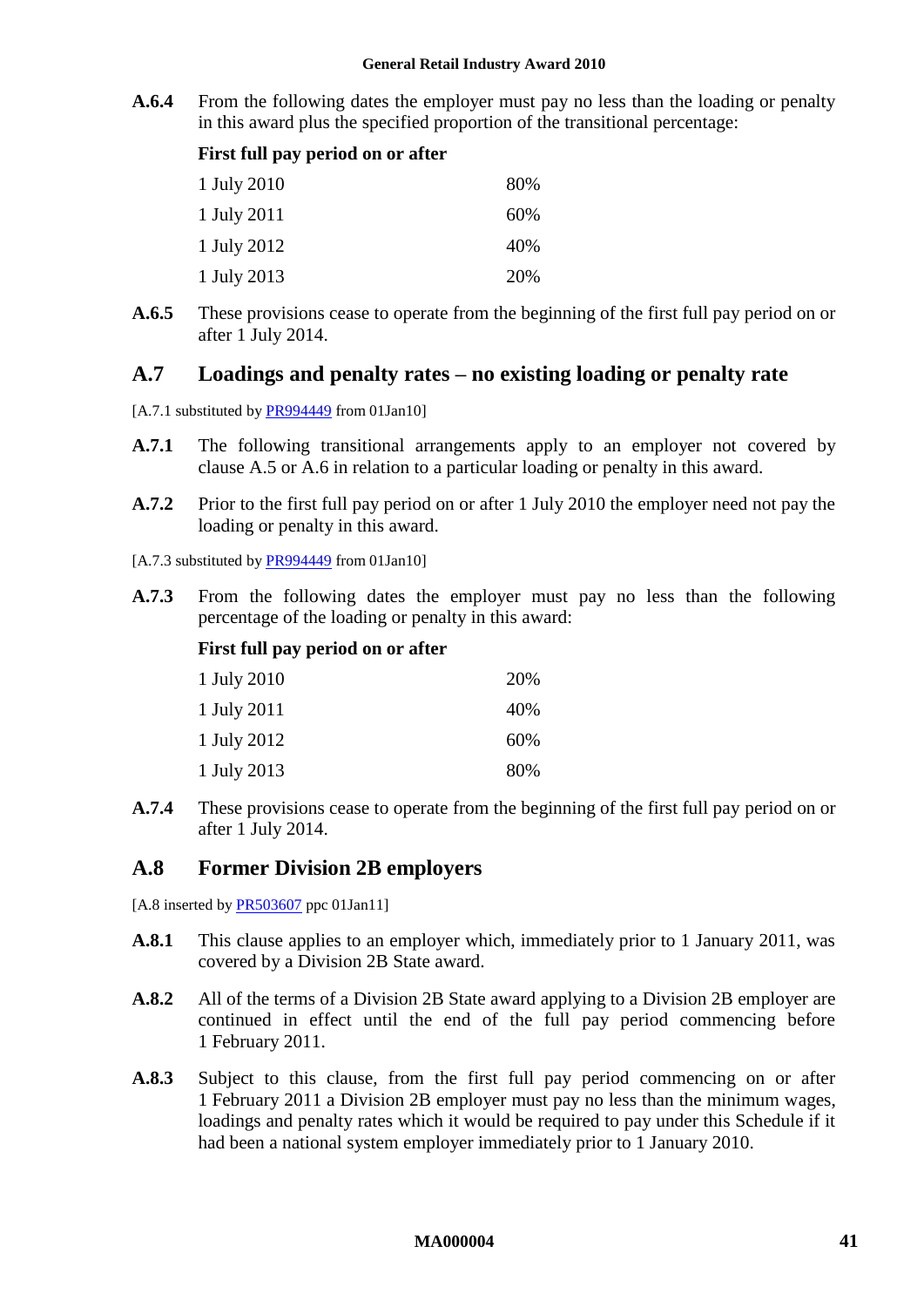**A.6.4** From the following dates the employer must pay no less than the loading or penalty in this award plus the specified proportion of the transitional percentage:

| First full pay period on or after |  |  |  |  |  |
|-----------------------------------|--|--|--|--|--|
|-----------------------------------|--|--|--|--|--|

| 1 July 2010 | 80% |
|-------------|-----|
| 1 July 2011 | 60% |
| 1 July 2012 | 40% |
| 1 July 2013 | 20% |

**A.6.5** These provisions cease to operate from the beginning of the first full pay period on or after 1 July 2014.

### **A.7 Loadings and penalty rates – no existing loading or penalty rate**

- [A.7.1 substituted b[y PR994449](http://www.fwc.gov.au/awardsandorders/html/PR994449.htm) from 01Jan10]
- **A.7.1** The following transitional arrangements apply to an employer not covered by clause [A.5](#page-38-0) or [A.6](#page-39-2) in relation to a particular loading or penalty in this award.
- **A.7.2** Prior to the first full pay period on or after 1 July 2010 the employer need not pay the loading or penalty in this award.

[A.7.3 substituted b[y PR994449](http://www.fwc.gov.au/awardsandorders/html/PR994449.htm) from 01Jan10]

**A.7.3** From the following dates the employer must pay no less than the following percentage of the loading or penalty in this award:

#### **First full pay period on or after**

| 1 July 2010 | 20% |
|-------------|-----|
| 1 July 2011 | 40% |
| 1 July 2012 | 60% |
| 1 July 2013 | 80% |

**A.7.4** These provisions cease to operate from the beginning of the first full pay period on or after 1 July 2014.

### **A.8 Former Division 2B employers**

[A.8 inserted by **PR503607** ppc 01Jan11]

- **A.8.1** This clause applies to an employer which, immediately prior to 1 January 2011, was covered by a Division 2B State award.
- **A.8.2** All of the terms of a Division 2B State award applying to a Division 2B employer are continued in effect until the end of the full pay period commencing before 1 February 2011.
- <span id="page-40-0"></span>**A.8.3** Subject to this clause, from the first full pay period commencing on or after 1 February 2011 a Division 2B employer must pay no less than the minimum wages, loadings and penalty rates which it would be required to pay under this Schedule if it had been a national system employer immediately prior to 1 January 2010.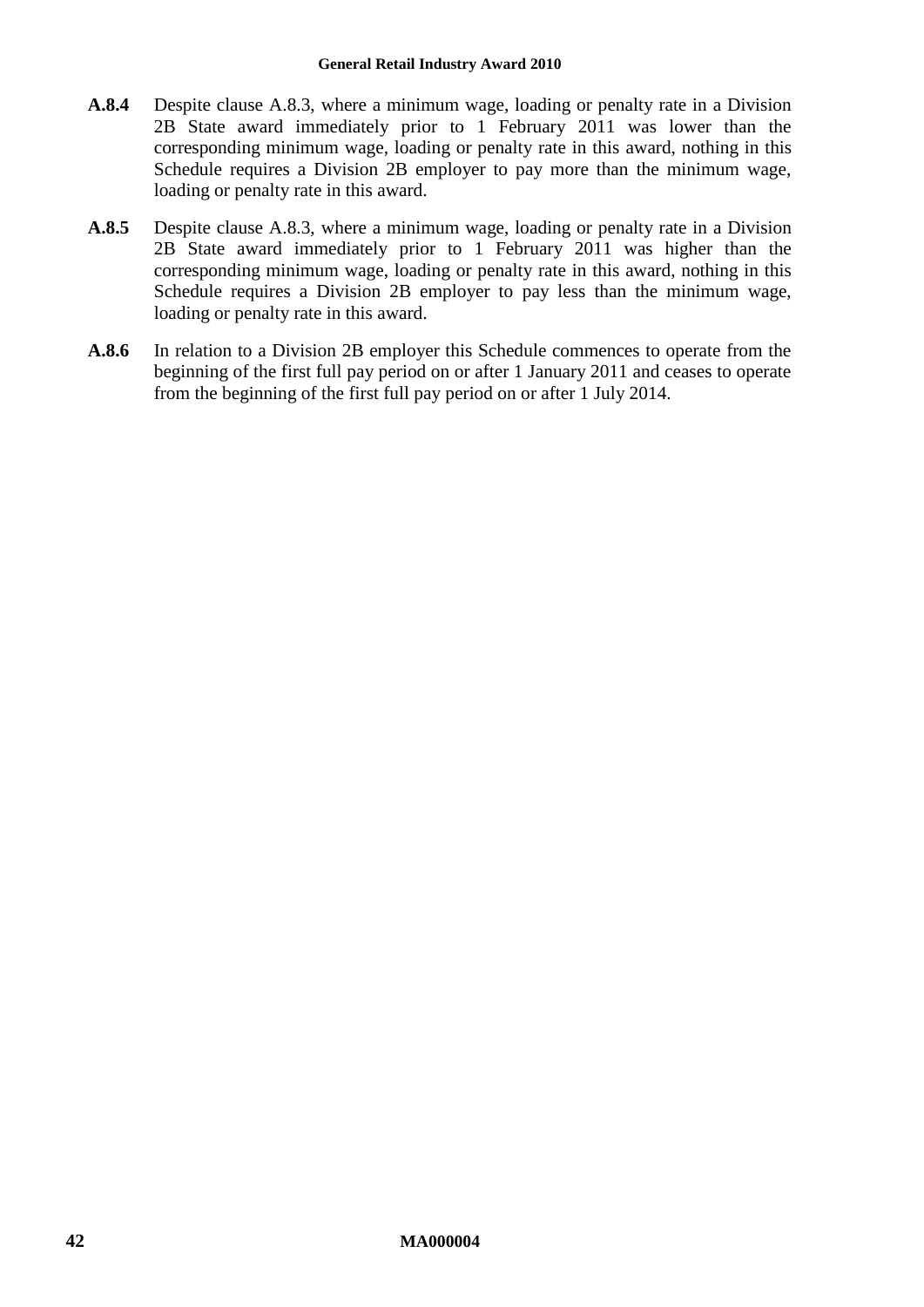- **A.8.4** Despite clause [A.8.3,](#page-40-0) where a minimum wage, loading or penalty rate in a Division 2B State award immediately prior to 1 February 2011 was lower than the corresponding minimum wage, loading or penalty rate in this award, nothing in this Schedule requires a Division 2B employer to pay more than the minimum wage, loading or penalty rate in this award.
- **A.8.5** Despite clause [A.8.3,](#page-40-0) where a minimum wage, loading or penalty rate in a Division 2B State award immediately prior to 1 February 2011 was higher than the corresponding minimum wage, loading or penalty rate in this award, nothing in this Schedule requires a Division 2B employer to pay less than the minimum wage, loading or penalty rate in this award.
- **A.8.6** In relation to a Division 2B employer this Schedule commences to operate from the beginning of the first full pay period on or after 1 January 2011 and ceases to operate from the beginning of the first full pay period on or after 1 July 2014.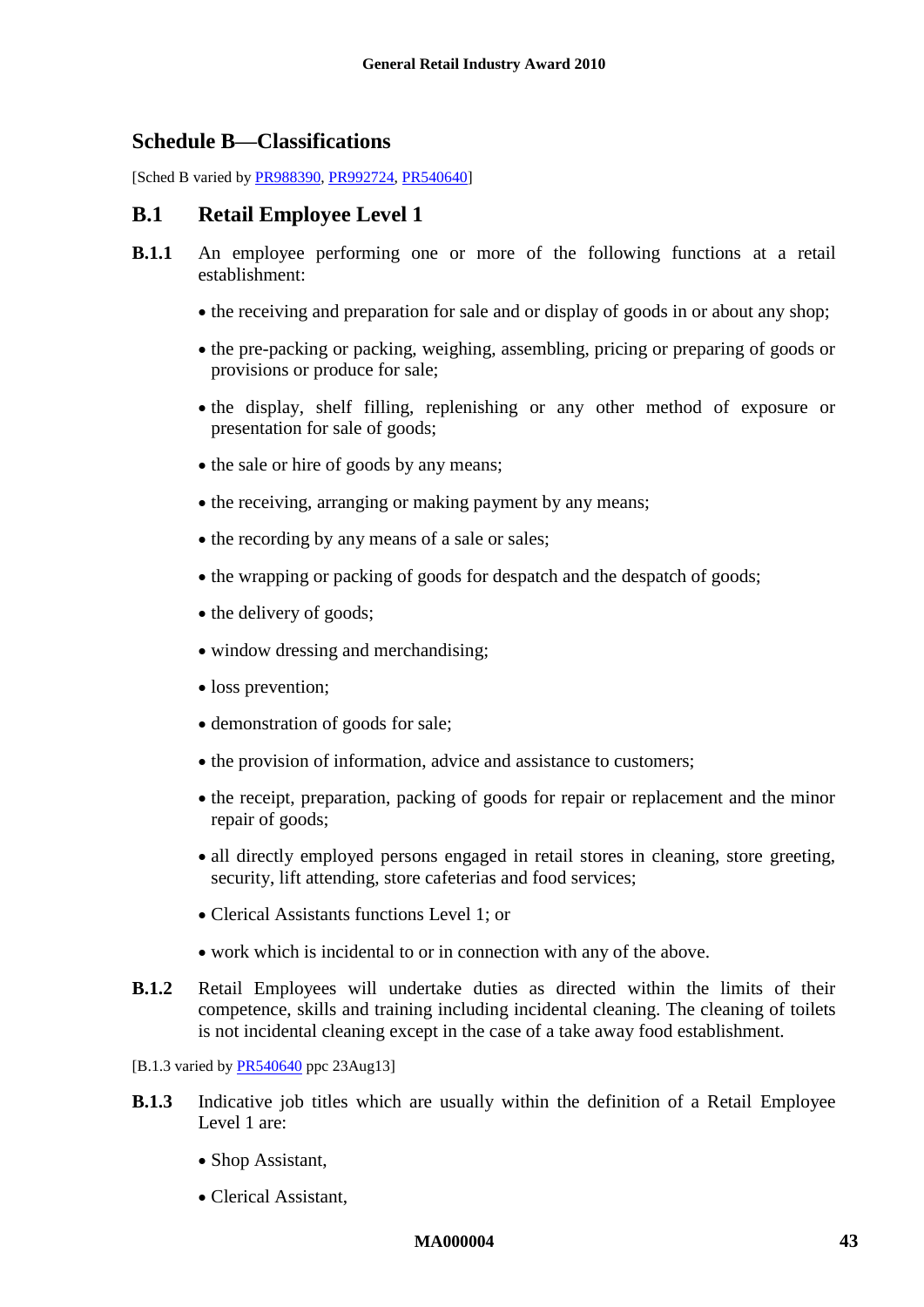### <span id="page-42-1"></span><span id="page-42-0"></span>**Schedule B—Classifications**

[Sched B varied b[y PR988390,](http://www.fwc.gov.au/awardsandorders/html/PR988390.htm) [PR992724,](http://www.fwc.gov.au/awardsandorders/html/PR992724.htm) [PR540640\]](http://www.fwc.gov.au/awardsandorders/html/PR540640.htm)

### **B.1 Retail Employee Level 1**

- **B.1.1** An employee performing one or more of the following functions at a retail establishment:
	- the receiving and preparation for sale and or display of goods in or about any shop;
	- the pre-packing or packing, weighing, assembling, pricing or preparing of goods or provisions or produce for sale;
	- the display, shelf filling, replenishing or any other method of exposure or presentation for sale of goods;
	- the sale or hire of goods by any means;
	- the receiving, arranging or making payment by any means;
	- the recording by any means of a sale or sales;
	- the wrapping or packing of goods for despatch and the despatch of goods;
	- the delivery of goods;
	- window dressing and merchandising;
	- loss prevention;
	- demonstration of goods for sale;
	- the provision of information, advice and assistance to customers;
	- the receipt, preparation, packing of goods for repair or replacement and the minor repair of goods;
	- all directly employed persons engaged in retail stores in cleaning, store greeting, security, lift attending, store cafeterias and food services;
	- Clerical Assistants functions Level 1; or
	- work which is incidental to or in connection with any of the above.
- **B.1.2** Retail Employees will undertake duties as directed within the limits of their competence, skills and training including incidental cleaning. The cleaning of toilets is not incidental cleaning except in the case of a take away food establishment.
- [B.1.3 varied b[y PR540640](http://www.fwc.gov.au/awardsandorders/html/PR540640.htm) ppc 23Aug13]
- **B.1.3** Indicative job titles which are usually within the definition of a Retail Employee Level 1 are:
	- Shop Assistant,
	- Clerical Assistant,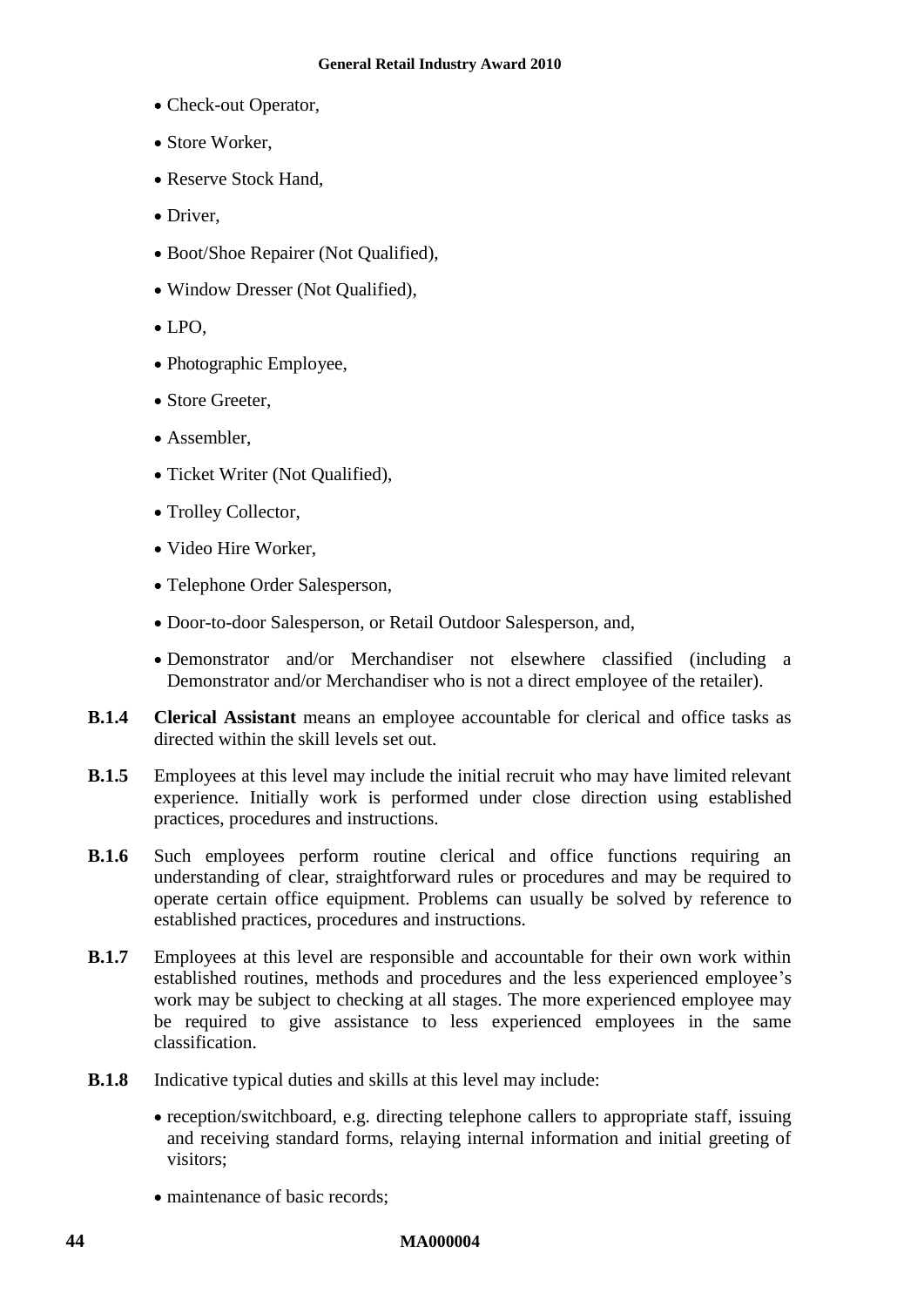- Check-out Operator,
- Store Worker,
- Reserve Stock Hand,
- Driver.
- Boot/Shoe Repairer (Not Qualified),
- Window Dresser (Not Qualified),
- LPO,
- Photographic Employee,
- Store Greeter,
- Assembler,
- Ticket Writer (Not Qualified),
- Trolley Collector,
- Video Hire Worker,
- Telephone Order Salesperson,
- Door-to-door Salesperson, or Retail Outdoor Salesperson, and,
- Demonstrator and/or Merchandiser not elsewhere classified (including a Demonstrator and/or Merchandiser who is not a direct employee of the retailer).
- **B.1.4 Clerical Assistant** means an employee accountable for clerical and office tasks as directed within the skill levels set out.
- **B.1.5** Employees at this level may include the initial recruit who may have limited relevant experience. Initially work is performed under close direction using established practices, procedures and instructions.
- **B.1.6** Such employees perform routine clerical and office functions requiring an understanding of clear, straightforward rules or procedures and may be required to operate certain office equipment. Problems can usually be solved by reference to established practices, procedures and instructions.
- **B.1.7** Employees at this level are responsible and accountable for their own work within established routines, methods and procedures and the less experienced employee's work may be subject to checking at all stages. The more experienced employee may be required to give assistance to less experienced employees in the same classification.
- **B.1.8** Indicative typical duties and skills at this level may include:
	- reception/switchboard, e.g. directing telephone callers to appropriate staff, issuing and receiving standard forms, relaying internal information and initial greeting of visitors;
	- maintenance of basic records: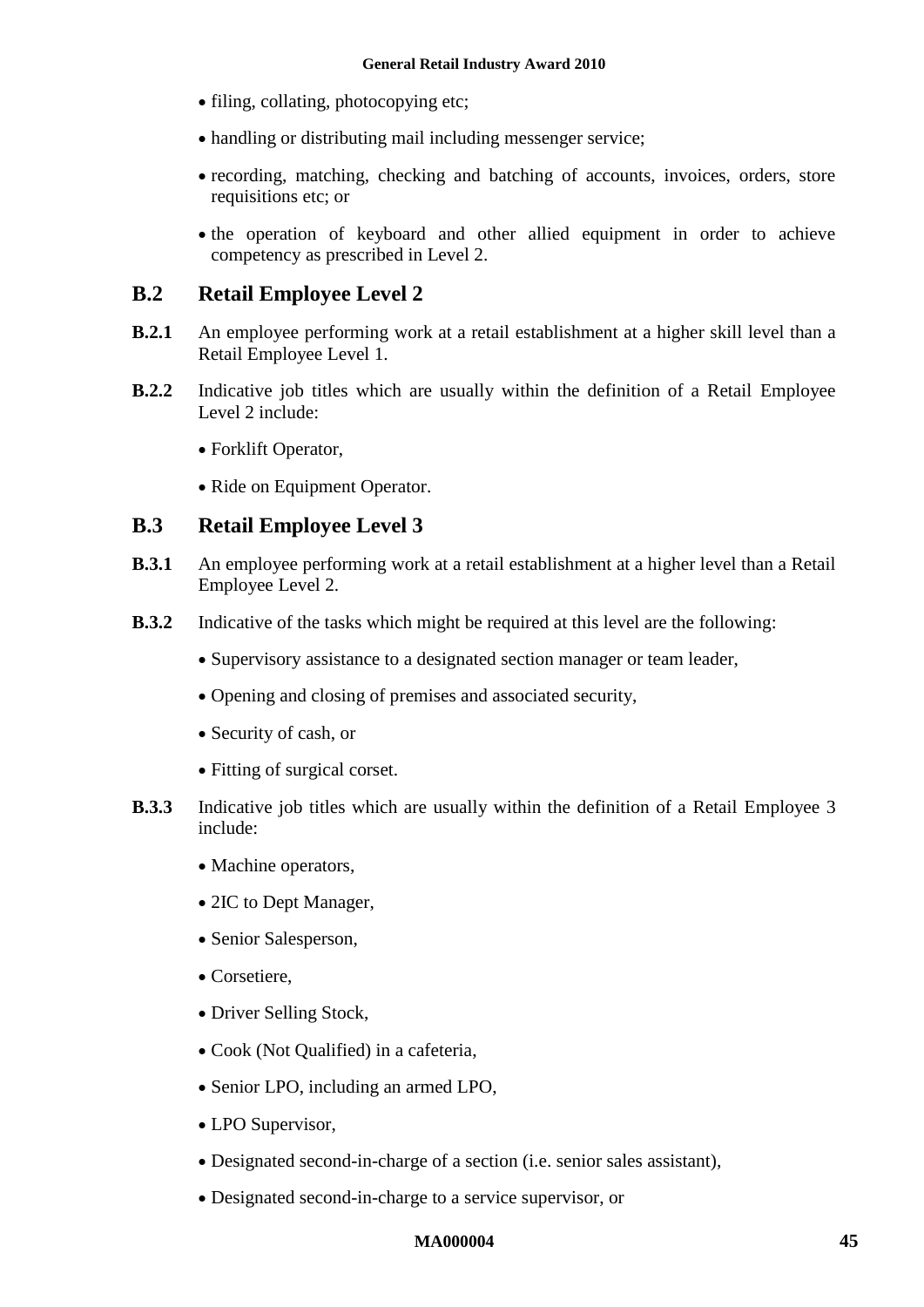- filing, collating, photocopying etc;
- handling or distributing mail including messenger service;
- recording, matching, checking and batching of accounts, invoices, orders, store requisitions etc; or
- the operation of keyboard and other allied equipment in order to achieve competency as prescribed in Level 2.

### **B.2 Retail Employee Level 2**

- **B.2.1** An employee performing work at a retail establishment at a higher skill level than a Retail Employee Level 1.
- **B.2.2** Indicative job titles which are usually within the definition of a Retail Employee Level 2 include:
	- Forklift Operator,
	- Ride on Equipment Operator.

### **B.3 Retail Employee Level 3**

- **B.3.1** An employee performing work at a retail establishment at a higher level than a Retail Employee Level 2.
- **B.3.2** Indicative of the tasks which might be required at this level are the following:
	- Supervisory assistance to a designated section manager or team leader,
	- Opening and closing of premises and associated security,
	- Security of cash, or
	- Fitting of surgical corset.
- **B.3.3** Indicative job titles which are usually within the definition of a Retail Employee 3 include:
	- Machine operators,
	- 2IC to Dept Manager,
	- Senior Salesperson,
	- Corsetiere,
	- Driver Selling Stock,
	- Cook (Not Qualified) in a cafeteria,
	- Senior LPO, including an armed LPO,
	- LPO Supervisor,
	- Designated second-in-charge of a section (i.e. senior sales assistant),
	- Designated second-in-charge to a service supervisor, or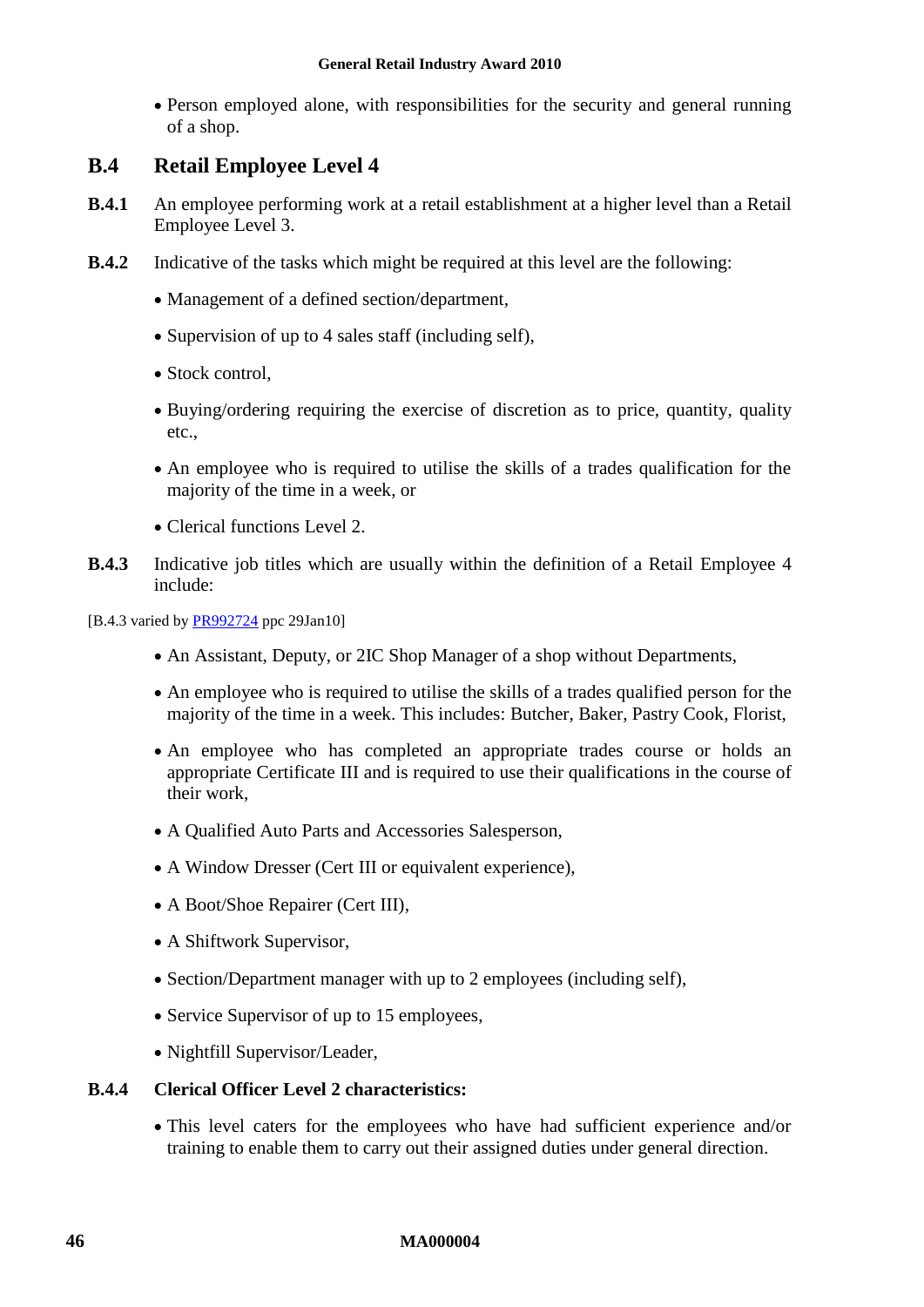Person employed alone, with responsibilities for the security and general running of a shop.

### **B.4 Retail Employee Level 4**

- **B.4.1** An employee performing work at a retail establishment at a higher level than a Retail Employee Level 3.
- **B.4.2** Indicative of the tasks which might be required at this level are the following:
	- Management of a defined section/department,
	- Supervision of up to 4 sales staff (including self),
	- Stock control.
	- Buying/ordering requiring the exercise of discretion as to price, quantity, quality etc.,
	- An employee who is required to utilise the skills of a trades qualification for the majority of the time in a week, or
	- Clerical functions Level 2.
- **B.4.3** Indicative job titles which are usually within the definition of a Retail Employee 4 include:
- [B.4.3 varied by [PR992724](http://www.fwc.gov.au/awardsandorders/html/PR992724.htm) ppc 29Jan10]
	- An Assistant, Deputy, or 2IC Shop Manager of a shop without Departments,
	- An employee who is required to utilise the skills of a trades qualified person for the majority of the time in a week. This includes: Butcher, Baker, Pastry Cook, Florist,
	- An employee who has completed an appropriate trades course or holds an appropriate Certificate III and is required to use their qualifications in the course of their work,
	- A Qualified Auto Parts and Accessories Salesperson,
	- A Window Dresser (Cert III or equivalent experience),
	- A Boot/Shoe Repairer (Cert III),
	- A Shiftwork Supervisor,
	- Section/Department manager with up to 2 employees (including self),
	- Service Supervisor of up to 15 employees,
	- Nightfill Supervisor/Leader,

#### **B.4.4 Clerical Officer Level 2 characteristics:**

 This level caters for the employees who have had sufficient experience and/or training to enable them to carry out their assigned duties under general direction.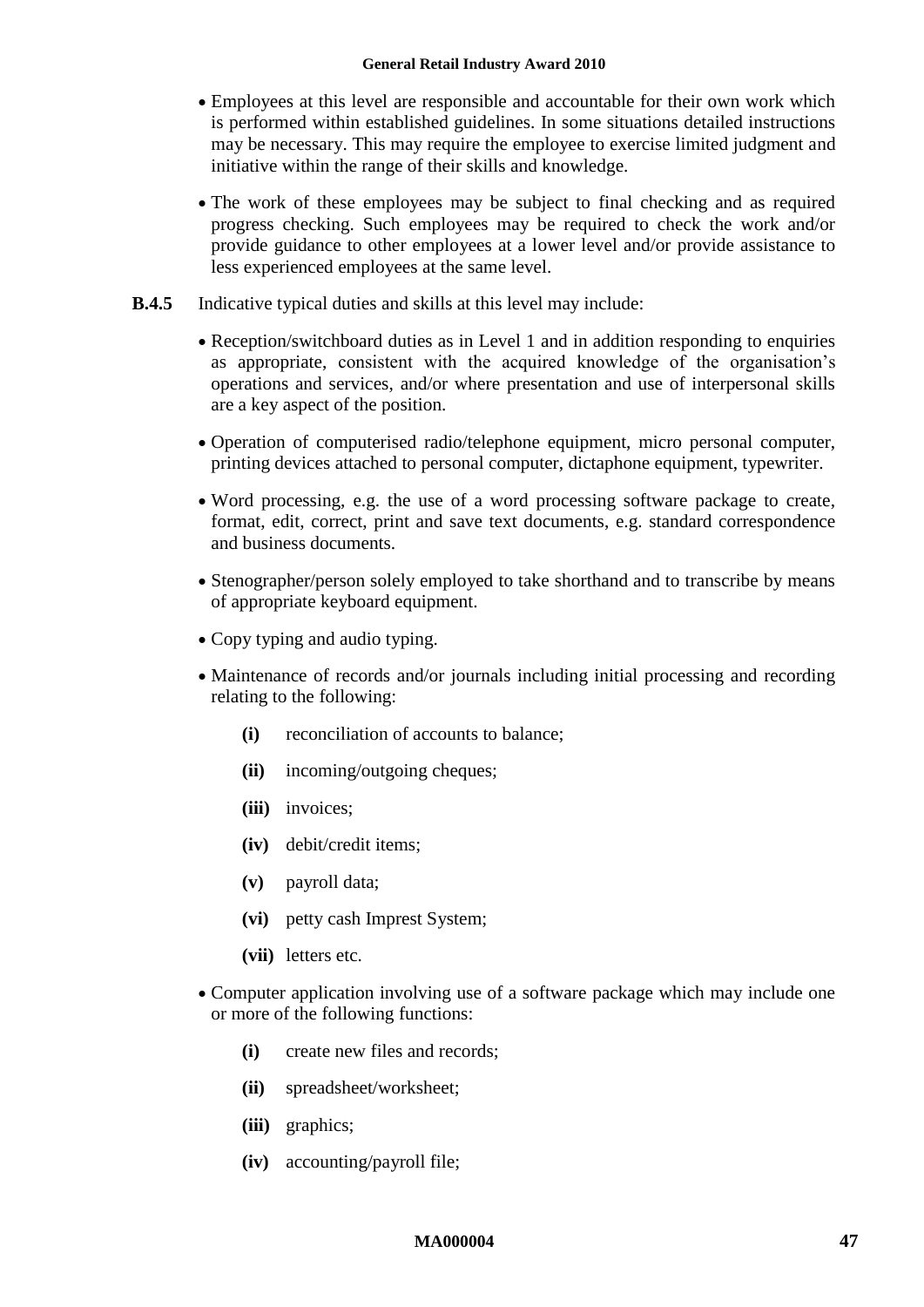- Employees at this level are responsible and accountable for their own work which is performed within established guidelines. In some situations detailed instructions may be necessary. This may require the employee to exercise limited judgment and initiative within the range of their skills and knowledge.
- The work of these employees may be subject to final checking and as required progress checking. Such employees may be required to check the work and/or provide guidance to other employees at a lower level and/or provide assistance to less experienced employees at the same level.
- **B.4.5** Indicative typical duties and skills at this level may include:
	- Reception/switchboard duties as in Level 1 and in addition responding to enquiries as appropriate, consistent with the acquired knowledge of the organisation's operations and services, and/or where presentation and use of interpersonal skills are a key aspect of the position.
	- Operation of computerised radio/telephone equipment, micro personal computer, printing devices attached to personal computer, dictaphone equipment, typewriter.
	- Word processing, e.g. the use of a word processing software package to create, format, edit, correct, print and save text documents, e.g. standard correspondence and business documents.
	- Stenographer/person solely employed to take shorthand and to transcribe by means of appropriate keyboard equipment.
	- Copy typing and audio typing.
	- Maintenance of records and/or journals including initial processing and recording relating to the following:
		- **(i)** reconciliation of accounts to balance;
		- **(ii)** incoming/outgoing cheques;
		- **(iii)** invoices;
		- **(iv)** debit/credit items;
		- **(v)** payroll data;
		- **(vi)** petty cash Imprest System;
		- **(vii)** letters etc.
	- Computer application involving use of a software package which may include one or more of the following functions:
		- **(i)** create new files and records;
		- **(ii)** spreadsheet/worksheet;
		- **(iii)** graphics;
		- **(iv)** accounting/payroll file;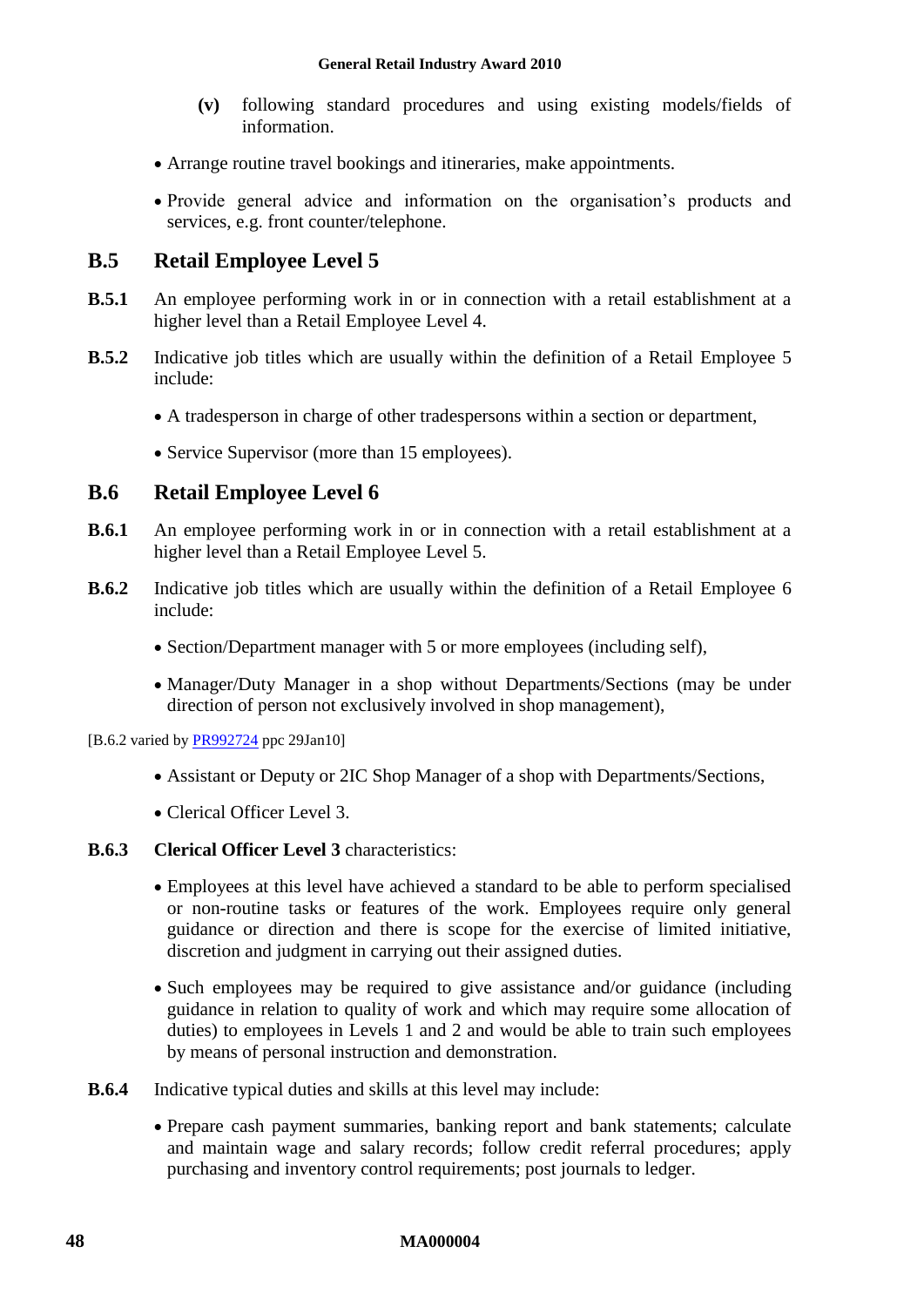- **(v)** following standard procedures and using existing models/fields of information.
- Arrange routine travel bookings and itineraries, make appointments.
- Provide general advice and information on the organisation's products and services, e.g. front counter/telephone.

## **B.5 Retail Employee Level 5**

- **B.5.1** An employee performing work in or in connection with a retail establishment at a higher level than a Retail Employee Level 4.
- **B.5.2** Indicative job titles which are usually within the definition of a Retail Employee 5 include:
	- A tradesperson in charge of other tradespersons within a section or department,
	- Service Supervisor (more than 15 employees).

### **B.6 Retail Employee Level 6**

- **B.6.1** An employee performing work in or in connection with a retail establishment at a higher level than a Retail Employee Level 5.
- **B.6.2** Indicative job titles which are usually within the definition of a Retail Employee 6 include:
	- Section/Department manager with 5 or more employees (including self),
	- Manager/Duty Manager in a shop without Departments/Sections (may be under direction of person not exclusively involved in shop management).

[B.6.2 varied by [PR992724](http://www.fwc.gov.au/awardsandorders/html/PR992724.htm) ppc 29Jan10]

- Assistant or Deputy or 2IC Shop Manager of a shop with Departments/Sections,
- Clerical Officer Level 3.

### **B.6.3 Clerical Officer Level 3** characteristics:

- Employees at this level have achieved a standard to be able to perform specialised or non-routine tasks or features of the work. Employees require only general guidance or direction and there is scope for the exercise of limited initiative, discretion and judgment in carrying out their assigned duties.
- Such employees may be required to give assistance and/or guidance (including guidance in relation to quality of work and which may require some allocation of duties) to employees in Levels 1 and 2 and would be able to train such employees by means of personal instruction and demonstration.
- **B.6.4** Indicative typical duties and skills at this level may include:
	- Prepare cash payment summaries, banking report and bank statements; calculate and maintain wage and salary records; follow credit referral procedures; apply purchasing and inventory control requirements; post journals to ledger.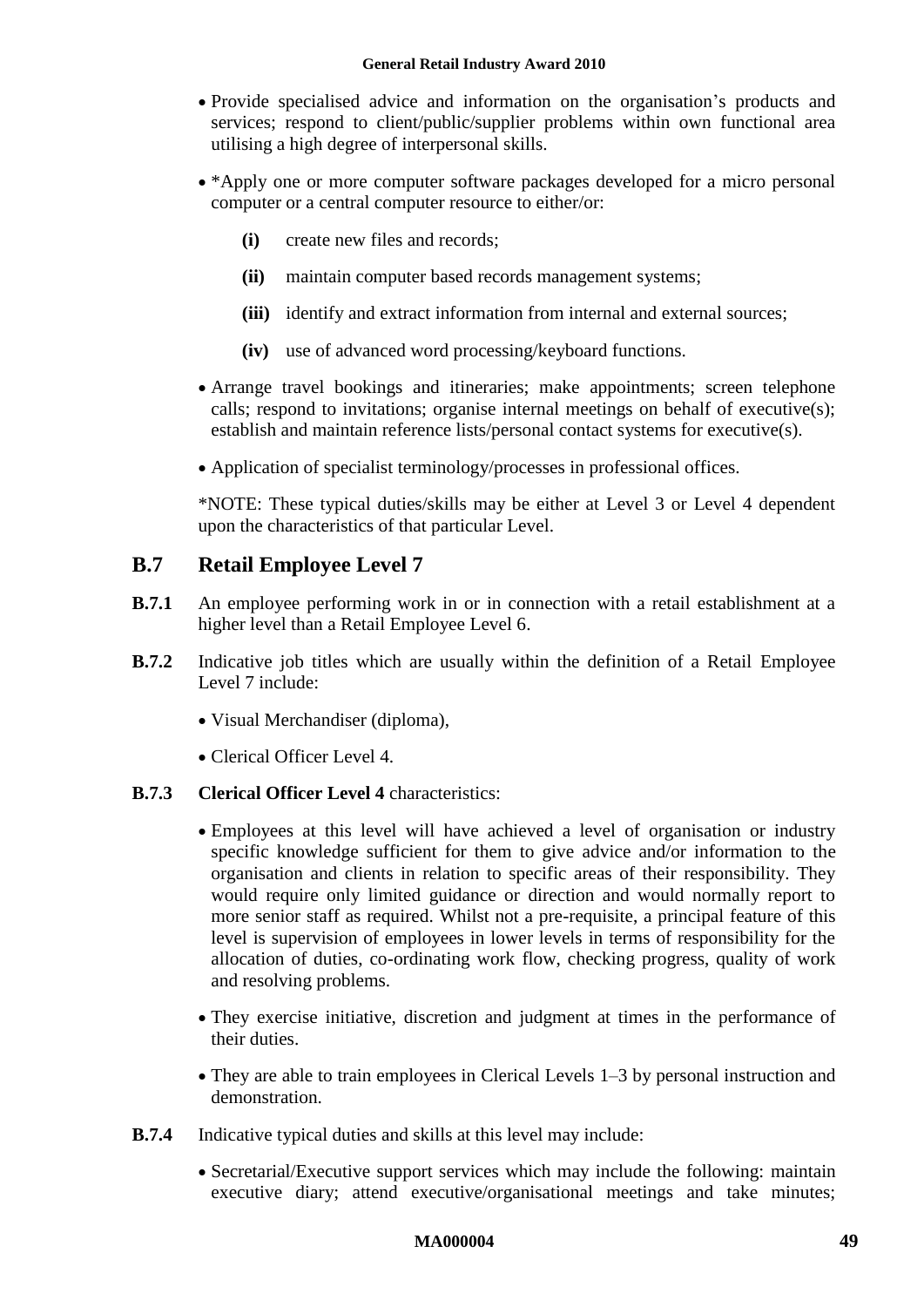- Provide specialised advice and information on the organisation's products and services; respond to client/public/supplier problems within own functional area utilising a high degree of interpersonal skills.
- \*Apply one or more computer software packages developed for a micro personal computer or a central computer resource to either/or:
	- **(i)** create new files and records;
	- **(ii)** maintain computer based records management systems;
	- **(iii)** identify and extract information from internal and external sources;
	- **(iv)** use of advanced word processing/keyboard functions.
- Arrange travel bookings and itineraries; make appointments; screen telephone calls; respond to invitations; organise internal meetings on behalf of executive(s); establish and maintain reference lists/personal contact systems for executive(s).
- Application of specialist terminology/processes in professional offices.

\*NOTE: These typical duties/skills may be either at Level 3 or Level 4 dependent upon the characteristics of that particular Level.

### **B.7 Retail Employee Level 7**

- **B.7.1** An employee performing work in or in connection with a retail establishment at a higher level than a Retail Employee Level 6.
- **B.7.2** Indicative job titles which are usually within the definition of a Retail Employee Level 7 include:
	- Visual Merchandiser (diploma),
	- Clerical Officer Level 4.

#### **B.7.3 Clerical Officer Level 4** characteristics:

- Employees at this level will have achieved a level of organisation or industry specific knowledge sufficient for them to give advice and/or information to the organisation and clients in relation to specific areas of their responsibility. They would require only limited guidance or direction and would normally report to more senior staff as required. Whilst not a pre-requisite, a principal feature of this level is supervision of employees in lower levels in terms of responsibility for the allocation of duties, co-ordinating work flow, checking progress, quality of work and resolving problems.
- They exercise initiative, discretion and judgment at times in the performance of their duties.
- They are able to train employees in Clerical Levels 1–3 by personal instruction and demonstration.
- **B.7.4** Indicative typical duties and skills at this level may include:
	- Secretarial/Executive support services which may include the following: maintain executive diary; attend executive/organisational meetings and take minutes;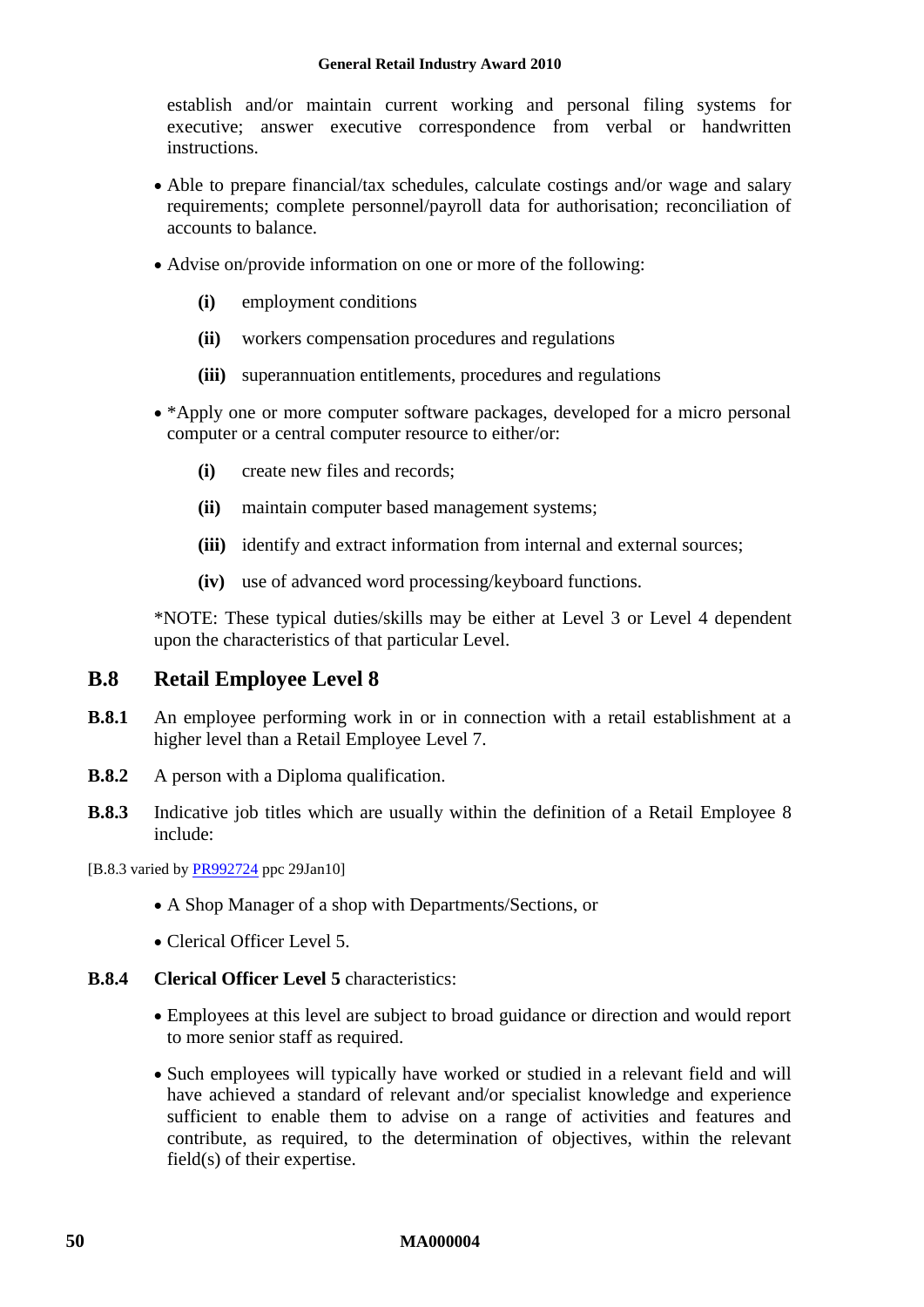establish and/or maintain current working and personal filing systems for executive; answer executive correspondence from verbal or handwritten instructions.

- Able to prepare financial/tax schedules, calculate costings and/or wage and salary requirements; complete personnel/payroll data for authorisation; reconciliation of accounts to balance.
- Advise on/provide information on one or more of the following:
	- **(i)** employment conditions
	- **(ii)** workers compensation procedures and regulations
	- **(iii)** superannuation entitlements, procedures and regulations
- \*Apply one or more computer software packages, developed for a micro personal computer or a central computer resource to either/or:
	- **(i)** create new files and records;
	- **(ii)** maintain computer based management systems;
	- **(iii)** identify and extract information from internal and external sources;
	- **(iv)** use of advanced word processing/keyboard functions.

\*NOTE: These typical duties/skills may be either at Level 3 or Level 4 dependent upon the characteristics of that particular Level.

### **B.8 Retail Employee Level 8**

- **B.8.1** An employee performing work in or in connection with a retail establishment at a higher level than a Retail Employee Level 7.
- **B.8.2** A person with a Diploma qualification.
- **B.8.3** Indicative job titles which are usually within the definition of a Retail Employee 8 include:

[B.8.3 varied by [PR992724](http://www.fwc.gov.au/awardsandorders/html/PR992724.htm) ppc 29Jan10]

- A Shop Manager of a shop with Departments/Sections, or
- Clerical Officer Level 5.
- **B.8.4 Clerical Officer Level 5** characteristics:
	- Employees at this level are subject to broad guidance or direction and would report to more senior staff as required.
	- Such employees will typically have worked or studied in a relevant field and will have achieved a standard of relevant and/or specialist knowledge and experience sufficient to enable them to advise on a range of activities and features and contribute, as required, to the determination of objectives, within the relevant field(s) of their expertise.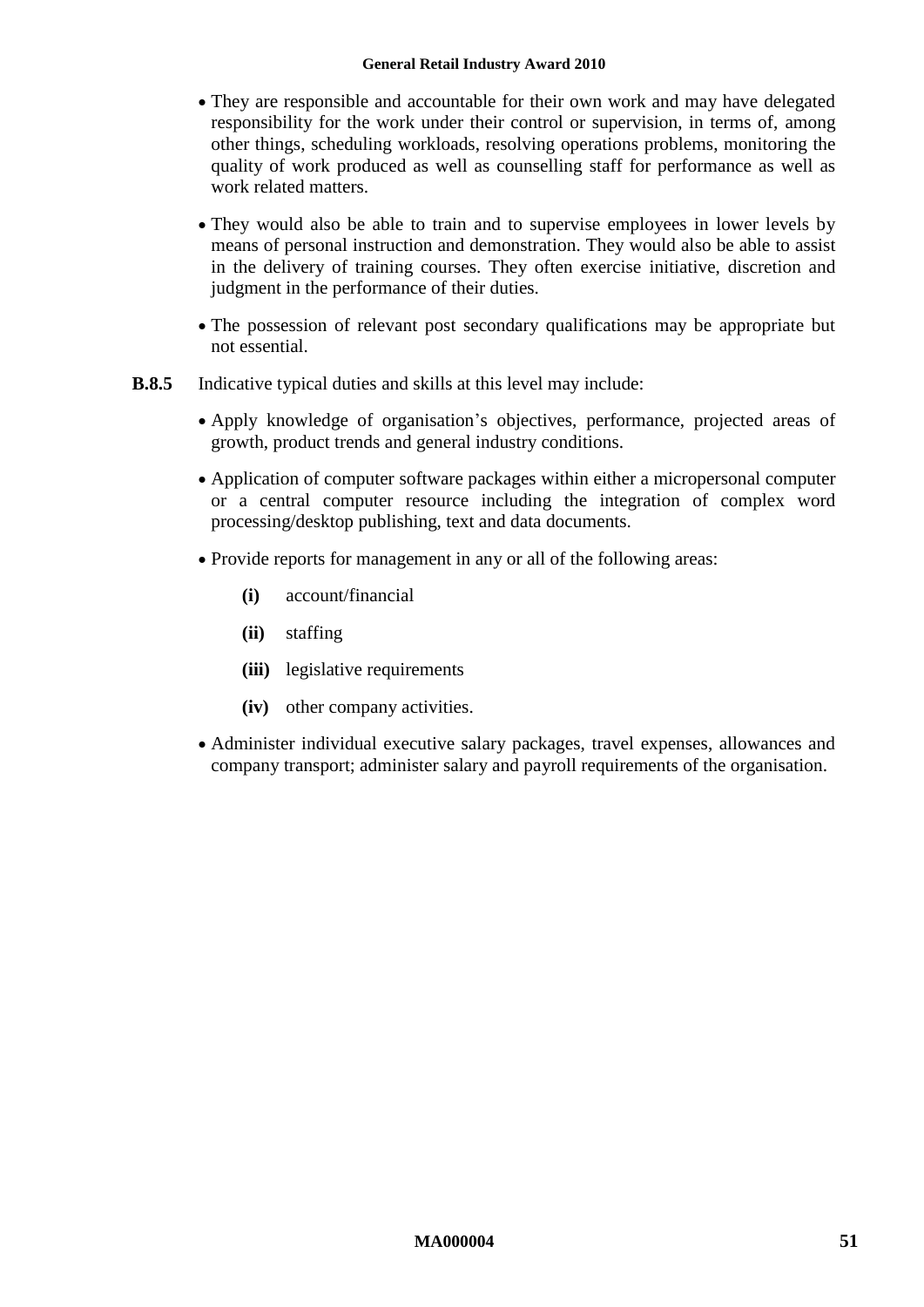#### **General Retail Industry Award 2010**

- They are responsible and accountable for their own work and may have delegated responsibility for the work under their control or supervision, in terms of, among other things, scheduling workloads, resolving operations problems, monitoring the quality of work produced as well as counselling staff for performance as well as work related matters.
- They would also be able to train and to supervise employees in lower levels by means of personal instruction and demonstration. They would also be able to assist in the delivery of training courses. They often exercise initiative, discretion and judgment in the performance of their duties.
- The possession of relevant post secondary qualifications may be appropriate but not essential.
- **B.8.5** Indicative typical duties and skills at this level may include:
	- Apply knowledge of organisation's objectives, performance, projected areas of growth, product trends and general industry conditions.
	- Application of computer software packages within either a micropersonal computer or a central computer resource including the integration of complex word processing/desktop publishing, text and data documents.
	- Provide reports for management in any or all of the following areas:
		- **(i)** account/financial
		- **(ii)** staffing
		- **(iii)** legislative requirements
		- **(iv)** other company activities.
	- Administer individual executive salary packages, travel expenses, allowances and company transport; administer salary and payroll requirements of the organisation.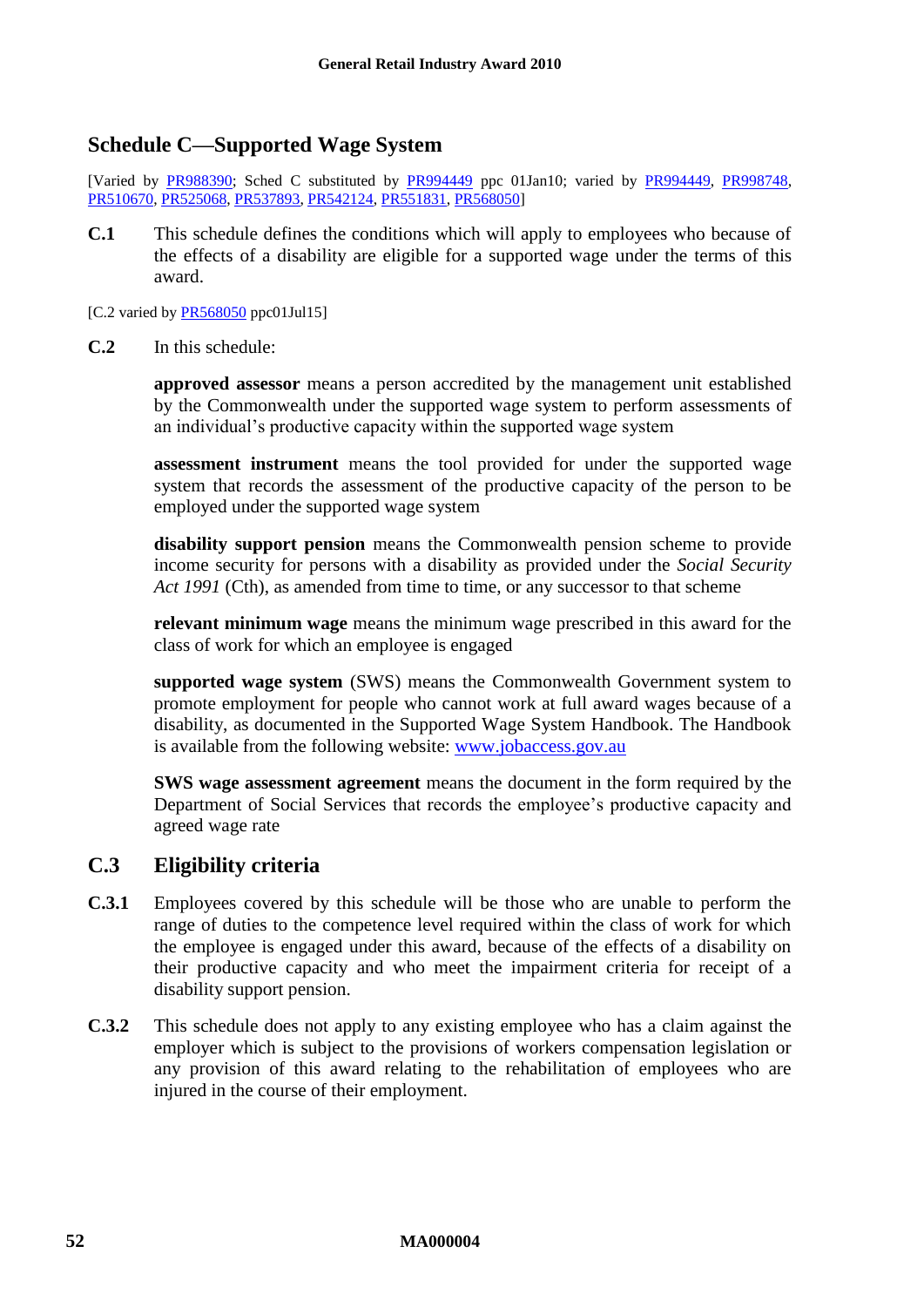### <span id="page-51-1"></span><span id="page-51-0"></span>**Schedule C—Supported Wage System**

[Varied by [PR988390;](http://www.fwc.gov.au/awardsandorders/html/PR988390.htm) Sched C substituted by [PR994449](http://www.fwc.gov.au/awardsandorders/html/PR994449.htm) ppc 01Jan10; varied by [PR994449,](http://www.fwc.gov.au/awardsandorders/html/PR994449.htm) [PR998748,](http://www.fwc.gov.au/awardsandorders/html/PR998748.htm) [PR510670,](http://www.fwc.gov.au/awardsandorders/html/PR510670.htm) [PR525068,](http://www.fwc.gov.au/awardsandorders/html/PR525068.htm) [PR537893,](http://www.fwc.gov.au/awardsandorders/html/PR537893.htm) [PR542124,](http://www.fwc.gov.au/awardsandorders/html/PR542124.htm) [PR551831,](http://www.fwc.gov.au/awardsandorders/html/PR551831.htm) [PR568050\]](http://www.fwc.gov.au/awardsandorders/html/PR568050.htm)

**C.1** This schedule defines the conditions which will apply to employees who because of the effects of a disability are eligible for a supported wage under the terms of this award.

[C.2 varied by  $PR568050$  ppc01Jul15]

**C.2** In this schedule:

**approved assessor** means a person accredited by the management unit established by the Commonwealth under the supported wage system to perform assessments of an individual's productive capacity within the supported wage system

**assessment instrument** means the tool provided for under the supported wage system that records the assessment of the productive capacity of the person to be employed under the supported wage system

**disability support pension** means the Commonwealth pension scheme to provide income security for persons with a disability as provided under the *Social Security Act 1991* (Cth), as amended from time to time, or any successor to that scheme

**relevant minimum wage** means the minimum wage prescribed in this award for the class of work for which an employee is engaged

**supported wage system** (SWS) means the Commonwealth Government system to promote employment for people who cannot work at full award wages because of a disability, as documented in the Supported Wage System Handbook. The Handbook is available from the following website: [www.jobaccess.gov.au](http://www.jobaccess.gov.au/)

**SWS wage assessment agreement** means the document in the form required by the Department of Social Services that records the employee's productive capacity and agreed wage rate

### **C.3 Eligibility criteria**

- **C.3.1** Employees covered by this schedule will be those who are unable to perform the range of duties to the competence level required within the class of work for which the employee is engaged under this award, because of the effects of a disability on their productive capacity and who meet the impairment criteria for receipt of a disability support pension.
- **C.3.2** This schedule does not apply to any existing employee who has a claim against the employer which is subject to the provisions of workers compensation legislation or any provision of this award relating to the rehabilitation of employees who are injured in the course of their employment.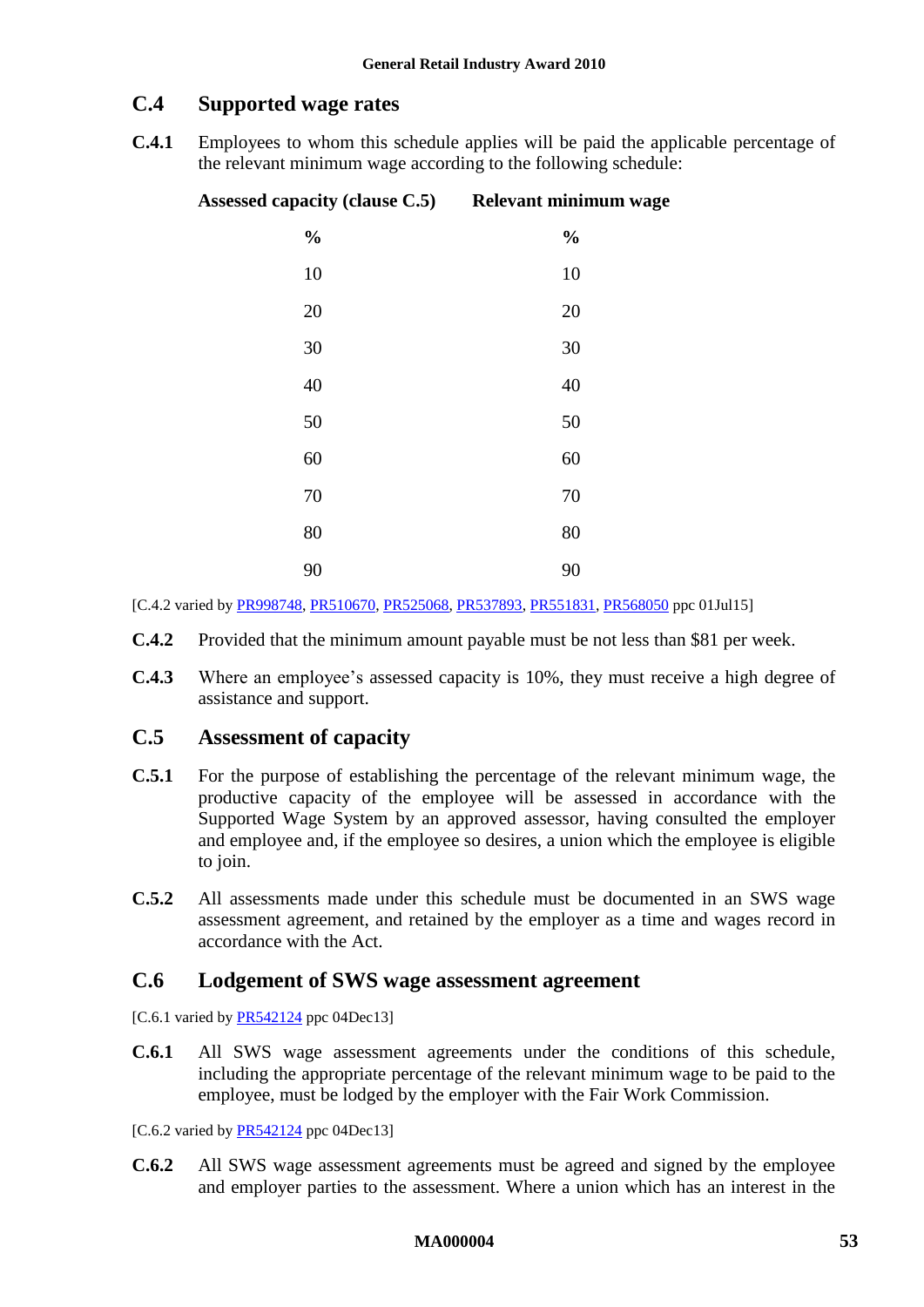### **C.4 Supported wage rates**

**C.4.1** Employees to whom this schedule applies will be paid the applicable percentage of the relevant minimum wage according to the following schedule:

| Assessed capacity (clause C.5) Relevant minimum wage |               |
|------------------------------------------------------|---------------|
| $\frac{0}{0}$                                        | $\frac{0}{0}$ |
| 10                                                   | 10            |
| 20                                                   | 20            |
| $30\,$                                               | 30            |
| 40                                                   | 40            |
| 50                                                   | 50            |
| 60                                                   | 60            |
| 70                                                   | 70            |
| 80                                                   | 80            |
| 90                                                   | 90            |

[C.4.2 varied b[y PR998748,](http://www.fwc.gov.au/awardsandorders/html/PR998748.htm) [PR510670,](http://www.fwc.gov.au/awardsandorders/html/PR510670.htm) [PR525068,](http://www.fwc.gov.au/awardsandorders/html/PR525068.htm) [PR537893,](http://www.fwc.gov.au/awardsandorders/html/PR537893.htm) [PR551831,](http://www.fwc.gov.au/awardsandorders/html/PR551831.htm) [PR568050](http://www.fwc.gov.au/awardsandorders/html/PR568050.htm) ppc 01Jul15]

- **C.4.2** Provided that the minimum amount payable must be not less than \$81 per week.
- **C.4.3** Where an employee's assessed capacity is 10%, they must receive a high degree of assistance and support.

### <span id="page-52-0"></span>**C.5 Assessment of capacity**

- **C.5.1** For the purpose of establishing the percentage of the relevant minimum wage, the productive capacity of the employee will be assessed in accordance with the Supported Wage System by an approved assessor, having consulted the employer and employee and, if the employee so desires, a union which the employee is eligible to join.
- **C.5.2** All assessments made under this schedule must be documented in an SWS wage assessment agreement, and retained by the employer as a time and wages record in accordance with the Act.

### **C.6 Lodgement of SWS wage assessment agreement**

[C.6.1 varied by  $PR542124$  ppc 04Dec13]

**C.6.1** All SWS wage assessment agreements under the conditions of this schedule, including the appropriate percentage of the relevant minimum wage to be paid to the employee, must be lodged by the employer with the Fair Work Commission.

[C.6.2 varied b[y PR542124](http://www.fwc.gov.au/awardsandorders/html/PR542124.htm) ppc 04Dec13]

**C.6.2** All SWS wage assessment agreements must be agreed and signed by the employee and employer parties to the assessment. Where a union which has an interest in the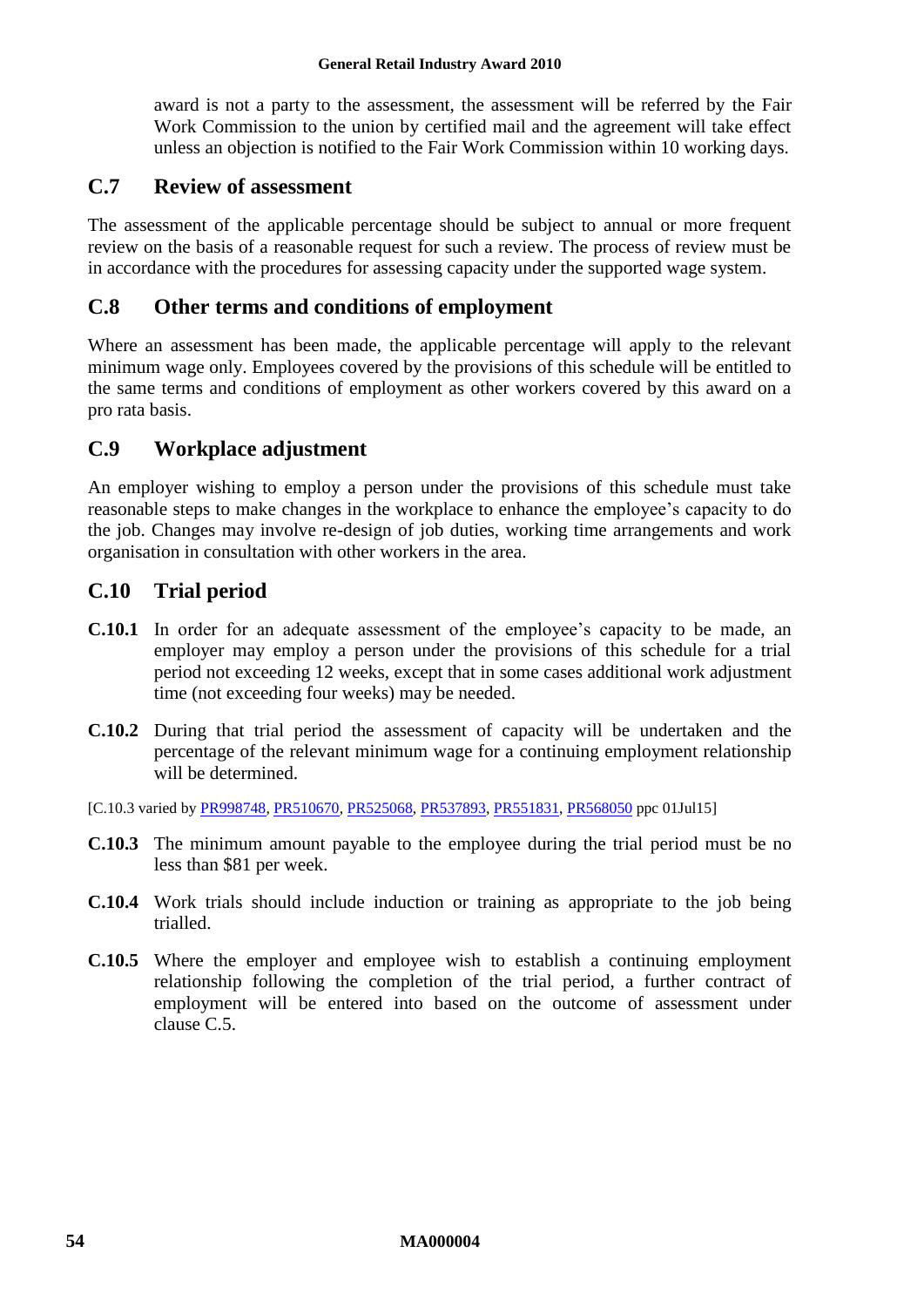award is not a party to the assessment, the assessment will be referred by the Fair Work Commission to the union by certified mail and the agreement will take effect unless an objection is notified to the Fair Work Commission within 10 working days.

### **C.7 Review of assessment**

The assessment of the applicable percentage should be subject to annual or more frequent review on the basis of a reasonable request for such a review. The process of review must be in accordance with the procedures for assessing capacity under the supported wage system.

### **C.8 Other terms and conditions of employment**

Where an assessment has been made, the applicable percentage will apply to the relevant minimum wage only. Employees covered by the provisions of this schedule will be entitled to the same terms and conditions of employment as other workers covered by this award on a pro rata basis.

## **C.9 Workplace adjustment**

An employer wishing to employ a person under the provisions of this schedule must take reasonable steps to make changes in the workplace to enhance the employee's capacity to do the job. Changes may involve re-design of job duties, working time arrangements and work organisation in consultation with other workers in the area.

### **C.10 Trial period**

- **C.10.1** In order for an adequate assessment of the employee's capacity to be made, an employer may employ a person under the provisions of this schedule for a trial period not exceeding 12 weeks, except that in some cases additional work adjustment time (not exceeding four weeks) may be needed.
- **C.10.2** During that trial period the assessment of capacity will be undertaken and the percentage of the relevant minimum wage for a continuing employment relationship will be determined.

[C.10.3 varied by [PR998748,](http://www.fwc.gov.au/awardsandorders/html/PR998748.htm) [PR510670,](http://www.fwc.gov.au/awardsandorders/html/PR510670.htm) [PR525068,](http://www.fwc.gov.au/awardsandorders/html/PR525068.htm) [PR537893,](http://www.fwc.gov.au/awardsandorders/html/PR537893.htm) [PR551831,](http://www.fwc.gov.au/awardsandorders/html/PR551831.htm) [PR568050](http://www.fwc.gov.au/awardsandorders/html/PR568050.htm) ppc 01Jul15]

- **C.10.3** The minimum amount payable to the employee during the trial period must be no less than \$81 per week.
- **C.10.4** Work trials should include induction or training as appropriate to the job being trialled.
- **C.10.5** Where the employer and employee wish to establish a continuing employment relationship following the completion of the trial period, a further contract of employment will be entered into based on the outcome of assessment under clause [C.5.](#page-52-0)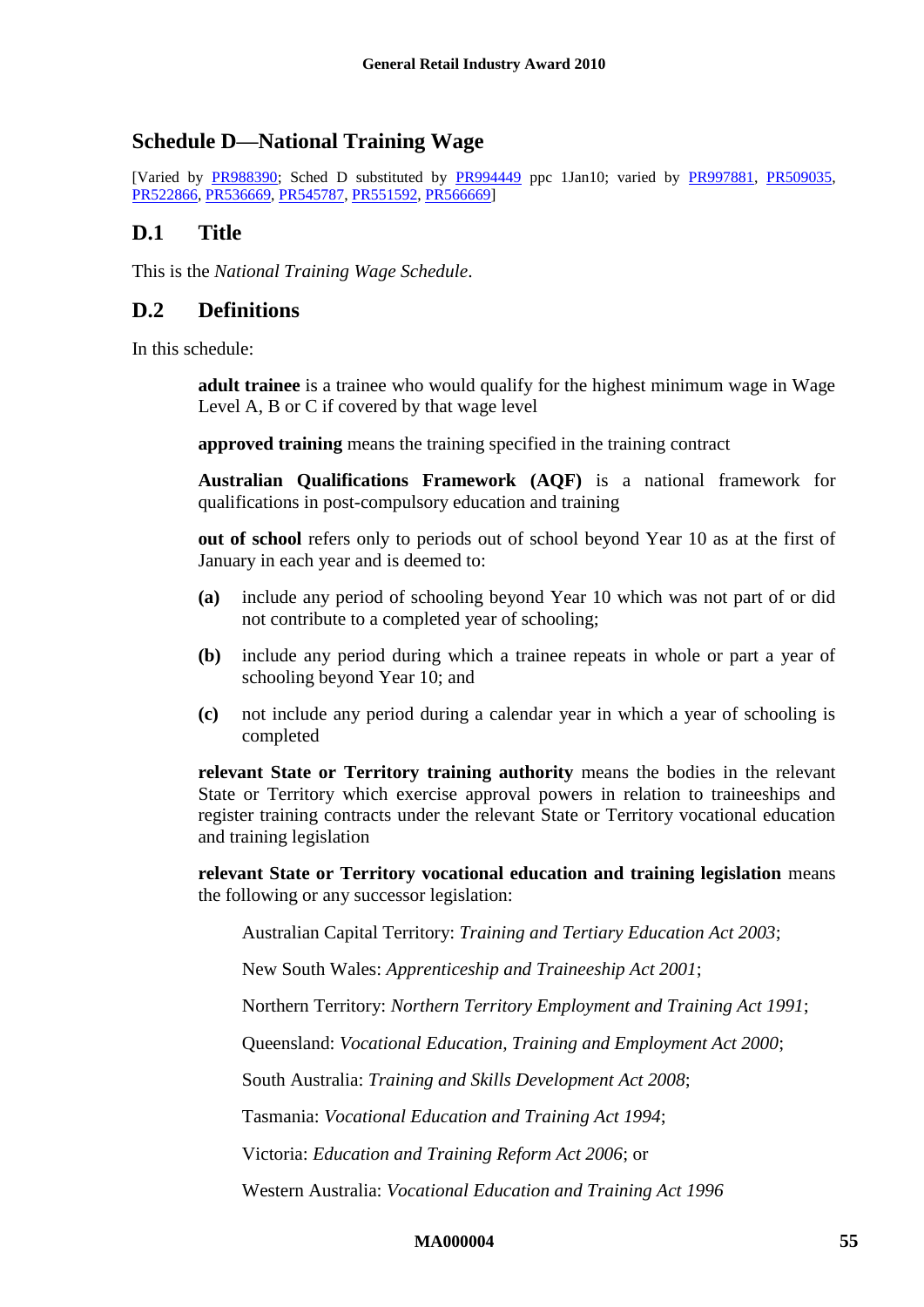### <span id="page-54-1"></span><span id="page-54-0"></span>**Schedule D—National Training Wage**

[Varied by [PR988390;](http://www.fwc.gov.au/awardsandorders/html/PR988390.htm) Sched D substituted by [PR994449](http://www.fwc.gov.au/awardsandorders/html/PR994449.htm) ppc 1Jan10; varied by [PR997881,](http://www.fwc.gov.au/awardsandorders/html/PR997881.htm) [PR509035,](http://www.fwc.gov.au/awardsandorders/html/PR509035.htm) [PR522866,](http://www.fwc.gov.au/awardsandorders/html/PR522866.htm) [PR536669,](http://www.fwc.gov.au/awardsandorders/html/PR536669.htm) [PR545787,](http://www.fwc.gov.au/awardsandorders/html/PR545787.htm) [PR551592,](https://www.fwc.gov.au/awardsandorders/html/PR551592.htm) [PR566669\]](https://www.fwc.gov.au/awardsandorders/html/PR566669.htm)

### **D.1 Title**

This is the *National Training Wage Schedule*.

### **D.2 Definitions**

In this schedule:

**adult trainee** is a trainee who would qualify for the highest minimum wage in Wage Level A, B or C if covered by that wage level

**approved training** means the training specified in the training contract

**Australian Qualifications Framework (AQF)** is a national framework for qualifications in post-compulsory education and training

**out of school** refers only to periods out of school beyond Year 10 as at the first of January in each year and is deemed to:

- **(a)** include any period of schooling beyond Year 10 which was not part of or did not contribute to a completed year of schooling;
- **(b)** include any period during which a trainee repeats in whole or part a year of schooling beyond Year 10; and
- **(c)** not include any period during a calendar year in which a year of schooling is completed

**relevant State or Territory training authority** means the bodies in the relevant State or Territory which exercise approval powers in relation to traineeships and register training contracts under the relevant State or Territory vocational education and training legislation

**relevant State or Territory vocational education and training legislation** means the following or any successor legislation:

Australian Capital Territory: *Training and Tertiary Education Act 2003*;

New South Wales: *Apprenticeship and Traineeship Act 2001*;

Northern Territory: *Northern Territory Employment and Training Act 1991*;

Queensland: *Vocational Education, Training and Employment Act 2000*;

South Australia: *Training and Skills Development Act 2008*;

Tasmania: *Vocational Education and Training Act 1994*;

Victoria: *Education and Training Reform Act 2006*; or

Western Australia: *Vocational Education and Training Act 1996*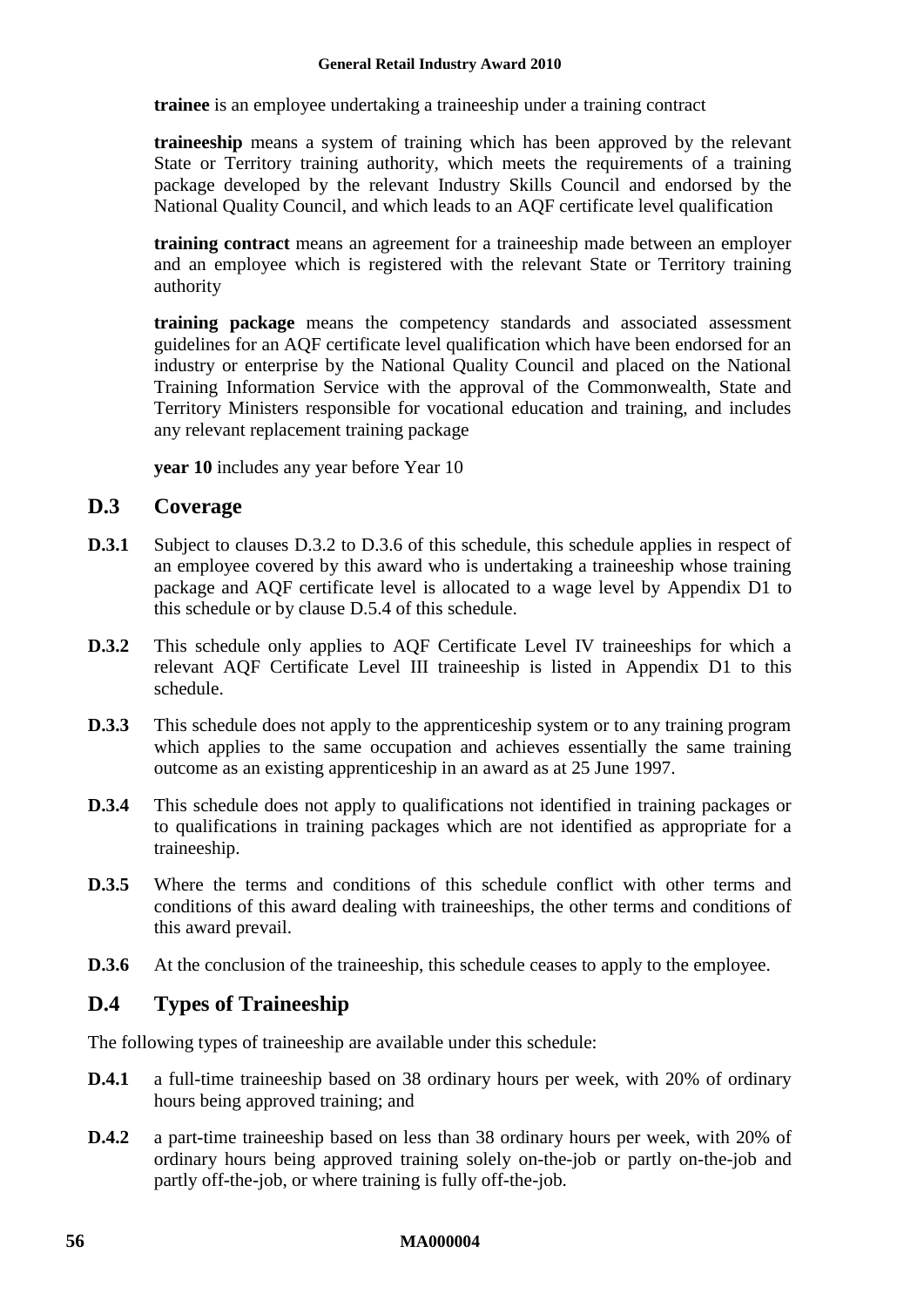**trainee** is an employee undertaking a traineeship under a training contract

**traineeship** means a system of training which has been approved by the relevant State or Territory training authority, which meets the requirements of a training package developed by the relevant Industry Skills Council and endorsed by the National Quality Council, and which leads to an AQF certificate level qualification

**training contract** means an agreement for a traineeship made between an employer and an employee which is registered with the relevant State or Territory training authority

**training package** means the competency standards and associated assessment guidelines for an AQF certificate level qualification which have been endorsed for an industry or enterprise by the National Quality Council and placed on the National Training Information Service with the approval of the Commonwealth, State and Territory Ministers responsible for vocational education and training, and includes any relevant replacement training package

**year 10** includes any year before Year 10

### **D.3 Coverage**

- **D.3.1** Subject to clauses [D.3.2](#page-55-0) to [D.3.6](#page-55-1) of this schedule, this schedule applies in respect of an employee covered by this award who is undertaking a traineeship whose training package and AQF certificate level is allocated to a wage level by Appendix D1 to this schedule or by clause [D.5.4](#page-60-0) of this schedule.
- <span id="page-55-0"></span>**D.3.2** This schedule only applies to AQF Certificate Level IV traineeships for which a relevant AQF Certificate Level III traineeship is listed in Appendix D1 to this schedule.
- **D.3.3** This schedule does not apply to the apprenticeship system or to any training program which applies to the same occupation and achieves essentially the same training outcome as an existing apprenticeship in an award as at 25 June 1997.
- **D.3.4** This schedule does not apply to qualifications not identified in training packages or to qualifications in training packages which are not identified as appropriate for a traineeship.
- <span id="page-55-2"></span>**D.3.5** Where the terms and conditions of this schedule conflict with other terms and conditions of this award dealing with traineeships, the other terms and conditions of this award prevail.
- <span id="page-55-1"></span>**D.3.6** At the conclusion of the traineeship, this schedule ceases to apply to the employee.

### **D.4 Types of Traineeship**

The following types of traineeship are available under this schedule:

- **D.4.1** a full-time traineeship based on 38 ordinary hours per week, with 20% of ordinary hours being approved training; and
- **D.4.2** a part-time traineeship based on less than 38 ordinary hours per week, with 20% of ordinary hours being approved training solely on-the-job or partly on-the-job and partly off-the-job, or where training is fully off-the-job.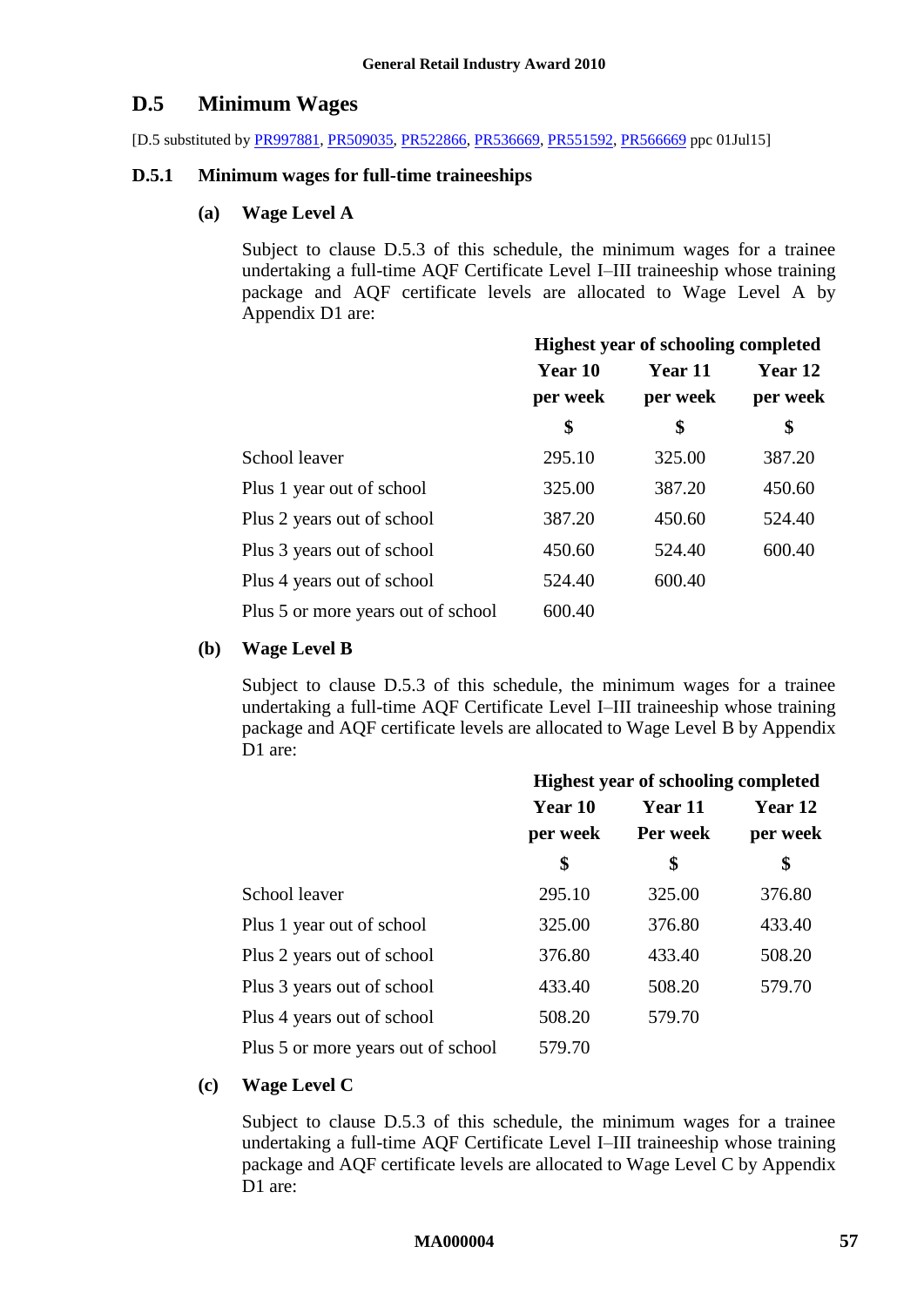### **D.5 Minimum Wages**

[D.5 substituted by [PR997881,](http://www.fwc.gov.au/awardsandorders/html/PR997881.htm) [PR509035,](http://www.fwc.gov.au/awardsandorders/html/PR509035.htm) [PR522866,](http://www.fwc.gov.au/awardsandorders/html/PR522866.htm) [PR536669,](http://www.fwc.gov.au/awardsandorders/html/PR536669.htm) [PR551592,](https://www.fwc.gov.au/awardsandorders/html/PR551592.htm) [PR566669](https://www.fwc.gov.au/awardsandorders/html/PR566669.htm) ppc 01Jul15]

#### **D.5.1 Minimum wages for full-time traineeships**

### **(a) Wage Level A**

Subject to clause [D.5.3](#page-60-1) of this schedule, the minimum wages for a trainee undertaking a full-time AQF Certificate Level I–III traineeship whose training package and AQF certificate levels are allocated to Wage Level A by Appendix D1 are:

|                                    | <b>Highest year of schooling completed</b> |          |          |  |
|------------------------------------|--------------------------------------------|----------|----------|--|
|                                    | Year 10                                    | Year 11  | Year 12  |  |
|                                    | per week                                   | per week | per week |  |
|                                    | \$                                         | \$       | \$       |  |
| School leaver                      | 295.10                                     | 325.00   | 387.20   |  |
| Plus 1 year out of school          | 325.00                                     | 387.20   | 450.60   |  |
| Plus 2 years out of school         | 387.20                                     | 450.60   | 524.40   |  |
| Plus 3 years out of school         | 450.60                                     | 524.40   | 600.40   |  |
| Plus 4 years out of school         | 524.40                                     | 600.40   |          |  |
| Plus 5 or more years out of school | 600.40                                     |          |          |  |

#### **(b) Wage Level B**

Subject to clause [D.5.3](#page-60-1) of this schedule, the minimum wages for a trainee undertaking a full-time AQF Certificate Level I–III traineeship whose training package and AQF certificate levels are allocated to Wage Level B by Appendix D<sub>1</sub> are:

|                                    | <b>Highest year of schooling completed</b> |          |          |  |
|------------------------------------|--------------------------------------------|----------|----------|--|
|                                    | <b>Year 10</b>                             | Year 11  | Year 12  |  |
|                                    | per week                                   | Per week | per week |  |
|                                    | \$                                         | \$       | \$       |  |
| School leaver                      | 295.10                                     | 325.00   | 376.80   |  |
| Plus 1 year out of school          | 325.00                                     | 376.80   | 433.40   |  |
| Plus 2 years out of school         | 376.80                                     | 433.40   | 508.20   |  |
| Plus 3 years out of school         | 433.40                                     | 508.20   | 579.70   |  |
| Plus 4 years out of school         | 508.20                                     | 579.70   |          |  |
| Plus 5 or more years out of school | 579.70                                     |          |          |  |

#### **(c) Wage Level C**

Subject to clause [D.5.3](#page-60-1) of this schedule, the minimum wages for a trainee undertaking a full-time AQF Certificate Level I–III traineeship whose training package and AQF certificate levels are allocated to Wage Level C by Appendix D<sub>1</sub> are: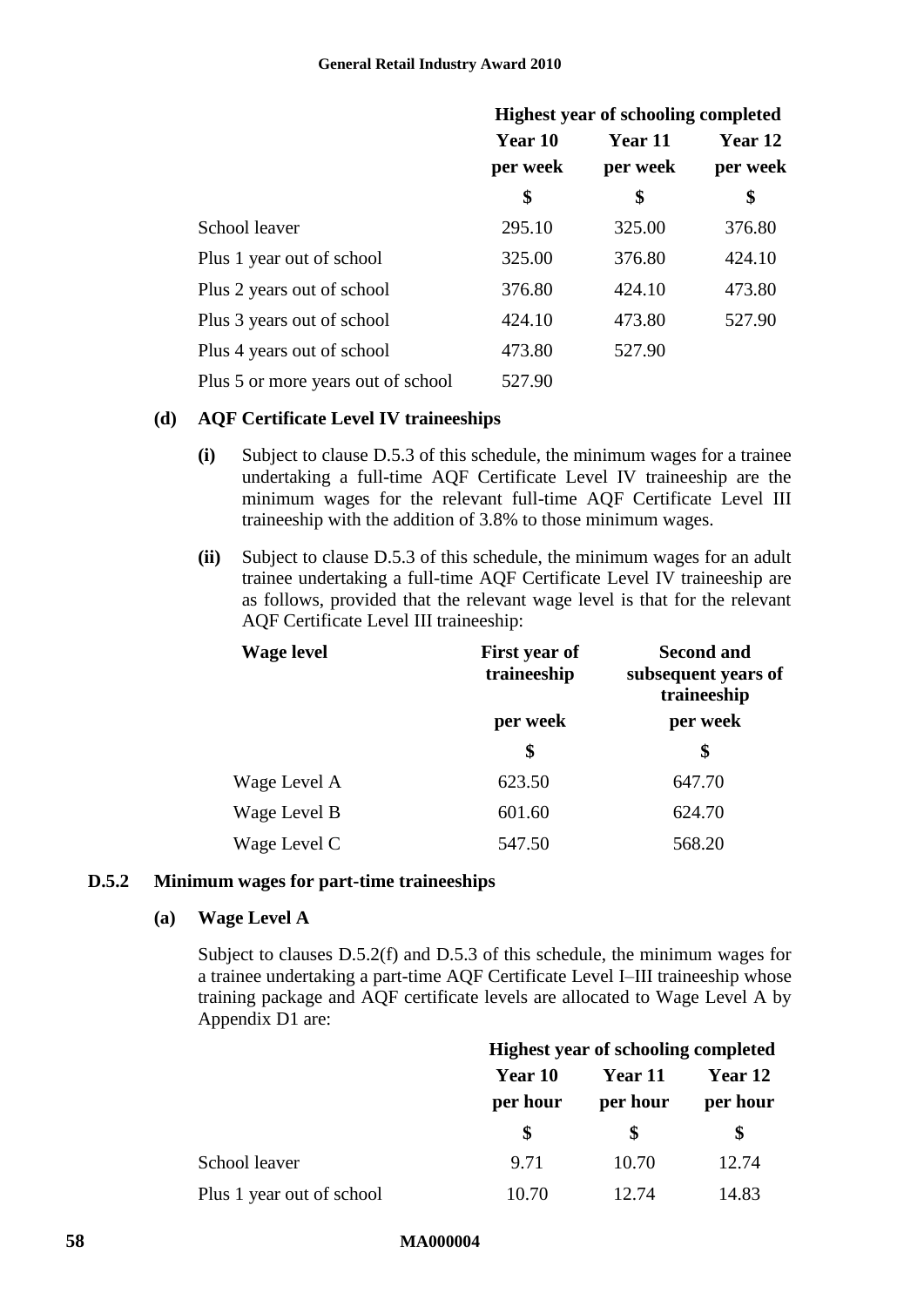|                                    | <b>Highest year of schooling completed</b> |          |          |  |
|------------------------------------|--------------------------------------------|----------|----------|--|
|                                    | Year 10                                    | Year 11  | Year 12  |  |
|                                    | per week                                   | per week | per week |  |
|                                    | \$                                         | \$       | \$       |  |
| School leaver                      | 295.10                                     | 325.00   | 376.80   |  |
| Plus 1 year out of school          | 325.00                                     | 376.80   | 424.10   |  |
| Plus 2 years out of school         | 376.80                                     | 424.10   | 473.80   |  |
| Plus 3 years out of school         | 424.10                                     | 473.80   | 527.90   |  |
| Plus 4 years out of school         | 473.80                                     | 527.90   |          |  |
| Plus 5 or more years out of school | 527.90                                     |          |          |  |

#### **(d) AQF Certificate Level IV traineeships**

- **(i)** Subject to clause [D.5.3](#page-60-1) of this schedule, the minimum wages for a trainee undertaking a full-time AQF Certificate Level IV traineeship are the minimum wages for the relevant full-time AQF Certificate Level III traineeship with the addition of 3.8% to those minimum wages.
- **(ii)** Subject to clause [D.5.3](#page-60-1) of this schedule, the minimum wages for an adult trainee undertaking a full-time AQF Certificate Level IV traineeship are as follows, provided that the relevant wage level is that for the relevant AQF Certificate Level III traineeship:

| <b>Wage level</b> | First year of<br>traineeship | <b>Second and</b><br>subsequent years of<br>traineeship |
|-------------------|------------------------------|---------------------------------------------------------|
|                   | per week                     | per week                                                |
|                   | \$                           | \$                                                      |
| Wage Level A      | 623.50                       | 647.70                                                  |
| Wage Level B      | 601.60                       | 624.70                                                  |
| Wage Level C      | 547.50                       | 568.20                                                  |

#### <span id="page-57-0"></span>**D.5.2 Minimum wages for part-time traineeships**

#### **(a) Wage Level A**

Subject to clauses [D.5.2\(f\)](#page-59-0) and [D.5.3](#page-60-1) of this schedule, the minimum wages for a trainee undertaking a part-time AQF Certificate Level I–III traineeship whose training package and AQF certificate levels are allocated to Wage Level A by Appendix D1 are:

|                           | <b>Highest year of schooling completed</b> |          |          |
|---------------------------|--------------------------------------------|----------|----------|
|                           | Year 10                                    | Year 11  | Year 12  |
|                           | per hour                                   | per hour | per hour |
|                           | \$                                         |          | \$       |
| School leaver             | 9.71                                       | 10.70    | 12.74    |
| Plus 1 year out of school | 10.70                                      | 12.74    | 14.83    |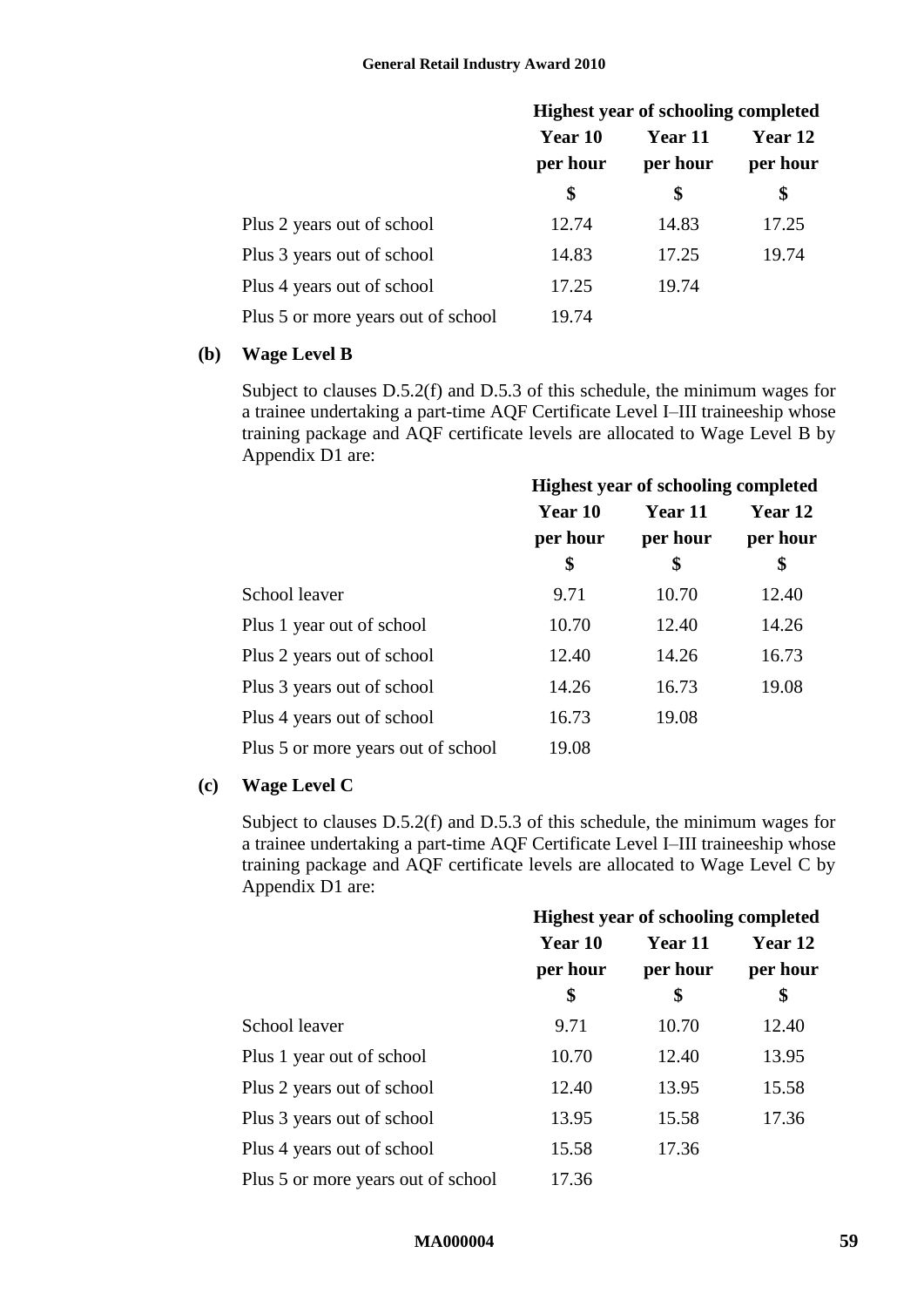|                                    | <b>Highest year of schooling completed</b> |                |          |
|------------------------------------|--------------------------------------------|----------------|----------|
|                                    | Year 10                                    | <b>Year 11</b> | Year 12  |
|                                    | per hour                                   | per hour       | per hour |
|                                    | \$                                         | \$             | \$       |
| Plus 2 years out of school         | 12.74                                      | 14.83          | 17.25    |
| Plus 3 years out of school         | 14.83                                      | 17.25          | 19.74    |
| Plus 4 years out of school         | 17.25                                      | 19.74          |          |
| Plus 5 or more years out of school | 19.74                                      |                |          |

#### **(b) Wage Level B**

Subject to clauses [D.5.2\(f\)](#page-59-0) and [D.5.3](#page-60-1) of this schedule, the minimum wages for a trainee undertaking a part-time AQF Certificate Level I–III traineeship whose training package and AQF certificate levels are allocated to Wage Level B by Appendix D1 are:

|                                    | <b>Highest year of schooling completed</b> |                |          |
|------------------------------------|--------------------------------------------|----------------|----------|
|                                    | <b>Year 10</b>                             | <b>Year 11</b> | Year 12  |
|                                    | per hour                                   | per hour       | per hour |
|                                    | \$                                         | \$             | \$       |
| School leaver                      | 9.71                                       | 10.70          | 12.40    |
| Plus 1 year out of school          | 10.70                                      | 12.40          | 14.26    |
| Plus 2 years out of school         | 12.40                                      | 14.26          | 16.73    |
| Plus 3 years out of school         | 14.26                                      | 16.73          | 19.08    |
| Plus 4 years out of school         | 16.73                                      | 19.08          |          |
| Plus 5 or more years out of school | 19.08                                      |                |          |

#### **(c) Wage Level C**

Subject to clauses [D.5.2\(f\)](#page-59-0) and [D.5.3](#page-60-1) of this schedule, the minimum wages for a trainee undertaking a part-time AQF Certificate Level I–III traineeship whose training package and AQF certificate levels are allocated to Wage Level C by Appendix D1 are:

|                                    | <b>Highest year of schooling completed</b> |          |                |
|------------------------------------|--------------------------------------------|----------|----------------|
|                                    | Year 10                                    | Year 11  | <b>Year 12</b> |
|                                    | per hour                                   | per hour | per hour       |
|                                    | \$                                         | \$       | \$             |
| School leaver                      | 9.71                                       | 10.70    | 12.40          |
| Plus 1 year out of school          | 10.70                                      | 12.40    | 13.95          |
| Plus 2 years out of school         | 12.40                                      | 13.95    | 15.58          |
| Plus 3 years out of school         | 13.95                                      | 15.58    | 17.36          |
| Plus 4 years out of school         | 15.58                                      | 17.36    |                |
| Plus 5 or more years out of school | 17.36                                      |          |                |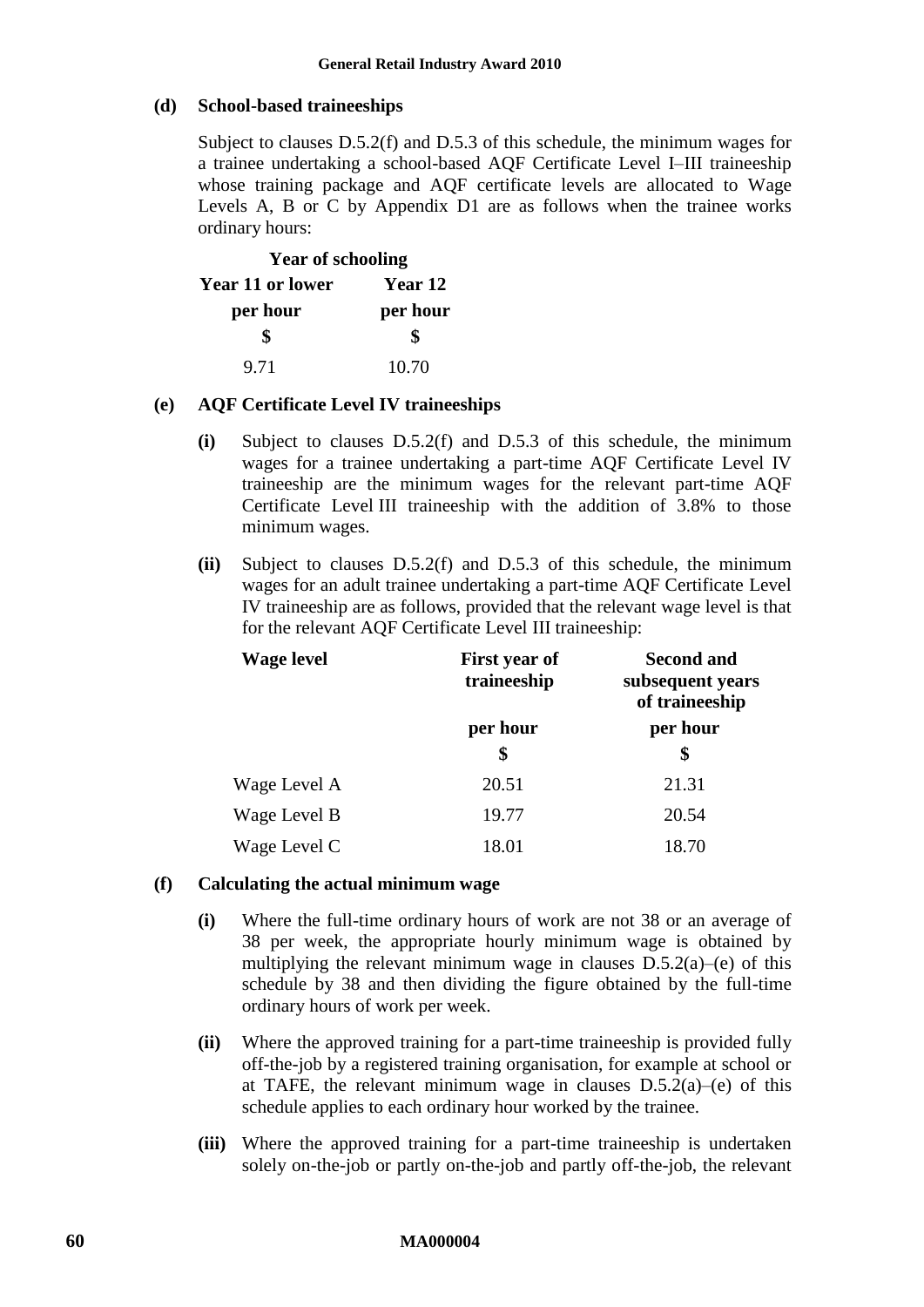#### **(d) School-based traineeships**

Subject to clauses [D.5.2\(f\)](#page-59-0) and [D.5.3](#page-60-1) of this schedule, the minimum wages for a trainee undertaking a school-based AQF Certificate Level I–III traineeship whose training package and AQF certificate levels are allocated to Wage Levels A, B or C by Appendix D1 are as follows when the trainee works ordinary hours:

| <b>Year of schooling</b> |          |  |
|--------------------------|----------|--|
| <b>Year 11 or lower</b>  | Year 12  |  |
| per hour                 | per hour |  |
| \$                       | \$       |  |
| 9.71                     | 10.70    |  |

#### <span id="page-59-1"></span>**(e) AQF Certificate Level IV traineeships**

- **(i)** Subject to clauses [D.5.2\(f\)](#page-59-0) and [D.5.3](#page-60-1) of this schedule, the minimum wages for a trainee undertaking a part-time AQF Certificate Level IV traineeship are the minimum wages for the relevant part-time AQF Certificate Level III traineeship with the addition of 3.8% to those minimum wages.
- **(ii)** Subject to clauses [D.5.2\(f\)](#page-59-0) and [D.5.3](#page-60-1) of this schedule, the minimum wages for an adult trainee undertaking a part-time AQF Certificate Level IV traineeship are as follows, provided that the relevant wage level is that for the relevant AQF Certificate Level III traineeship:

| <b>Wage level</b> | <b>First year of</b><br>traineeship | <b>Second and</b><br>subsequent years<br>of traineeship |
|-------------------|-------------------------------------|---------------------------------------------------------|
|                   | per hour<br>\$                      | per hour<br>\$                                          |
| Wage Level A      | 20.51                               | 21.31                                                   |
| Wage Level B      | 19.77                               | 20.54                                                   |
| Wage Level C      | 18.01                               | 18.70                                                   |

#### <span id="page-59-0"></span>**(f) Calculating the actual minimum wage**

- **(i)** Where the full-time ordinary hours of work are not 38 or an average of 38 per week, the appropriate hourly minimum wage is obtained by multiplying the relevant minimum wage in clauses  $D.5.2(a)$ [–\(e\)](#page-59-1) of this schedule by 38 and then dividing the figure obtained by the full-time ordinary hours of work per week.
- <span id="page-59-2"></span>**(ii)** Where the approved training for a part-time traineeship is provided fully off-the-job by a registered training organisation, for example at school or at TAFE, the relevant minimum wage in clauses  $D.5.2(a)$ [–\(e\)](#page-59-1) of this schedule applies to each ordinary hour worked by the trainee.
- **(iii)** Where the approved training for a part-time traineeship is undertaken solely on-the-job or partly on-the-job and partly off-the-job, the relevant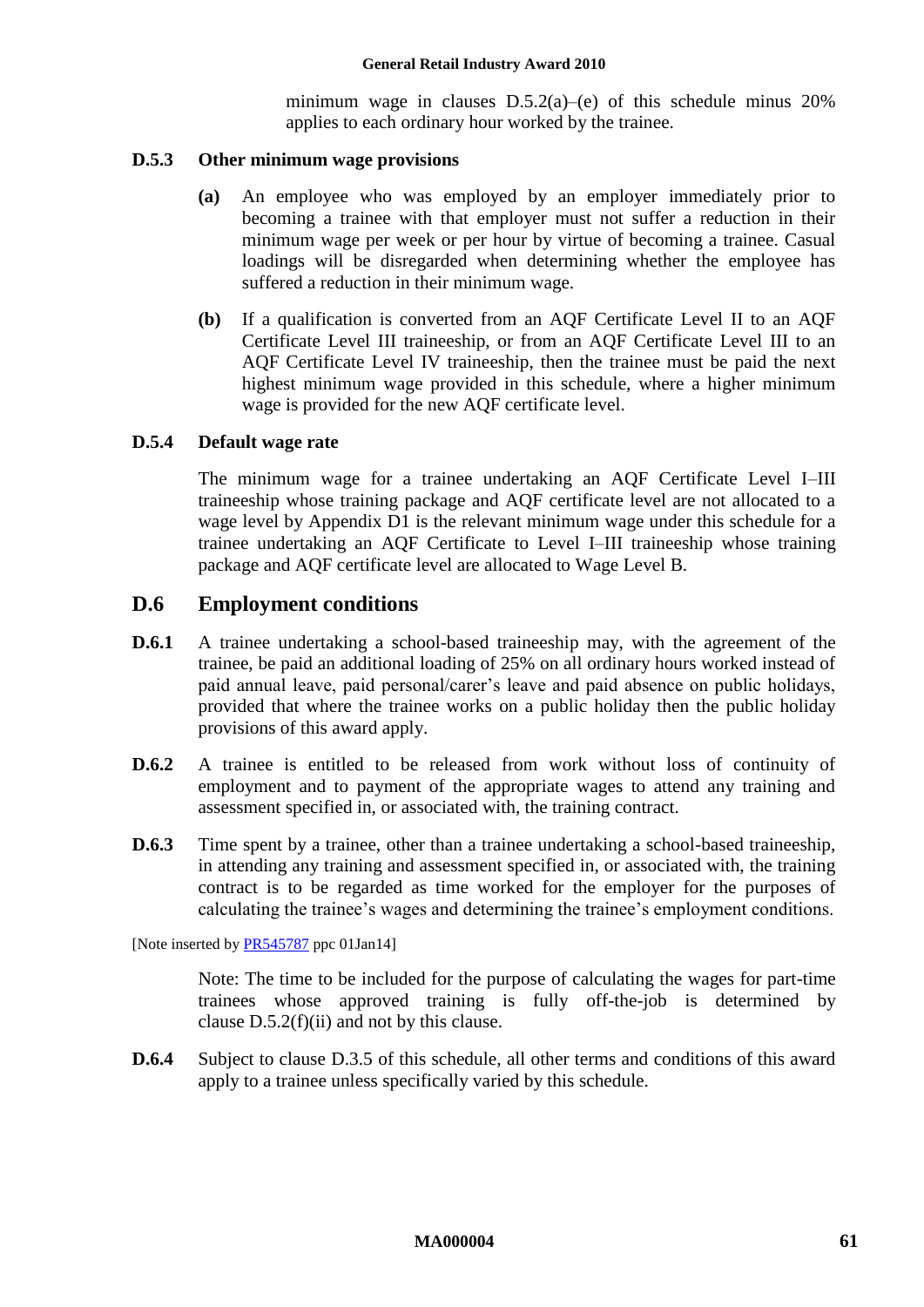minimum wage in clauses  $D.5.2(a)$ [–\(e\)](#page-59-1) of this schedule minus 20% applies to each ordinary hour worked by the trainee.

#### <span id="page-60-1"></span>**D.5.3 Other minimum wage provisions**

- **(a)** An employee who was employed by an employer immediately prior to becoming a trainee with that employer must not suffer a reduction in their minimum wage per week or per hour by virtue of becoming a trainee. Casual loadings will be disregarded when determining whether the employee has suffered a reduction in their minimum wage.
- **(b)** If a qualification is converted from an AQF Certificate Level II to an AQF Certificate Level III traineeship, or from an AQF Certificate Level III to an AQF Certificate Level IV traineeship, then the trainee must be paid the next highest minimum wage provided in this schedule, where a higher minimum wage is provided for the new AQF certificate level.

### <span id="page-60-0"></span>**D.5.4 Default wage rate**

The minimum wage for a trainee undertaking an AQF Certificate Level I–III traineeship whose training package and AQF certificate level are not allocated to a wage level by Appendix D1 is the relevant minimum wage under this schedule for a trainee undertaking an AQF Certificate to Level I–III traineeship whose training package and AQF certificate level are allocated to Wage Level B.

### **D.6 Employment conditions**

- **D.6.1** A trainee undertaking a school-based traineeship may, with the agreement of the trainee, be paid an additional loading of 25% on all ordinary hours worked instead of paid annual leave, paid personal/carer's leave and paid absence on public holidays, provided that where the trainee works on a public holiday then the public holiday provisions of this award apply.
- **D.6.2** A trainee is entitled to be released from work without loss of continuity of employment and to payment of the appropriate wages to attend any training and assessment specified in, or associated with, the training contract.
- **D.6.3** Time spent by a trainee, other than a trainee undertaking a school-based traineeship, in attending any training and assessment specified in, or associated with, the training contract is to be regarded as time worked for the employer for the purposes of calculating the trainee's wages and determining the trainee's employment conditions.

[Note inserted by [PR545787](http://www.fwc.gov.au/awardsandorders/html/PR545787.htm) ppc 01Jan14]

Note: The time to be included for the purpose of calculating the wages for part-time trainees whose approved training is fully off-the-job is determined by clause [D.5.2\(f\)\(ii\)](#page-59-2) and not by this clause.

**D.6.4** Subject to clause [D.3.5](#page-55-2) of this schedule, all other terms and conditions of this award apply to a trainee unless specifically varied by this schedule.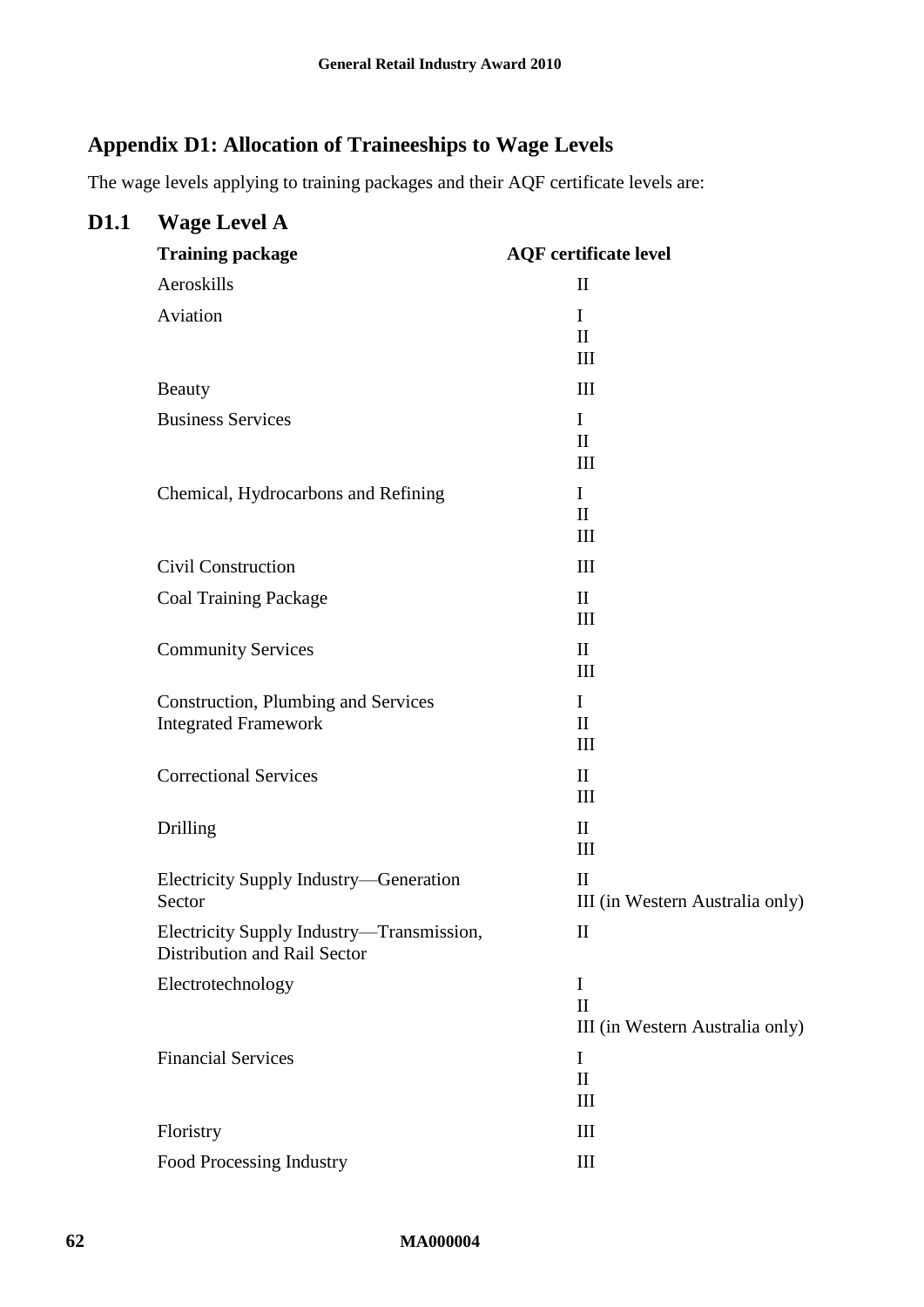# <span id="page-61-0"></span>**Appendix D1: Allocation of Traineeships to Wage Levels**

The wage levels applying to training packages and their AQF certificate levels are:

| D1.1 | <b>Wage Level A</b>                                                       |                                                 |
|------|---------------------------------------------------------------------------|-------------------------------------------------|
|      | <b>Training package</b>                                                   | <b>AQF</b> certificate level                    |
|      | Aeroskills                                                                | $\mathbf{I}$                                    |
|      | Aviation                                                                  | I                                               |
|      |                                                                           | $\mathbf{I}$<br>Ш                               |
|      | <b>Beauty</b>                                                             | III                                             |
|      | <b>Business Services</b>                                                  | I                                               |
|      |                                                                           | $\mathbf{I}$<br>III                             |
|      | Chemical, Hydrocarbons and Refining                                       | $\mathbf I$                                     |
|      |                                                                           | $\mathbf{I}$                                    |
|      |                                                                           | III                                             |
|      | Civil Construction                                                        | III                                             |
|      | <b>Coal Training Package</b>                                              | $\mathbf{I}$<br>III                             |
|      | <b>Community Services</b>                                                 | $\mathbf{I}$                                    |
|      |                                                                           | III                                             |
|      | <b>Construction, Plumbing and Services</b>                                | $\mathbf I$                                     |
|      | <b>Integrated Framework</b>                                               | $\mathbf{I}$<br>III                             |
|      | <b>Correctional Services</b>                                              | $\mathbf{I}$                                    |
|      |                                                                           | III                                             |
|      | Drilling                                                                  | $\mathbf{I}$<br>III                             |
|      |                                                                           | $\mathbf{I}$                                    |
|      | Electricity Supply Industry—Generation<br><b>Sector</b>                   | III (in Western Australia only)                 |
|      | Electricity Supply Industry—Transmission,<br>Distribution and Rail Sector | $\mathbf{I}$                                    |
|      | Electrotechnology                                                         | $\mathbf I$                                     |
|      |                                                                           | $\mathbf{I}$<br>III (in Western Australia only) |
|      | <b>Financial Services</b>                                                 | $\bf{I}$                                        |
|      |                                                                           | $\mathbf{I}$<br>III                             |
|      |                                                                           | III                                             |
|      | Floristry                                                                 |                                                 |
|      | Food Processing Industry                                                  | Ш                                               |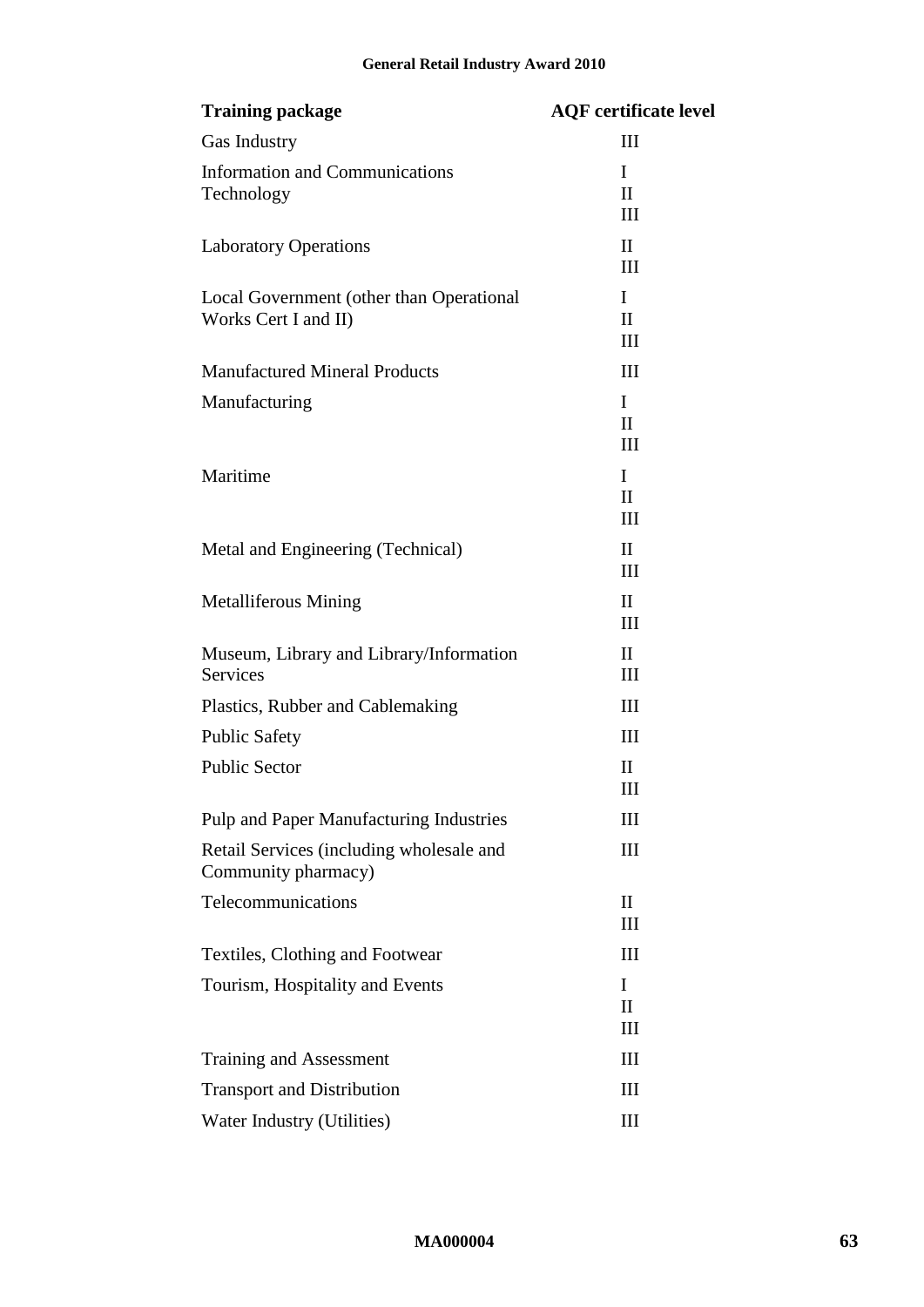| <b>Training package</b>                                          | <b>AQF</b> certificate level |
|------------------------------------------------------------------|------------------------------|
| Gas Industry                                                     | Ш                            |
| <b>Information and Communications</b><br>Technology              | I<br>$\mathbf{I}$            |
| <b>Laboratory Operations</b>                                     | Ш<br>$\mathbf{I}$<br>Ш       |
| Local Government (other than Operational<br>Works Cert I and II) | I<br>$\mathbf{I}$<br>III     |
| <b>Manufactured Mineral Products</b>                             | III                          |
| Manufacturing                                                    | I<br>$\mathbf{I}$<br>Ш       |
| Maritime                                                         | I<br>$\mathbf{I}$<br>Ш       |
| Metal and Engineering (Technical)                                | $\mathbf{I}$<br>III          |
| <b>Metalliferous Mining</b>                                      | $\mathbf{I}$<br>Ш            |
| Museum, Library and Library/Information<br>Services              | $\mathbf{I}$<br>III          |
| Plastics, Rubber and Cablemaking                                 | III                          |
| <b>Public Safety</b>                                             | Ш                            |
| <b>Public Sector</b>                                             | $\mathbf{I}$<br>Ш            |
| Pulp and Paper Manufacturing Industries                          | Ш                            |
| Retail Services (including wholesale and<br>Community pharmacy)  | Ш                            |
| Telecommunications                                               | $\mathbf{I}$<br>Ш            |
| Textiles, Clothing and Footwear                                  | Ш                            |
| Tourism, Hospitality and Events                                  | T<br>$\mathbf{I}$<br>Ш       |
| Training and Assessment                                          | Ш                            |
| <b>Transport and Distribution</b>                                | Ш                            |
| Water Industry (Utilities)                                       | III                          |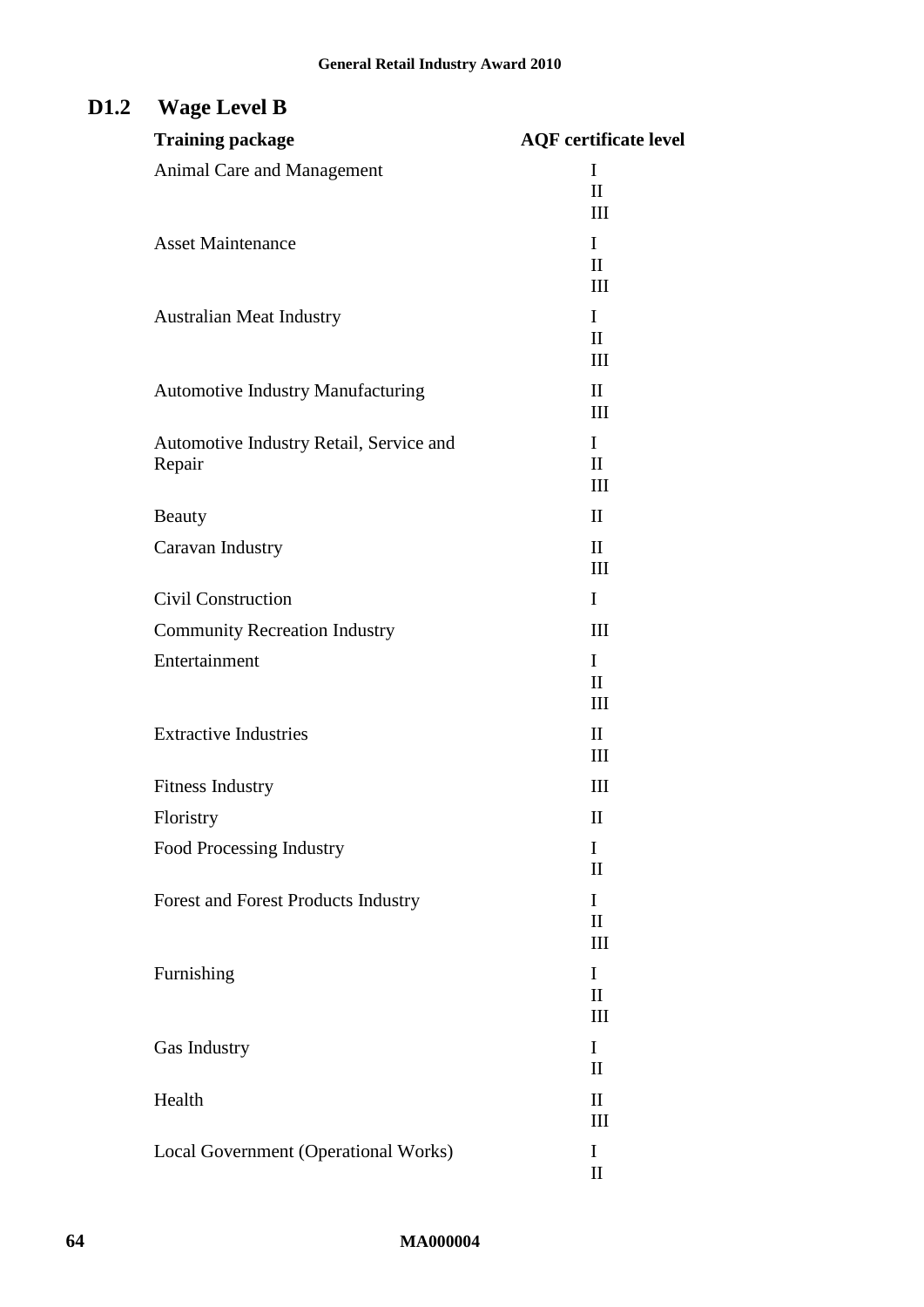# **D1.2 Wage Level B**

| <b>Training package</b>                    | <b>AQF</b> certificate level       |
|--------------------------------------------|------------------------------------|
| <b>Animal Care and Management</b>          | I                                  |
|                                            | $\mathbf{I}$<br>$\mathop{\rm III}$ |
| <b>Asset Maintenance</b>                   | I                                  |
|                                            | $\mathbf{I}$                       |
|                                            | $\mathop{\rm III}$                 |
| <b>Australian Meat Industry</b>            | $\mathbf{I}$<br>$\mathbf{I}$       |
|                                            | $\mathop{\rm III}$                 |
| <b>Automotive Industry Manufacturing</b>   | $\mathbf{I}$                       |
|                                            | $\mathop{\rm III}$                 |
| Automotive Industry Retail, Service and    | L                                  |
| Repair                                     | $\mathbf{I}$<br>$\mathop{\rm III}$ |
| <b>Beauty</b>                              | $\mathbf{I}$                       |
| Caravan Industry                           | $\mathbf{I}$                       |
|                                            | $\mathop{\rm III}$                 |
| <b>Civil Construction</b>                  | I                                  |
| <b>Community Recreation Industry</b>       | III                                |
| Entertainment                              | I                                  |
|                                            | $\mathbf{I}$<br>$\mathop{\rm III}$ |
| <b>Extractive Industries</b>               | $\mathbf{I}$                       |
|                                            | $\mathop{\rm III}$                 |
| <b>Fitness Industry</b>                    | $\mathop{\rm III}$                 |
| Floristry                                  | $\mathbf{I}$                       |
| Food Processing Industry                   | I                                  |
|                                            | $\mathbf{I}$                       |
| <b>Forest and Forest Products Industry</b> | I<br>$\mathbf{I}$                  |
|                                            | Ш                                  |
| Furnishing                                 | I                                  |
|                                            | $\mathbf{I}$                       |
|                                            | Ш                                  |
| Gas Industry                               | I<br>$\mathbf{I}$                  |
| Health                                     | $\mathbf{I}$                       |
|                                            | III                                |
| Local Government (Operational Works)       | I                                  |
|                                            | $\mathop{\rm II}\nolimits$         |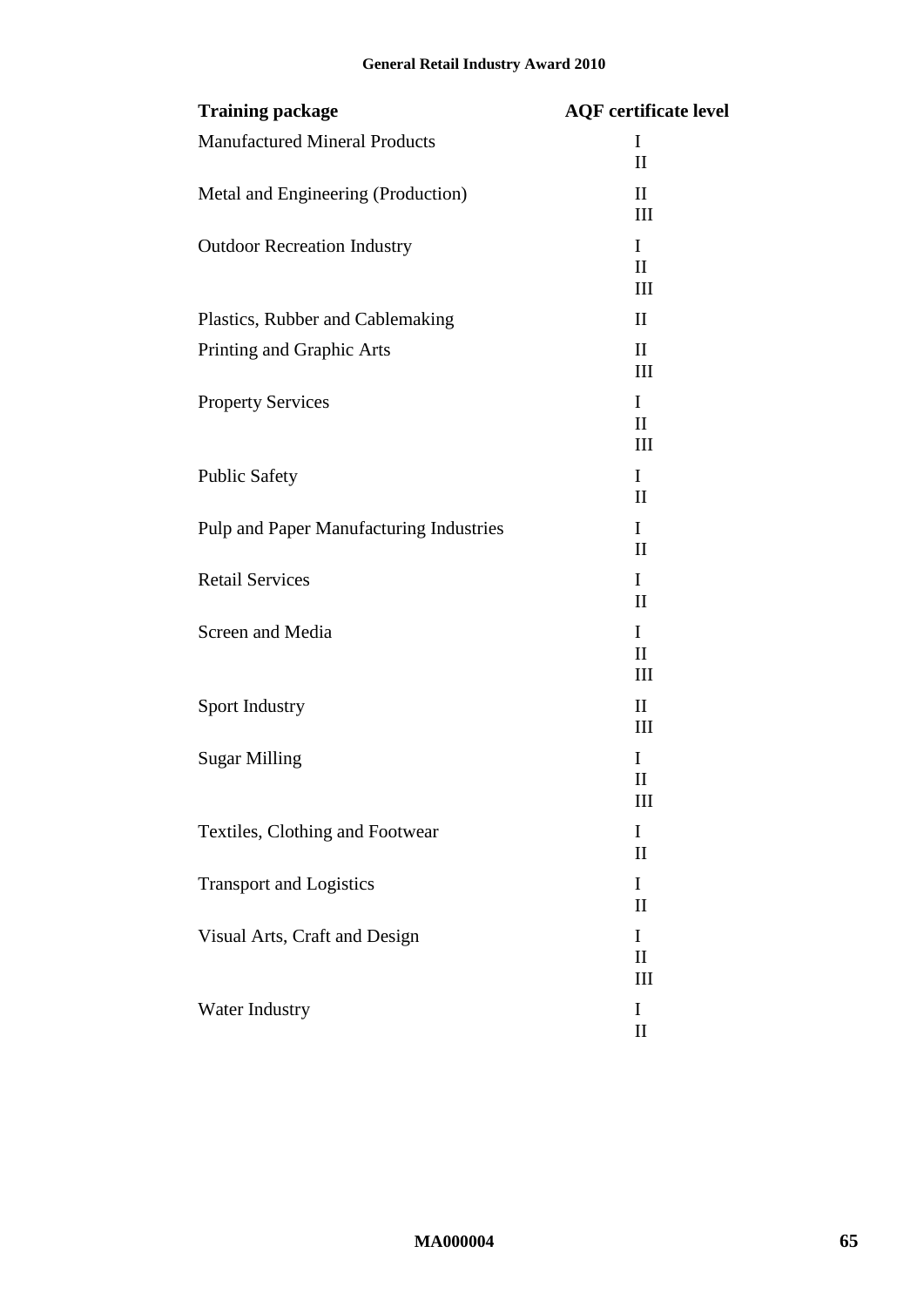| <b>Training package</b>                 | <b>AQF</b> certificate level       |
|-----------------------------------------|------------------------------------|
| <b>Manufactured Mineral Products</b>    | I<br>$\mathbf{I}$                  |
| Metal and Engineering (Production)      | $\mathbf{I}$<br>$\mathop{\rm III}$ |
| <b>Outdoor Recreation Industry</b>      | I<br>$\mathbf{I}$<br>Ш             |
| Plastics, Rubber and Cablemaking        | $\mathbf{I}$                       |
| Printing and Graphic Arts               | $\mathbf{I}$<br>Ш                  |
| <b>Property Services</b>                | I<br>$\mathbf{I}$<br>Ш             |
| <b>Public Safety</b>                    | I<br>$\mathbf{I}$                  |
| Pulp and Paper Manufacturing Industries | I<br>$\mathbf{I}$                  |
| <b>Retail Services</b>                  | I<br>$\mathbf{I}$                  |
| Screen and Media                        | I<br>$\mathbf{I}$<br>Ш             |
| Sport Industry                          | $\mathbf{I}$<br>III                |
| <b>Sugar Milling</b>                    | I<br>$\mathbf{I}$<br>III           |
| Textiles, Clothing and Footwear         | I<br>$\mathbf{I}$                  |
| <b>Transport and Logistics</b>          | I<br>$\mathbf{I}$                  |
| Visual Arts, Craft and Design           | I<br>$\mathbf{I}$<br>Ш             |
| Water Industry                          | I<br>$\mathbf{I}$                  |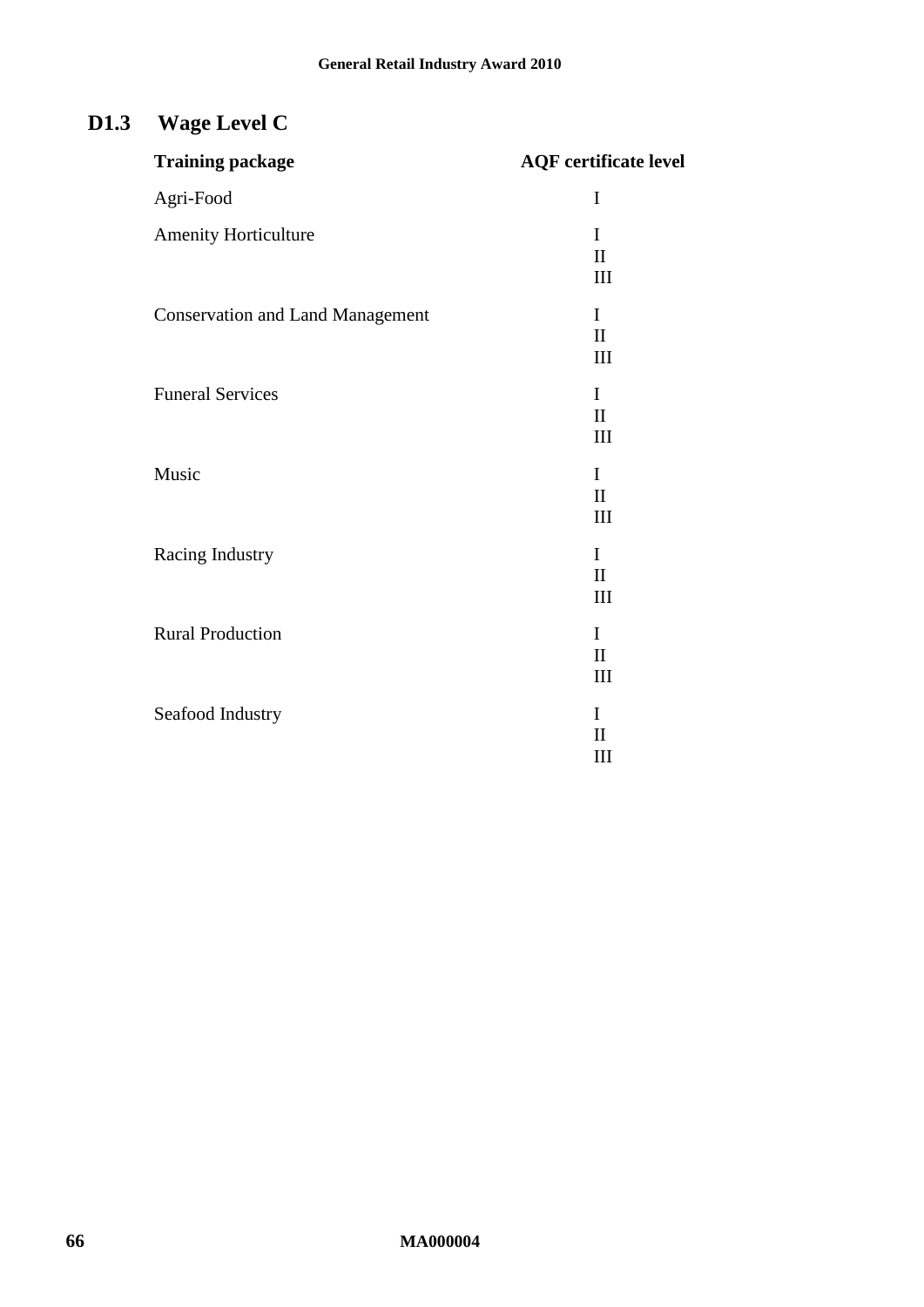# **D1.3 Wage Level C**

| <b>Training package</b>                 | <b>AQF</b> certificate level        |
|-----------------------------------------|-------------------------------------|
| Agri-Food                               | $\mathbf I$                         |
| <b>Amenity Horticulture</b>             | I<br>$\mathbf{I}$<br>III            |
| <b>Conservation and Land Management</b> | $\mathbf I$<br>$\mathbf{I}$<br>III  |
| <b>Funeral Services</b>                 | $\mathbf I$<br>$\rm II$<br>III      |
| Music                                   | $\mathbf{I}$<br>$\mathbf{I}$<br>III |
| Racing Industry                         | $\mathbf I$<br>$\mathbf{I}$<br>III  |
| <b>Rural Production</b>                 | $\mathbf I$<br>$\mathbf{I}$<br>III  |
| Seafood Industry                        | I<br>$\mathbf{I}$<br>III            |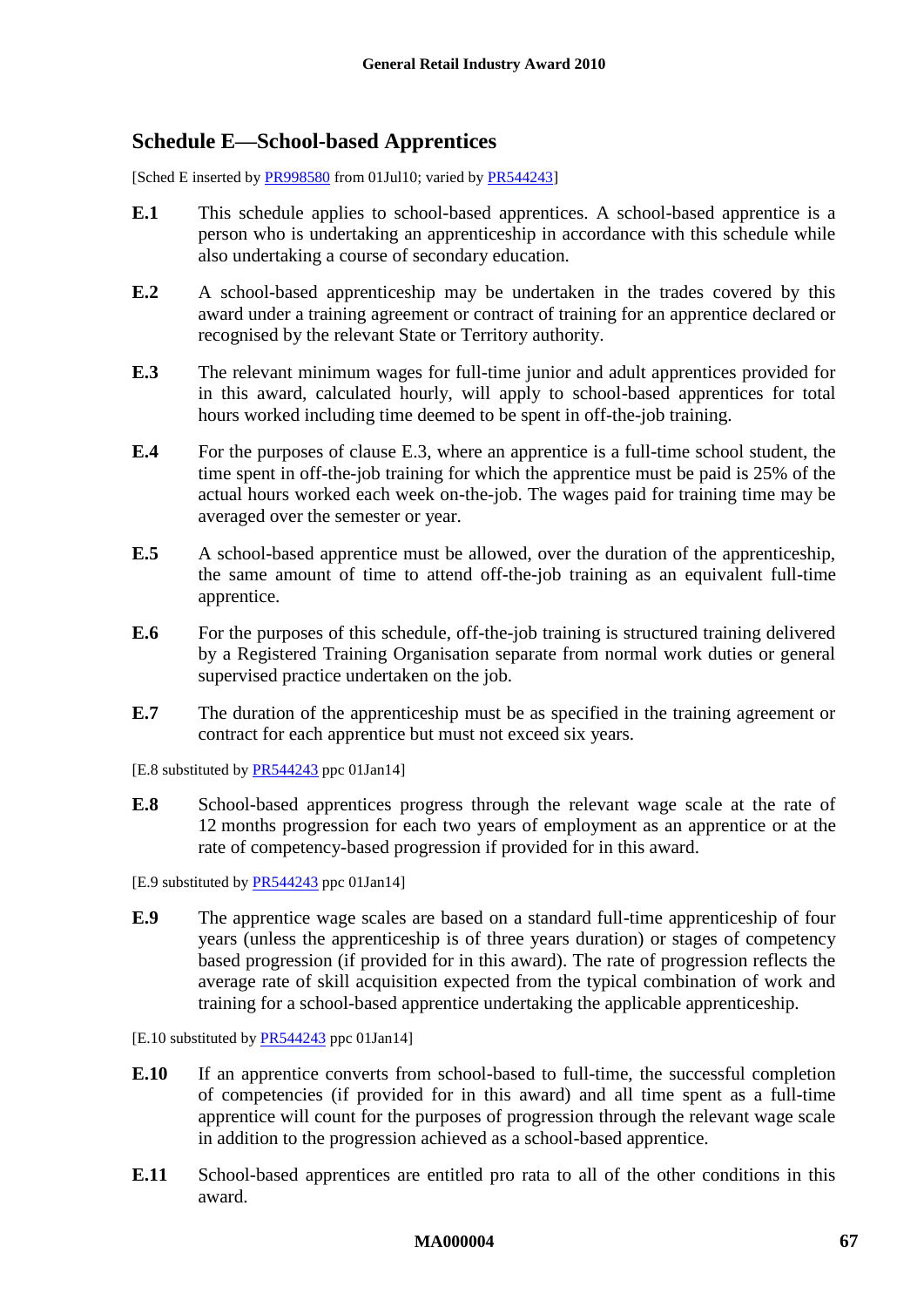### <span id="page-66-2"></span><span id="page-66-1"></span><span id="page-66-0"></span>**Schedule E—School-based Apprentices**

[Sched E inserted b[y PR998580](http://www.fwc.gov.au/awardsandorders/html/PR998580.htm) from 01Jul10; varied by [PR544243\]](http://www.fwc.gov.au/awardsandorders/html/PR544243.htm)

- **E.1** This schedule applies to school-based apprentices. A school-based apprentice is a person who is undertaking an apprenticeship in accordance with this schedule while also undertaking a course of secondary education.
- **E.2** A school-based apprenticeship may be undertaken in the trades covered by this award under a training agreement or contract of training for an apprentice declared or recognised by the relevant State or Territory authority.
- <span id="page-66-3"></span>**E.3** The relevant minimum wages for full-time junior and adult apprentices provided for in this award, calculated hourly, will apply to school-based apprentices for total hours worked including time deemed to be spent in off-the-job training.
- **E.4** For the purposes of clause [E.3,](#page-66-3) where an apprentice is a full-time school student, the time spent in off-the-job training for which the apprentice must be paid is 25% of the actual hours worked each week on-the-job. The wages paid for training time may be averaged over the semester or year.
- **E.5** A school-based apprentice must be allowed, over the duration of the apprenticeship, the same amount of time to attend off-the-job training as an equivalent full-time apprentice.
- **E.6** For the purposes of this schedule, off-the-job training is structured training delivered by a Registered Training Organisation separate from normal work duties or general supervised practice undertaken on the job.
- **E.7** The duration of the apprenticeship must be as specified in the training agreement or contract for each apprentice but must not exceed six years.

[E.8 substituted by **PR544243** ppc 01Jan14]

**E.8** School-based apprentices progress through the relevant wage scale at the rate of 12 months progression for each two years of employment as an apprentice or at the rate of competency-based progression if provided for in this award.

[E.9 substituted by [PR544243](http://www.fwc.gov.au/awardsandorders/html/PR544243.htm) ppc 01Jan14]

- **E.9** The apprentice wage scales are based on a standard full-time apprenticeship of four years (unless the apprenticeship is of three years duration) or stages of competency based progression (if provided for in this award). The rate of progression reflects the average rate of skill acquisition expected from the typical combination of work and training for a school-based apprentice undertaking the applicable apprenticeship.
- [E.10 substituted by **PR544243** ppc 01Jan14]
- **E.10** If an apprentice converts from school-based to full-time, the successful completion of competencies (if provided for in this award) and all time spent as a full-time apprentice will count for the purposes of progression through the relevant wage scale in addition to the progression achieved as a school-based apprentice.
- **E.11** School-based apprentices are entitled pro rata to all of the other conditions in this award.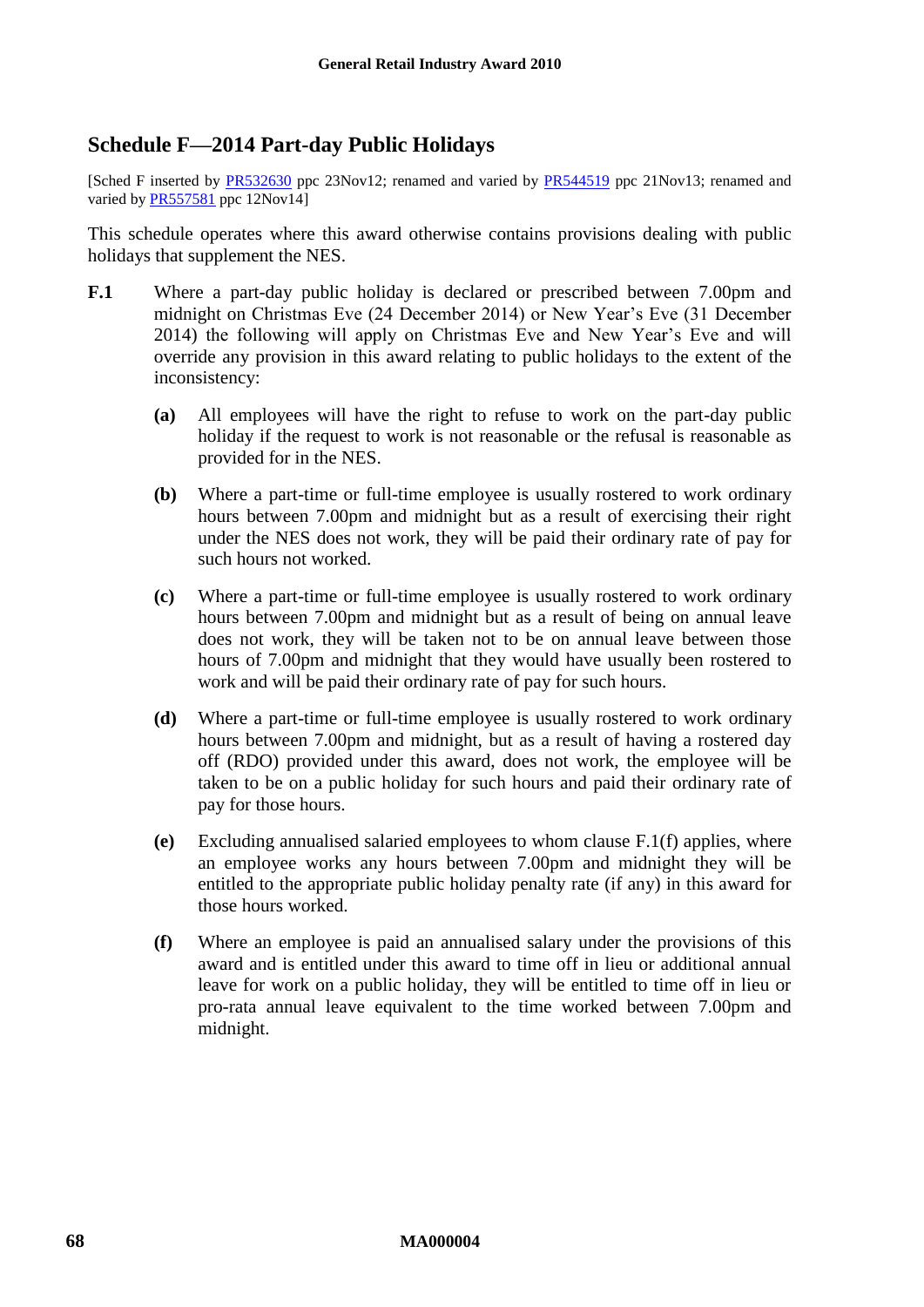### <span id="page-67-0"></span>**Schedule F—2014 Part-day Public Holidays**

[Sched F inserted by [PR532630](http://www.fwc.gov.au/awardsandorders/html/pr532630.htm) ppc 23Nov12; renamed and varied by [PR544519](http://www.fwc.gov.au/awardsandorders/html/pr544519.htm) ppc 21Nov13; renamed and varied b[y PR557581](http://www.fwc.gov.au/awardsandorders/html/PR557581.htm) ppc 12Nov14]

This schedule operates where this award otherwise contains provisions dealing with public holidays that supplement the NES.

- <span id="page-67-2"></span><span id="page-67-1"></span>**F.1** Where a part-day public holiday is declared or prescribed between 7.00pm and midnight on Christmas Eve (24 December 2014) or New Year's Eve (31 December 2014) the following will apply on Christmas Eve and New Year's Eve and will override any provision in this award relating to public holidays to the extent of the inconsistency:
	- **(a)** All employees will have the right to refuse to work on the part-day public holiday if the request to work is not reasonable or the refusal is reasonable as provided for in the NES.
	- **(b)** Where a part-time or full-time employee is usually rostered to work ordinary hours between 7.00pm and midnight but as a result of exercising their right under the NES does not work, they will be paid their ordinary rate of pay for such hours not worked.
	- **(c)** Where a part-time or full-time employee is usually rostered to work ordinary hours between 7.00pm and midnight but as a result of being on annual leave does not work, they will be taken not to be on annual leave between those hours of 7.00pm and midnight that they would have usually been rostered to work and will be paid their ordinary rate of pay for such hours.
	- **(d)** Where a part-time or full-time employee is usually rostered to work ordinary hours between 7.00pm and midnight, but as a result of having a rostered day off (RDO) provided under this award, does not work, the employee will be taken to be on a public holiday for such hours and paid their ordinary rate of pay for those hours.
	- **(e)** Excluding annualised salaried employees to whom clause [F.1\(f\)](#page-67-1) applies, where an employee works any hours between 7.00pm and midnight they will be entitled to the appropriate public holiday penalty rate (if any) in this award for those hours worked.
	- **(f)** Where an employee is paid an annualised salary under the provisions of this award and is entitled under this award to time off in lieu or additional annual leave for work on a public holiday, they will be entitled to time off in lieu or pro-rata annual leave equivalent to the time worked between 7.00pm and midnight.